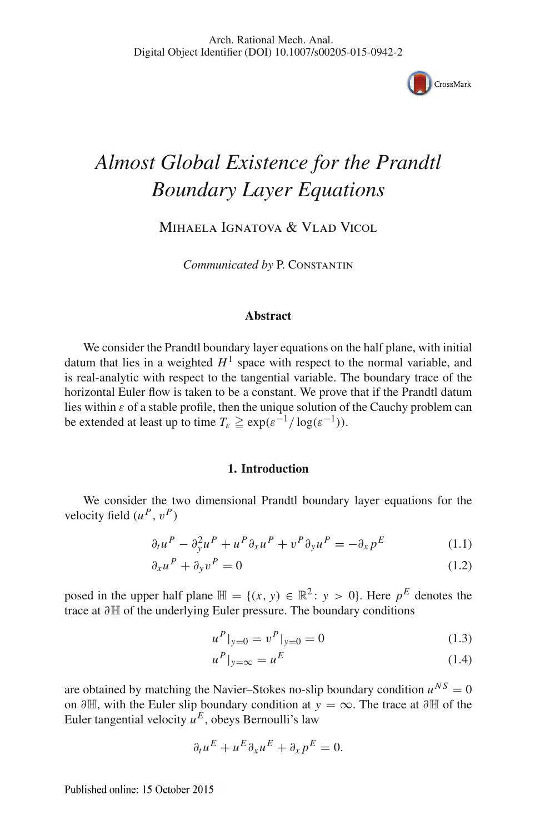

# *Almost Global Existence for the Prandtl Boundary Layer Equations*

Mihaela Ignatova & Vlad Vicol

*Communicated by* P. Constantin

## **Abstract**

We consider the Prandtl boundary layer equations on the half plane, with initial datum that lies in a weighted  $H^1$  space with respect to the normal variable, and is real-analytic with respect to the tangential variable. The boundary trace of the horizontal Euler flow is taken to be a constant. We prove that if the Prandtl datum lies within  $\varepsilon$  of a stable profile, then the unique solution of the Cauchy problem can be extended at least up to time  $T_{\varepsilon} \ge \exp(\varepsilon^{-1}/\log(\varepsilon^{-1}))$ .

#### <span id="page-0-0"></span>**1. Introduction**

We consider the two dimensional Prandtl boundary layer equations for the velocity field  $(u^P, v^P)$ 

$$
\partial_t u^P - \partial_y^2 u^P + u^P \partial_x u^P + v^P \partial_y u^P = -\partial_x p^E \tag{1.1}
$$

$$
\partial_x u^P + \partial_y v^P = 0 \tag{1.2}
$$

posed in the upper half plane  $\mathbb{H} = \{(x, y) \in \mathbb{R}^2 : y > 0\}$ . Here  $p^E$  denotes the trace at ∂H of the underlying Euler pressure. The boundary conditions

<span id="page-0-2"></span>
$$
u^P|_{y=0} = v^P|_{y=0} = 0
$$
\n(1.3)

<span id="page-0-1"></span>
$$
u^P|_{y=\infty} = u^E \tag{1.4}
$$

are obtained by matching the Navier–Stokes no-slip boundary condition  $u^{NS} = 0$ on <sup>∂</sup>H, with the Euler slip boundary condition at *<sup>y</sup>* = ∞. The trace at <sup>∂</sup><sup>H</sup> of the Euler tangential velocity  $u^E$ , obeys Bernoulli's law

$$
\partial_t u^E + u^E \partial_x u^E + \partial_x p^E = 0.
$$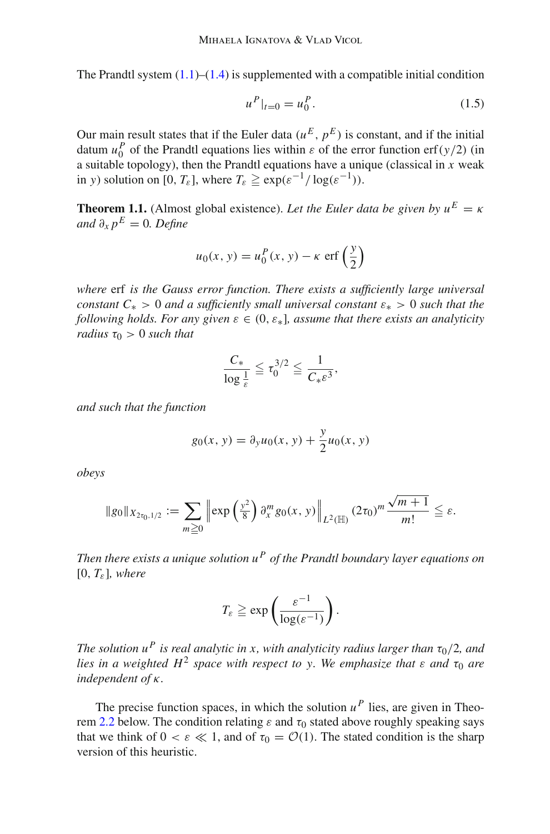The Prandtl system  $(1.1)$ – $(1.4)$  is supplemented with a compatible initial condition

<span id="page-1-1"></span>
$$
u^P|_{t=0} = u_0^P. \tag{1.5}
$$

Our main result states that if the Euler data  $(u^E, p^E)$  is constant, and if the initial datum  $u_0^P$  of the Prandtl equations lies within  $\varepsilon$  of the error function erf(*y*/2) (in a suitable topology), then the Prandtl equations have a unique (classical in *x* weak in *y*) solution on [0,  $T_{\varepsilon}$ ], where  $T_{\varepsilon} \ge \exp(\varepsilon^{-1}/\log(\varepsilon^{-1}))$ .

<span id="page-1-0"></span>**Theorem 1.1.** (Almost global existence). Let the Euler data be given by  $u^E = \kappa$ *and*  $\partial_x p^E = 0$ *. Define* 

$$
u_0(x, y) = u_0^P(x, y) - \kappa \operatorname{erf}\left(\frac{y}{2}\right)
$$

*where* erf *is the Gauss error function. There exists a sufficiently large universal constant*  $C_* > 0$  *and a sufficiently small universal constant*  $\varepsilon_* > 0$  *such that the following holds. For any given*  $\varepsilon \in (0, \varepsilon_*)$ , assume that there exists an analyticity *radius*  $\tau_0 > 0$  *such that* 

$$
\frac{C_*}{\log \frac{1}{\varepsilon}} \leqq \tau_0^{3/2} \leqq \frac{1}{C_* \varepsilon^3},
$$

*and such that the function*

$$
g_0(x, y) = \partial_y u_0(x, y) + \frac{y}{2} u_0(x, y)
$$

*obeys*

$$
\|g_0\|_{X_{2\tau_0,1/2}} := \sum_{m\geq 0} \left\| \exp\left(\frac{y^2}{8}\right) \partial_x^m g_0(x,y) \right\|_{L^2(\mathbb{H})} (2\tau_0)^m \frac{\sqrt{m+1}}{m!} \leq \varepsilon.
$$

*Then there exists a unique solution u<sup>P</sup> of the Prandtl boundary layer equations on*  $[0, T_{\varepsilon}]$ *, where* 

$$
T_{\varepsilon} \geqq \exp \left( \frac{\varepsilon^{-1}}{\log(\varepsilon^{-1})} \right).
$$

*The solution*  $u^P$  *is real analytic in x, with analyticity radius larger than*  $\tau_0/2$ *, and lies in a weighted H<sup>2</sup> space with respect to y. We emphasize that*  $\varepsilon$  *and*  $\tau_0$  *are independent of* κ*.*

<span id="page-1-2"></span>The precise function spaces, in which the solution  $u^P$  lies, are given in Theo-rem [2.2](#page-11-0) below. The condition relating  $\varepsilon$  and  $\tau_0$  stated above roughly speaking says that we think of  $0 < \varepsilon \ll 1$ , and of  $\tau_0 = \mathcal{O}(1)$ . The stated condition is the sharp version of this heuristic.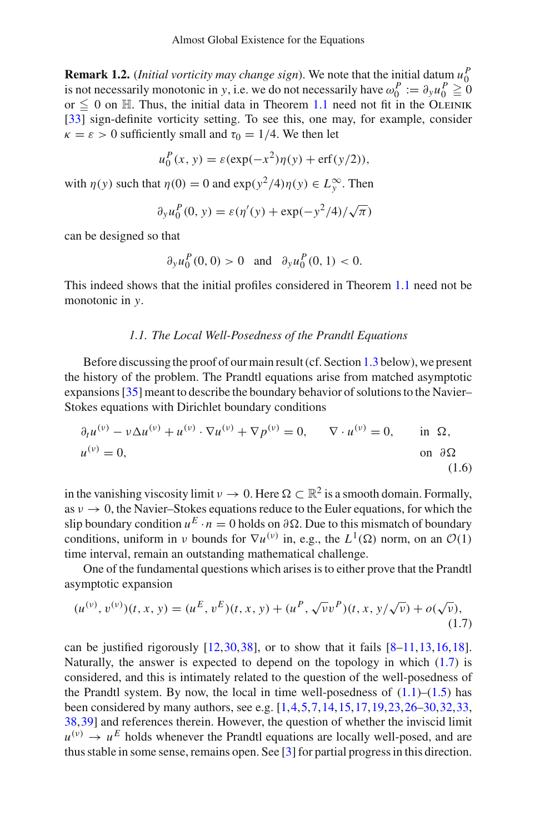**Remark 1.2.** (*Initial vorticity may change sign*). We note that the initial datum  $u_0^P$ is not necessarily monotonic in *y*, i.e. we do not necessarily have  $\omega_0^P := \partial_y u_0^P \ge 0$ or  $\leq 0$  on H. Thus, the initial data in Theorem [1.1](#page-1-0) need not fit in the OLEINIK [\[33\]](#page-39-0) sign-definite vorticity setting. To see this, one may, for example, consider  $\kappa = \varepsilon > 0$  sufficiently small and  $\tau_0 = 1/4$ . We then let

$$
u_0^P(x, y) = \varepsilon(\exp(-x^2)\eta(y) + \text{erf}(y/2)),
$$

with  $\eta(y)$  such that  $\eta(0) = 0$  and  $\exp(y^2/4)\eta(y) \in L_y^{\infty}$ . Then

$$
\partial_y u_0^P(0, y) = \varepsilon(\eta'(y) + \exp(-y^2/4)/\sqrt{\pi})
$$

can be designed so that

$$
\partial_y u_0^P(0,0) > 0
$$
 and  $\partial_y u_0^P(0,1) < 0$ .

This indeed shows that the initial profiles considered in Theorem [1.1](#page-1-0) need not be monotonic in *y*.

## *1.1. The Local Well-Posedness of the Prandtl Equations*

Before discussing the proof of our main result (cf. Section [1.3](#page-4-0) below), we present the history of the problem. The Prandtl equations arise from matched asymptotic expansions [\[35\]](#page-39-1) meant to describe the boundary behavior of solutions to the Navier– Stokes equations with Dirichlet boundary conditions

$$
\partial_t u^{(v)} - v \Delta u^{(v)} + u^{(v)} \cdot \nabla u^{(v)} + \nabla p^{(v)} = 0, \qquad \nabla \cdot u^{(v)} = 0, \qquad \text{in } \Omega, \nu^{(v)} = 0, \qquad \text{on } \partial \Omega \n(1.6)
$$

in the vanishing viscosity limit  $\nu \to 0$ . Here  $\Omega \subset \mathbb{R}^2$  is a smooth domain. Formally, as  $v \to 0$ , the Navier–Stokes equations reduce to the Euler equations, for which the slip boundary condition  $u^E \cdot n = 0$  holds on  $\partial \Omega$ . Due to this mismatch of boundary conditions, uniform in *ν* bounds for  $\nabla u^{(v)}$  in, e.g., the  $L^1(\Omega)$  norm, on an  $\mathcal{O}(1)$ time interval, remain an outstanding mathematical challenge.

One of the fundamental questions which arises is to either prove that the Prandtl asymptotic expansion

<span id="page-2-0"></span>
$$
(u^{(v)}, v^{(v)})(t, x, y) = (u^E, v^E)(t, x, y) + (u^P, \sqrt{v}v^P)(t, x, y/\sqrt{v}) + o(\sqrt{v}),
$$
\n(1.7)

can be justified rigorously  $[12,30,38]$  $[12,30,38]$  $[12,30,38]$  $[12,30,38]$  $[12,30,38]$ , or to show that it fails  $[8-11,13,16,18]$  $[8-11,13,16,18]$  $[8-11,13,16,18]$  $[8-11,13,16,18]$  $[8-11,13,16,18]$  $[8-11,13,16,18]$ . Naturally, the answer is expected to depend on the topology in which  $(1.7)$  is considered, and this is intimately related to the question of the well-posedness of the Prandtl system. By now, the local in time well-posedness of  $(1.1)$ – $(1.5)$  has been considered by many authors, see e.g. [\[1](#page-38-6),[4,](#page-38-7)[5](#page-38-8)[,7](#page-38-9)[,14](#page-38-10),[15,](#page-38-11)[17](#page-38-12)[,19](#page-38-13)[,23](#page-39-4),[26](#page-39-5)[–30](#page-39-2),[32,](#page-39-6)[33,](#page-39-0) [38,](#page-39-3)[39\]](#page-39-7) and references therein. However, the question of whether the inviscid limit  $u^{(v)} \rightarrow u^E$  holds whenever the Prandtl equations are locally well-posed, and are thus stable in some sense, remains open. See [\[3](#page-38-14)] for partial progress in this direction.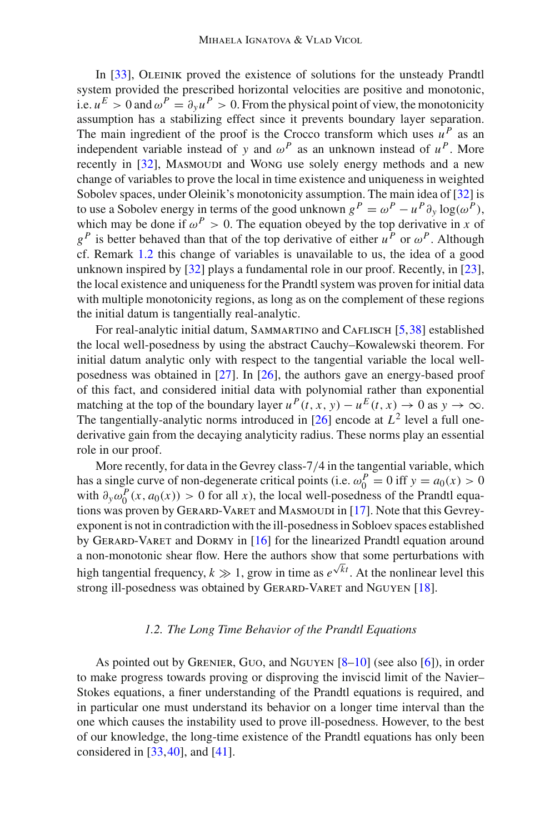In [\[33\]](#page-39-0), OLEINIK proved the existence of solutions for the unsteady Prandtl system provided the prescribed horizontal velocities are positive and monotonic, i.e.  $u^E > 0$  and  $\omega^P = \partial_y u^P > 0$ . From the physical point of view, the monotonicity assumption has a stabilizing effect since it prevents boundary layer separation. The main ingredient of the proof is the Crocco transform which uses  $u^P$  as an independent variable instead of *y* and  $\omega^P$  as an unknown instead of  $u^P$ . More recently in [\[32\]](#page-39-6), MASMOUDI and Wong use solely energy methods and a new change of variables to prove the local in time existence and uniqueness in weighted Sobolev spaces, under Oleinik's monotonicity assumption. The main idea of [\[32](#page-39-6)] is to use a Sobolev energy in terms of the good unknown  $g^P = \omega^P - u^P \partial_y \log(\omega^P)$ , which may be done if  $\omega^P > 0$ . The equation obeyed by the top derivative in *x* of  $g<sup>P</sup>$  is better behaved than that of the top derivative of either *u*<sup>*P*</sup> or  $\omega<sup>P</sup>$ . Although cf. Remark [1.2](#page-1-2) this change of variables is unavailable to us, the idea of a good unknown inspired by [\[32\]](#page-39-6) plays a fundamental role in our proof. Recently, in [\[23](#page-39-4)], the local existence and uniqueness for the Prandtl system was proven for initial data with multiple monotonicity regions, as long as on the complement of these regions the initial datum is tangentially real-analytic.

For real-analytic initial datum, SAMMARTINO and CAFLISCH [\[5](#page-38-8)[,38](#page-39-3)] established the local well-posedness by using the abstract Cauchy–Kowalewski theorem. For initial datum analytic only with respect to the tangential variable the local wellposedness was obtained in [\[27](#page-39-8)]. In [\[26\]](#page-39-5), the authors gave an energy-based proof of this fact, and considered initial data with polynomial rather than exponential matching at the top of the boundary layer  $u^P(t, x, y) - u^E(t, x) \to 0$  as  $y \to \infty$ . The tangentially-analytic norms introduced in  $[26]$  encode at  $L^2$  level a full onederivative gain from the decaying analyticity radius. These norms play an essential role in our proof.

More recently, for data in the Gevrey class-7/4 in the tangential variable, which has a single curve of non-degenerate critical points (i.e.  $\omega_0^P = 0$  iff  $y = a_0(x) > 0$ with  $\partial_y \omega_0^P(x, a_0(x)) > 0$  for all *x*), the local well-posedness of the Prandtl equa-tions was proven by GERARD-VARET and MASMOUDI in [\[17\]](#page-38-12). Note that this Gevreyexponent is not in contradiction with the ill-posedness in Sobloev spaces established by GERARD-VARET and DORMY in  $[16]$  for the linearized Prandtl equation around a non-monotonic shear flow. Here the authors show that some perturbations with high tangential frequency,  $k \gg 1$ , grow in time as  $e^{\sqrt{k}t}$ . At the nonlinear level this strong ill-posedness was obtained by GERARD-VARET and NGUYEN [\[18](#page-38-5)].

#### *1.2. The Long Time Behavior of the Prandtl Equations*

As pointed out by GRENIER, GUO, and NGUYEN  $[8-10]$  $[8-10]$  (see also [\[6](#page-38-16)]), in order to make progress towards proving or disproving the inviscid limit of the Navier– Stokes equations, a finer understanding of the Prandtl equations is required, and in particular one must understand its behavior on a longer time interval than the one which causes the instability used to prove ill-posedness. However, to the best of our knowledge, the long-time existence of the Prandtl equations has only been considered in  $[33, 40]$  $[33, 40]$  $[33, 40]$ , and  $[41]$  $[41]$ .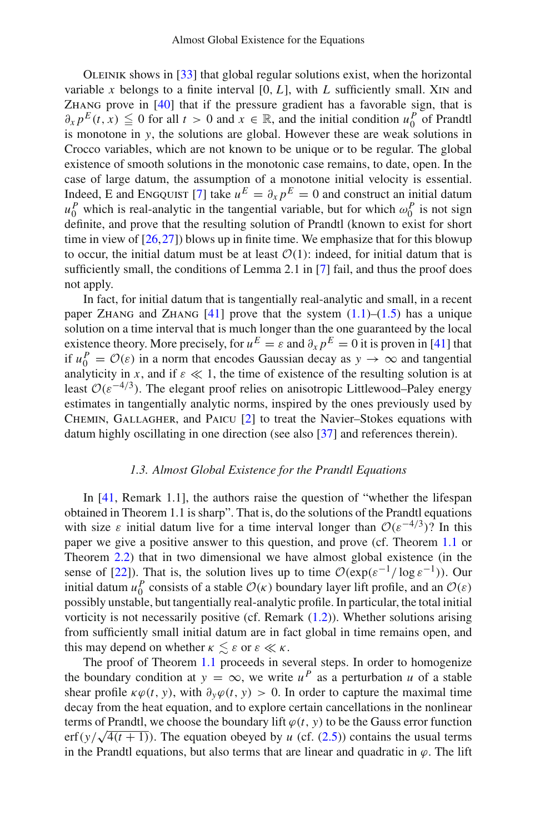Oleinik shows in [\[33](#page-39-0)] that global regular solutions exist, when the horizontal variable  $x$  belongs to a finite interval  $[0, L]$ , with  $L$  sufficiently small. XIN and Zhang prove in [\[40](#page-39-9)] that if the pressure gradient has a favorable sign, that is  $\partial_x p^E(t, x) \leq 0$  for all  $t > 0$  and  $x \in \mathbb{R}$ , and the initial condition  $u_0^P$  of Prandtl is monotone in *y*, the solutions are global. However these are weak solutions in Crocco variables, which are not known to be unique or to be regular. The global existence of smooth solutions in the monotonic case remains, to date, open. In the case of large datum, the assumption of a monotone initial velocity is essential. Indeed, E and ENGQUIST [\[7](#page-38-9)] take  $u^E = \partial_x p^E = 0$  and construct an initial datum  $u_0^P$  which is real-analytic in the tangential variable, but for which  $\omega_0^P$  is not sign definite, and prove that the resulting solution of Prandtl (known to exist for short time in view of  $[26,27]$  $[26,27]$  $[26,27]$ ) blows up in finite time. We emphasize that for this blowup to occur, the initial datum must be at least  $O(1)$ : indeed, for initial datum that is sufficiently small, the conditions of Lemma 2.1 in [\[7\]](#page-38-9) fail, and thus the proof does not apply.

In fact, for initial datum that is tangentially real-analytic and small, in a recent paper ZHANG and ZHANG  $[41]$  $[41]$  prove that the system  $(1.1)$ – $(1.5)$  has a unique solution on a time interval that is much longer than the one guaranteed by the local existence theory. More precisely, for  $u^E = \varepsilon$  and  $\partial_x p^E = 0$  it is proven in [\[41](#page-39-10)] that if  $u_0^P = \mathcal{O}(\varepsilon)$  in a norm that encodes Gaussian decay as  $y \to \infty$  and tangential analyticity in *x*, and if  $\varepsilon \ll 1$ , the time of existence of the resulting solution is at least  $O(\varepsilon^{-4/3})$ . The elegant proof relies on anisotropic Littlewood–Paley energy estimates in tangentially analytic norms, inspired by the ones previously used by Chemin, Gallagher, and Paicu [\[2](#page-38-17)] to treat the Navier–Stokes equations with datum highly oscillating in one direction (see also [\[37](#page-39-11)] and references therein).

## *1.3. Almost Global Existence for the Prandtl Equations*

<span id="page-4-0"></span>In [\[41,](#page-39-10) Remark 1.1], the authors raise the question of "whether the lifespan obtained in Theorem 1.1 is sharp". That is, do the solutions of the Prandtl equations with size  $\varepsilon$  initial datum live for a time interval longer than  $O(\varepsilon^{-4/3})$ ? In this paper we give a positive answer to this question, and prove (cf. Theorem [1.1](#page-1-0) or Theorem [2.2\)](#page-11-0) that in two dimensional we have almost global existence (in the sense of [\[22\]](#page-38-18)). That is, the solution lives up to time  $\mathcal{O}(\exp(\varepsilon^{-1}/\log \varepsilon^{-1}))$ . Our initial datum  $u_0^P$  consists of a stable  $O(\kappa)$  boundary layer lift profile, and an  $O(\varepsilon)$ possibly unstable, but tangentially real-analytic profile. In particular, the total initial vorticity is not necessarily positive (cf. Remark [\(1.2\)](#page-1-2)). Whether solutions arising from sufficiently small initial datum are in fact global in time remains open, and this may depend on whether  $\kappa \leq \varepsilon$  or  $\varepsilon \ll \kappa$ .

The proof of Theorem [1.1](#page-1-0) proceeds in several steps. In order to homogenize the boundary condition at  $y = \infty$ , we write  $u^P$  as a perturbation *u* of a stable shear profile  $\kappa \varphi(t, y)$ , with  $\partial_y \varphi(t, y) > 0$ . In order to capture the maximal time decay from the heat equation, and to explore certain cancellations in the nonlinear terms of Prandtl, we choose the boundary lift  $\varphi(t, y)$  to be the Gauss error function erf( $y/\sqrt{4(t+1)}$ ). The equation obeyed by *u* (cf. [\(2.5\)](#page-7-0)) contains the usual terms in the Prandtl equations, but also terms that are linear and quadratic in  $\varphi$ . The lift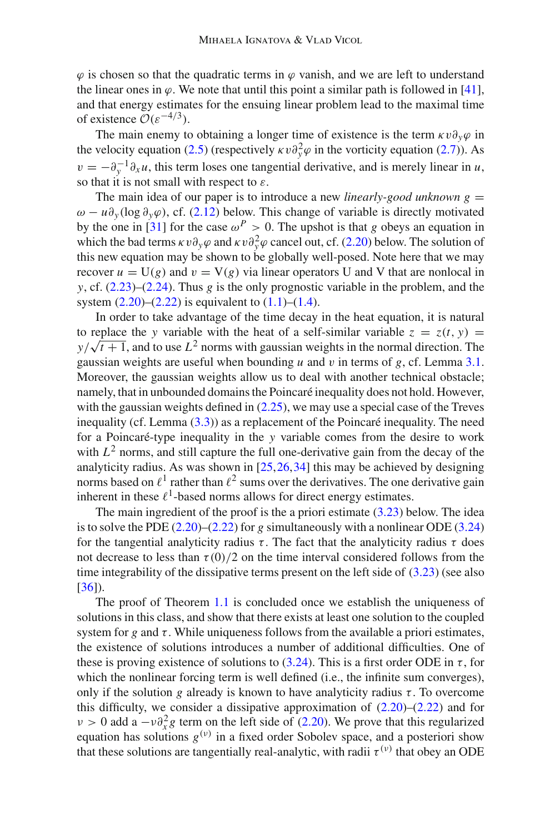$\varphi$  is chosen so that the quadratic terms in  $\varphi$  vanish, and we are left to understand the linear ones in  $\varphi$ . We note that until this point a similar path is followed in [\[41](#page-39-10)], and that energy estimates for the ensuing linear problem lead to the maximal time of existence  $\mathcal{O}(\varepsilon^{-4/3})$ .

The main enemy to obtaining a longer time of existence is the term  $\kappa v \partial_y \varphi$  in the velocity equation [\(2.5\)](#page-7-0) (respectively  $\kappa v \partial_y^2 \varphi$  in the vorticity equation [\(2.7\)](#page-7-1)). As  $v = -\partial_y^{-1} \partial_x u$ , this term loses one tangential derivative, and is merely linear in *u*, so that it is not small with respect to  $\varepsilon$ .

The main idea of our paper is to introduce a new *linearly-good unknown g* = ω − *u*∂*<sup>y</sup>* (log ∂*y*ϕ), cf. [\(2.12\)](#page-7-2) below. This change of variable is directly motivated by the one in [\[31\]](#page-39-12) for the case  $\omega^P > 0$ . The upshot is that *g* obeys an equation in which the bad terms  $\kappa v \partial_y \varphi$  and  $\kappa v \partial_y^2 \varphi$  cancel out, cf. [\(2.20\)](#page-9-0) below. The solution of this new equation may be shown to be globally well-posed. Note here that we may recover  $u = U(g)$  and  $v = V(g)$  via linear operators U and V that are nonlocal in *y*, cf. [\(2.23\)](#page-9-1)–[\(2.24\)](#page-9-2). Thus *g* is the only prognostic variable in the problem, and the system  $(2.20)$ – $(2.22)$  is equivalent to  $(1.1)$ – $(1.4)$ .

In order to take advantage of the time decay in the heat equation, it is natural to replace the *y* variable with the heat of a self-similar variable  $z = z(t, y) =$  $y/\sqrt{t+1}$ , and to use  $L^2$  norms with gaussian weights in the normal direction. The gaussian weights are useful when bounding *u* and *v* in terms of *g*, cf. Lemma [3.1.](#page-13-0) Moreover, the gaussian weights allow us to deal with another technical obstacle; namely, that in unbounded domains the Poincaré inequality does not hold. However, with the gaussian weights defined in  $(2.25)$ , we may use a special case of the Treves inequality (cf. Lemma [\(3.3\)](#page-16-0)) as a replacement of the Poincaré inequality. The need for a Poincaré-type inequality in the *y* variable comes from the desire to work with  $L<sup>2</sup>$  norms, and still capture the full one-derivative gain from the decay of the analyticity radius. As was shown in  $[25, 26, 34]$  $[25, 26, 34]$  $[25, 26, 34]$  this may be achieved by designing norms based on  $\ell^1$  rather than  $\ell^2$  sums over the derivatives. The one derivative gain inherent in these  $\ell^1$ -based norms allows for direct energy estimates.

The main ingredient of the proof is the a priori estimate  $(3.23)$  below. The idea is to solve the PDE [\(2.20\)](#page-9-0)–[\(2.22\)](#page-9-3) for *g* simultaneously with a nonlinear ODE [\(3.24\)](#page-22-0) for the tangential analyticity radius  $\tau$ . The fact that the analyticity radius  $\tau$  does not decrease to less than  $\tau(0)/2$  on the time interval considered follows from the time integrability of the dissipative terms present on the left side of  $(3.23)$  (see also [\[36\]](#page-39-15)).

The proof of Theorem [1.1](#page-1-0) is concluded once we establish the uniqueness of solutions in this class, and show that there exists at least one solution to the coupled system for  $g$  and  $\tau$ . While uniqueness follows from the available a priori estimates, the existence of solutions introduces a number of additional difficulties. One of these is proving existence of solutions to [\(3.24\)](#page-22-0). This is a first order ODE in  $\tau$ , for which the nonlinear forcing term is well defined (i.e., the infinite sum converges), only if the solution *g* already is known to have analyticity radius  $\tau$ . To overcome this difficulty, we consider a dissipative approximation of  $(2.20)$ – $(2.22)$  and for  $v > 0$  add a  $-v\partial_x^2 g$  term on the left side of [\(2.20\)](#page-9-0). We prove that this regularized equation has solutions  $g^{(v)}$  in a fixed order Sobolev space, and a posteriori show that these solutions are tangentially real-analytic, with radii  $\tau^{(\nu)}$  that obey an ODE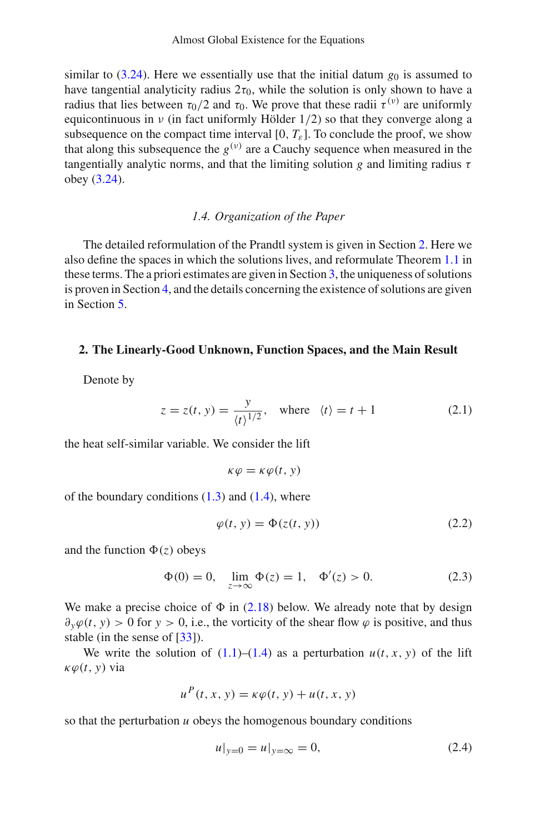similar to [\(3.24\)](#page-22-0). Here we essentially use that the initial datum  $g_0$  is assumed to have tangential analyticity radius  $2\tau_0$ , while the solution is only shown to have a radius that lies between  $τ_0/2$  and  $τ_0$ . We prove that these radii  $τ^{(v)}$  are uniformly equicontinuous in  $\nu$  (in fact uniformly Hölder 1/2) so that they converge along a subsequence on the compact time interval  $[0, T_{\varepsilon}]$ . To conclude the proof, we show that along this subsequence the  $g^{(v)}$  are a Cauchy sequence when measured in the tangentially analytic norms, and that the limiting solution *g* and limiting radius  $\tau$ obey [\(3.24\)](#page-22-0).

# *1.4. Organization of the Paper*

The detailed reformulation of the Prandtl system is given in Section [2.](#page-6-0) Here we also define the spaces in which the solutions lives, and reformulate Theorem [1.1](#page-1-0) in these terms. The a priori estimates are given in Section [3,](#page-12-0) the uniqueness of solutions is proven in Section [4,](#page-23-0) and the details concerning the existence of solutions are given in Section [5.](#page-25-0)

#### <span id="page-6-0"></span>**2. The Linearly-Good Unknown, Function Spaces, and the Main Result**

Denote by

$$
z = z(t, y) = \frac{y}{(t)^{1/2}}, \text{ where } \langle t \rangle = t + 1
$$
 (2.1)

the heat self-similar variable. We consider the lift

$$
\kappa \varphi = \kappa \varphi(t, y)
$$

of the boundary conditions  $(1.3)$  and  $(1.4)$ , where

$$
\varphi(t, y) = \Phi(z(t, y)) \tag{2.2}
$$

and the function  $\Phi(z)$  obeys

$$
\Phi(0) = 0, \quad \lim_{z \to \infty} \Phi(z) = 1, \quad \Phi'(z) > 0. \tag{2.3}
$$

We make a precise choice of  $\Phi$  in [\(2.18\)](#page-8-0) below. We already note that by design  $\partial_y \varphi(t, y) > 0$  for  $y > 0$ , i.e., the vorticity of the shear flow  $\varphi$  is positive, and thus stable (in the sense of [\[33\]](#page-39-0)).

We write the solution of  $(1.1)$ – $(1.4)$  as a perturbation  $u(t, x, y)$  of the lift  $\kappa \varphi(t, y)$  via

$$
u^{P}(t, x, y) = \kappa \varphi(t, y) + u(t, x, y)
$$

so that the perturbation *u* obeys the homogenous boundary conditions

<span id="page-6-1"></span>
$$
u|_{y=0} = u|_{y=\infty} = 0,
$$
\n(2.4)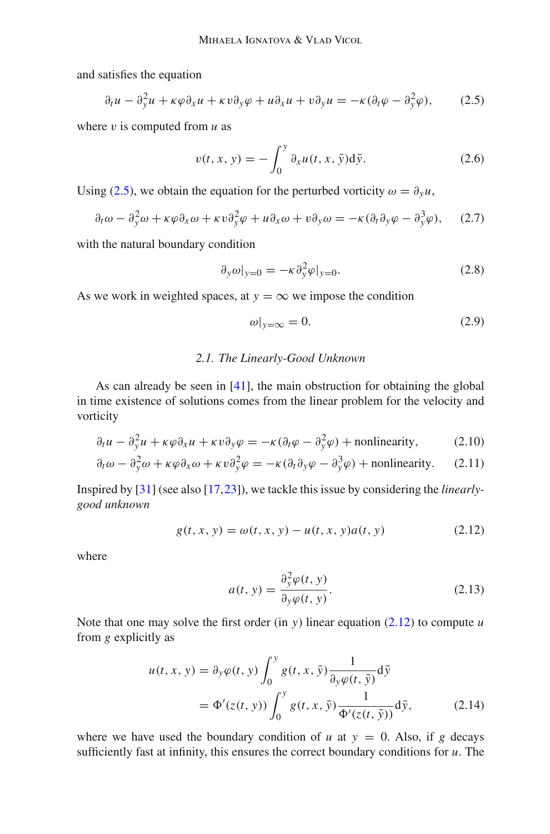and satisfies the equation

$$
\partial_t u - \partial_y^2 u + \kappa \varphi \partial_x u + \kappa v \partial_y \varphi + u \partial_x u + v \partial_y u = -\kappa (\partial_t \varphi - \partial_y^2 \varphi), \qquad (2.5)
$$

where  $v$  is computed from  $u$  as

<span id="page-7-4"></span><span id="page-7-0"></span>
$$
v(t, x, y) = -\int_0^y \partial_x u(t, x, \bar{y}) d\bar{y}.
$$
 (2.6)

Using [\(2.5\)](#page-7-0), we obtain the equation for the perturbed vorticity  $\omega = \partial_y u$ ,

$$
\partial_t \omega - \partial_y^2 \omega + \kappa \varphi \partial_x \omega + \kappa v \partial_y^2 \varphi + u \partial_x \omega + v \partial_y \omega = -\kappa (\partial_t \partial_y \varphi - \partial_y^3 \varphi), \quad (2.7)
$$

with the natural boundary condition

<span id="page-7-1"></span>
$$
\partial_y \omega|_{y=0} = -\kappa \partial_y^2 \varphi|_{y=0}.
$$
 (2.8)

As we work in weighted spaces, at  $y = \infty$  we impose the condition

<span id="page-7-7"></span><span id="page-7-6"></span>
$$
\omega|_{y=\infty} = 0. \tag{2.9}
$$

## *2.1. The Linearly-Good Unknown*

As can already be seen in  $[41]$ , the main obstruction for obtaining the global in time existence of solutions comes from the linear problem for the velocity and vorticity

$$
\partial_t u - \partial_y^2 u + \kappa \varphi \partial_x u + \kappa v \partial_y \varphi = -\kappa (\partial_t \varphi - \partial_y^2 \varphi) + \text{nonlinearity}, \tag{2.10}
$$

$$
\partial_t \omega - \partial_y^2 \omega + \kappa \varphi \partial_x \omega + \kappa \nu \partial_y^2 \varphi = -\kappa (\partial_t \partial_y \varphi - \partial_y^3 \varphi) + \text{nonlinearity.} \tag{2.11}
$$

Inspired by [\[31](#page-39-12)] (see also [\[17](#page-38-12)[,23](#page-39-4)]), we tackle this issue by considering the *linearlygood unknown*

$$
g(t, x, y) = \omega(t, x, y) - u(t, x, y)a(t, y)
$$
 (2.12)

where

<span id="page-7-5"></span><span id="page-7-3"></span><span id="page-7-2"></span>
$$
a(t, y) = \frac{\partial_y^2 \varphi(t, y)}{\partial_y \varphi(t, y)}.
$$
\n(2.13)

Note that one may solve the first order (in *y*) linear equation  $(2.12)$  to compute *u* from *g* explicitly as

$$
u(t, x, y) = \partial_y \varphi(t, y) \int_0^y g(t, x, \bar{y}) \frac{1}{\partial_y \varphi(t, \bar{y})} d\bar{y}
$$
  
=  $\Phi'(z(t, y)) \int_0^y g(t, x, \bar{y}) \frac{1}{\Phi'(z(t, \bar{y}))} d\bar{y},$  (2.14)

where we have used the boundary condition of  $u$  at  $y = 0$ . Also, if  $g$  decays sufficiently fast at infinity, this ensures the correct boundary conditions for *u*. The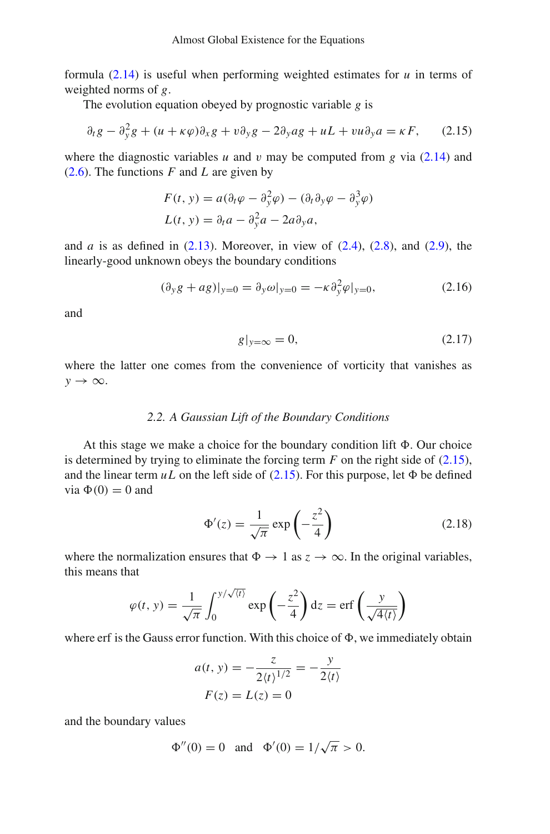formula [\(2.14\)](#page-7-3) is useful when performing weighted estimates for *u* in terms of weighted norms of *g*.

The evolution equation obeyed by prognostic variable *g* is

$$
\partial_t g - \partial_y^2 g + (u + \kappa \varphi) \partial_x g + v \partial_y g - 2 \partial_y a g + u L + v u \partial_y a = \kappa F, \qquad (2.15)
$$

where the diagnostic variables *u* and *v* may be computed from *g* via  $(2.14)$  and [\(2.6\)](#page-7-4). The functions *F* and *L* are given by

<span id="page-8-1"></span>
$$
F(t, y) = a(\partial_t \varphi - \partial_y^2 \varphi) - (\partial_t \partial_y \varphi - \partial_y^3 \varphi)
$$
  

$$
L(t, y) = \partial_t a - \partial_y^2 a - 2a \partial_y a,
$$

and *a* is as defined in  $(2.13)$ . Moreover, in view of  $(2.4)$ ,  $(2.8)$ , and  $(2.9)$ , the linearly-good unknown obeys the boundary conditions

$$
(\partial_y g + ag)|_{y=0} = \partial_y \omega|_{y=0} = -\kappa \partial_y^2 \varphi|_{y=0},
$$
\n(2.16)

and

$$
g|_{y=\infty} = 0,\t(2.17)
$$

where the latter one comes from the convenience of vorticity that vanishes as *y* → ∞.

## *2.2. A Gaussian Lift of the Boundary Conditions*

At this stage we make a choice for the boundary condition lift  $\Phi$ . Our choice is determined by trying to eliminate the forcing term  $F$  on the right side of  $(2.15)$ , and the linear term  $uL$  on the left side of [\(2.15\)](#page-8-1). For this purpose, let  $\Phi$  be defined via  $\Phi(0) = 0$  and

<span id="page-8-0"></span>
$$
\Phi'(z) = \frac{1}{\sqrt{\pi}} \exp\left(-\frac{z^2}{4}\right) \tag{2.18}
$$

where the normalization ensures that  $\Phi \to 1$  as  $z \to \infty$ . In the original variables, this means that

$$
\varphi(t, y) = \frac{1}{\sqrt{\pi}} \int_0^{y/\sqrt{\langle t \rangle}} \exp\left(-\frac{z^2}{4}\right) dz = \text{erf}\left(\frac{y}{\sqrt{4\langle t \rangle}}\right)
$$

where erf is the Gauss error function. With this choice of  $\Phi$ , we immediately obtain

$$
a(t, y) = -\frac{z}{2(t)^{1/2}} = -\frac{y}{2(t)}
$$
  

$$
F(z) = L(z) = 0
$$

and the boundary values

$$
\Phi''(0) = 0
$$
 and  $\Phi'(0) = 1/\sqrt{\pi} > 0$ .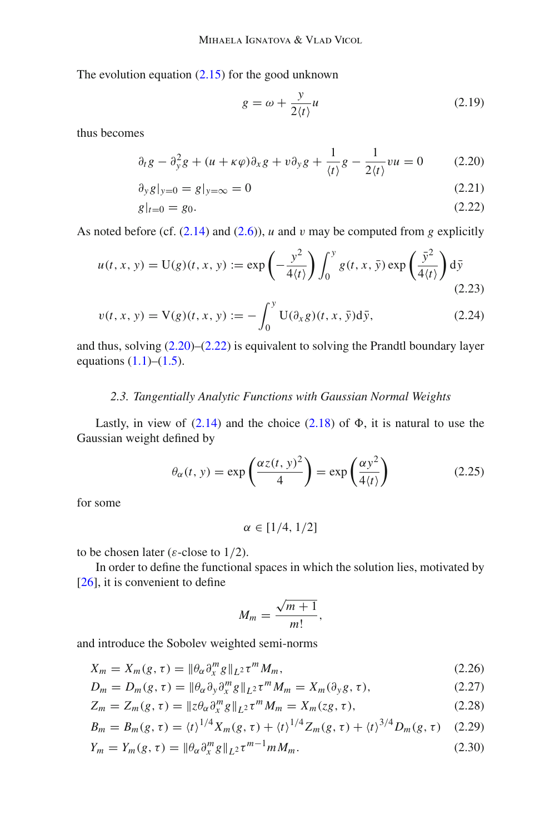The evolution equation  $(2.15)$  for the good unknown

<span id="page-9-5"></span><span id="page-9-3"></span><span id="page-9-1"></span><span id="page-9-0"></span>
$$
g = \omega + \frac{y}{2\langle t \rangle} u \tag{2.19}
$$

thus becomes

$$
\partial_t g - \partial_y^2 g + (u + \kappa \varphi) \partial_x g + v \partial_y g + \frac{1}{\langle t \rangle} g - \frac{1}{2 \langle t \rangle} v u = 0 \qquad (2.20)
$$

$$
\partial_y g|_{y=0} = g|_{y=\infty} = 0 \tag{2.21}
$$

$$
g|_{t=0} = g_0. \tag{2.22}
$$

As noted before (cf. [\(2.14\)](#page-7-3) and [\(2.6\)](#page-7-4)), *u* and v may be computed from *g* explicitly

$$
u(t, x, y) = U(g)(t, x, y) := \exp\left(-\frac{y^2}{4\langle t \rangle}\right) \int_0^y g(t, x, \bar{y}) \exp\left(\frac{\bar{y}^2}{4\langle t \rangle}\right) d\bar{y}
$$
(2.23)

$$
v(t, x, y) = V(g)(t, x, y) := -\int_0^y U(\partial_x g)(t, x, \bar{y}) d\bar{y},
$$
 (2.24)

and thus, solving  $(2.20)$ – $(2.22)$  is equivalent to solving the Prandtl boundary layer equations  $(1.1)$ – $(1.5)$ .

## *2.3. Tangentially Analytic Functions with Gaussian Normal Weights*

Lastly, in view of  $(2.14)$  and the choice  $(2.18)$  of  $\Phi$ , it is natural to use the Gaussian weight defined by

<span id="page-9-2"></span>
$$
\theta_{\alpha}(t, y) = \exp\left(\frac{\alpha z(t, y)^2}{4}\right) = \exp\left(\frac{\alpha y^2}{4\langle t \rangle}\right) \tag{2.25}
$$

for some

<span id="page-9-4"></span>
$$
\alpha \in [1/4, 1/2]
$$

to be chosen later ( $\varepsilon$ -close to 1/2).

In order to define the functional spaces in which the solution lies, motivated by [\[26\]](#page-39-5), it is convenient to define

<span id="page-9-7"></span><span id="page-9-6"></span>
$$
M_m=\frac{\sqrt{m+1}}{m!},
$$

and introduce the Sobolev weighted semi-norms

$$
X_m = X_m(g, \tau) = \|\theta_\alpha \partial_x^m g\|_{L^2} \tau^m M_m,
$$
\n(2.26)

$$
D_m = D_m(g, \tau) = \|\theta_\alpha \partial_y \partial_x^m g\|_{L^2} \tau^m M_m = X_m(\partial_y g, \tau), \tag{2.27}
$$

$$
Z_m = Z_m(g, \tau) = \|z\theta_\alpha \partial_x^m g\|_{L^2} \tau^m M_m = X_m(zg, \tau), \qquad (2.28)
$$

$$
B_m = B_m(g, \tau) = \langle t \rangle^{1/4} X_m(g, \tau) + \langle t \rangle^{1/4} Z_m(g, \tau) + \langle t \rangle^{3/4} D_m(g, \tau) \quad (2.29)
$$

$$
Y_m = Y_m(g, \tau) = \|\theta_\alpha \partial_x^m g\|_{L^2} \tau^{m-1} m M_m. \tag{2.30}
$$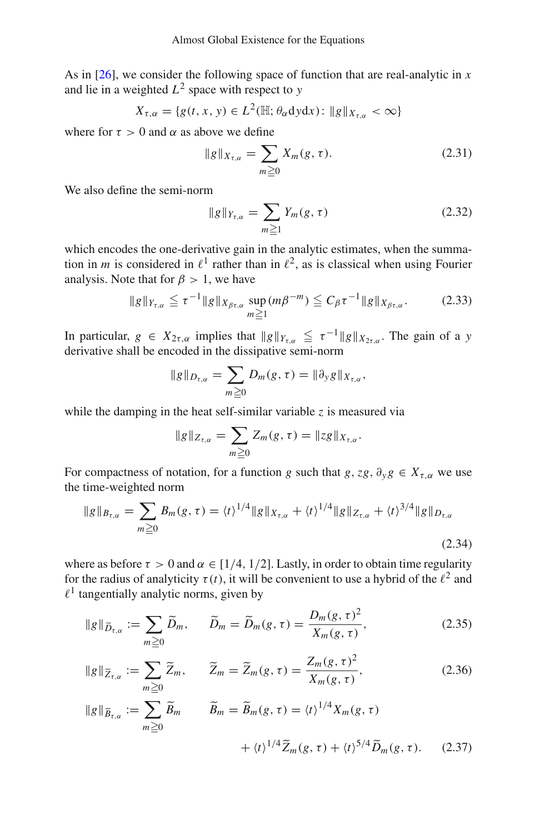As in [\[26](#page-39-5)], we consider the following space of function that are real-analytic in *x* and lie in a weighted  $L^2$  space with respect to  $y$ 

$$
X_{\tau,\alpha} = \{g(t,x,y) \in L^2(\mathbb{H};\theta_\alpha \mathrm{d}y\mathrm{d}x) : \|g\|_{X_{\tau,\alpha}} < \infty\}
$$

where for  $\tau > 0$  and  $\alpha$  as above we define

$$
||g||_{X_{\tau,\alpha}} = \sum_{m \geq 0} X_m(g,\tau). \tag{2.31}
$$

We also define the semi-norm

<span id="page-10-3"></span>
$$
||g||_{Y_{\tau,\alpha}} = \sum_{m \ge 1} Y_m(g,\tau) \tag{2.32}
$$

which encodes the one-derivative gain in the analytic estimates, when the summation in *m* is considered in  $\ell^1$  rather than in  $\ell^2$ , as is classical when using Fourier analysis. Note that for  $\beta > 1$ , we have

$$
\|g\|_{Y_{\tau,\alpha}} \leqq \tau^{-1} \|g\|_{X_{\beta\tau,\alpha}} \sup_{m \geqq 1} (m\beta^{-m}) \leqq C_{\beta} \tau^{-1} \|g\|_{X_{\beta\tau,\alpha}}.
$$
 (2.33)

In particular,  $g \in X_{2\tau,\alpha}$  implies that  $||g||_{Y_{\tau,\alpha}} \leq \tau^{-1}||g||_{X_{2\tau,\alpha}}$ . The gain of a *y* derivative shall be encoded in the dissipative semi-norm

$$
\|g\|_{D_{\tau,\alpha}}=\sum_{m\geq 0}D_m(g,\tau)=\|\partial_y g\|_{X_{\tau,\alpha}},
$$

while the damping in the heat self-similar variable  $z$  is measured via

<span id="page-10-2"></span><span id="page-10-0"></span>
$$
||g||_{Z_{\tau,\alpha}}=\sum_{m\geq 0}Z_m(g,\tau)=||zg||_{X_{\tau,\alpha}}.
$$

For compactness of notation, for a function *g* such that  $g$ ,  $zg$ ,  $\partial_y g \in X_{\tau,\alpha}$  we use the time-weighted norm

$$
\|g\|_{B_{\tau,\alpha}} = \sum_{m\geq 0} B_m(g,\tau) = \langle t \rangle^{1/4} \|g\|_{X_{\tau,\alpha}} + \langle t \rangle^{1/4} \|g\|_{Z_{\tau,\alpha}} + \langle t \rangle^{3/4} \|g\|_{D_{\tau,\alpha}}
$$
\n(2.34)

where as before  $\tau > 0$  and  $\alpha \in [1/4, 1/2]$ . Lastly, in order to obtain time regularity for the radius of analyticity  $\tau(t)$ , it will be convenient to use a hybrid of the  $\ell^2$  and  $\ell^1$  tangentially analytic norms, given by

$$
\|g\|_{\widetilde{D}_{\tau,\alpha}} := \sum_{m\geq 0} \widetilde{D}_m, \qquad \widetilde{D}_m = \widetilde{D}_m(g,\tau) = \frac{D_m(g,\tau)^2}{X_m(g,\tau)},\tag{2.35}
$$

<span id="page-10-1"></span>
$$
||g||_{\widetilde{Z}_{\tau,\alpha}} := \sum_{m\geq 0} \widetilde{Z}_m, \qquad \widetilde{Z}_m = \widetilde{Z}_m(g,\tau) = \frac{Z_m(g,\tau)^2}{X_m(g,\tau)},
$$
(2.36)  

$$
||g||_{\widetilde{B}_{\tau,\alpha}} := \sum_{m\geq 0} \widetilde{B}_m \qquad \widetilde{B}_m = \widetilde{B}_m(g,\tau) = \langle t \rangle^{1/4} X_m(g,\tau)
$$

$$
+ \langle t \rangle^{1/4} \widetilde{Z}_m(g,\tau) + \langle t \rangle^{5/4} \widetilde{D}_m(g,\tau). \qquad (2.37)
$$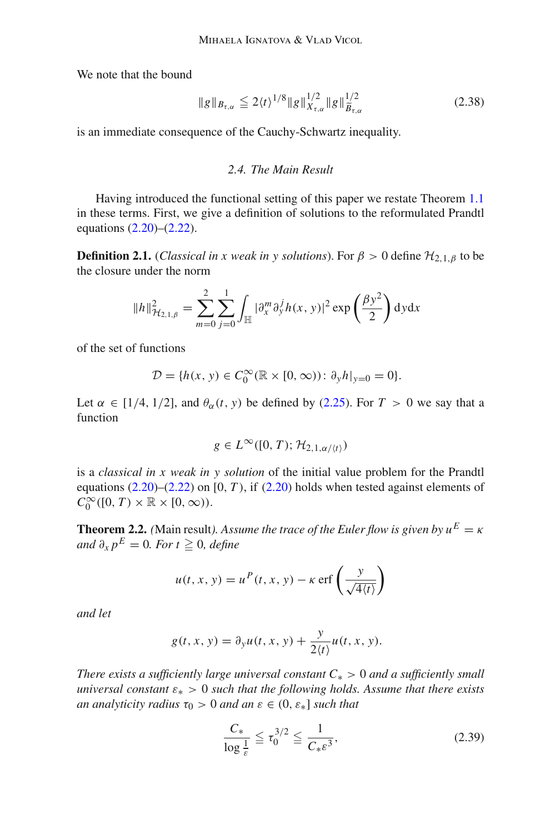We note that the bound

$$
\|g\|_{B_{\tau,\alpha}} \le 2 \langle t \rangle^{1/8} \|g\|_{X_{\tau,\alpha}}^{1/2} \|g\|_{\widetilde{B}_{\tau,\alpha}}^{1/2}
$$
 (2.38)

is an immediate consequence of the Cauchy-Schwartz inequality.

# <span id="page-11-1"></span>*2.4. The Main Result*

Having introduced the functional setting of this paper we restate Theorem [1.1](#page-1-0) in these terms. First, we give a definition of solutions to the reformulated Prandtl equations [\(2.20\)](#page-9-0)–[\(2.22\)](#page-9-3).

<span id="page-11-3"></span>**Definition 2.1.** (*Classical in x weak in y solutions*). For  $\beta > 0$  define  $\mathcal{H}_{2,1,\beta}$  to be the closure under the norm

$$
||h||_{\mathcal{H}_{2,1,\beta}}^2 = \sum_{m=0}^2 \sum_{j=0}^1 \int_{\mathbb{H}} |\partial_x^m \partial_y^j h(x, y)|^2 \exp\left(\frac{\beta y^2}{2}\right) dy dx
$$

of the set of functions

$$
\mathcal{D} = \{h(x, y) \in C_0^{\infty}(\mathbb{R} \times [0, \infty)) : \partial_y h|_{y=0} = 0\}.
$$

Let  $\alpha \in [1/4, 1/2]$ , and  $\theta_{\alpha}(t, y)$  be defined by [\(2.25\)](#page-9-4). For  $T > 0$  we say that a function

$$
g \in L^{\infty}([0, T); \mathcal{H}_{2, 1, \alpha/\langle t \rangle})
$$

is a *classical in x weak in y solution* of the initial value problem for the Prandtl equations  $(2.20)$ – $(2.22)$  on [0, *T*), if  $(2.20)$  holds when tested against elements of  $C_0^{\infty}([0, T) \times \mathbb{R} \times [0, \infty)).$ 

<span id="page-11-0"></span>**Theorem 2.2.** *(Main result). Assume the trace of the Euler flow is given by*  $u^E = \kappa$  $\int d^2x \, p^E = 0$ . For  $t \ge 0$ , define

$$
u(t, x, y) = uP(t, x, y) - \kappa \operatorname{erf}\left(\frac{y}{\sqrt{4(t)}}\right)
$$

*and let*

$$
g(t, x, y) = \partial_y u(t, x, y) + \frac{y}{2(t)} u(t, x, y).
$$

*There exists a sufficiently large universal constant C*<sup>∗</sup> > 0 *and a sufficiently small universal constant* ε<sup>∗</sup> > 0 *such that the following holds. Assume that there exists an analyticity radius*  $\tau_0 > 0$  *and an*  $\varepsilon \in (0, \varepsilon_*]$  *such that* 

<span id="page-11-2"></span>
$$
\frac{C_*}{\log \frac{1}{\varepsilon}} \le \tau_0^{3/2} \le \frac{1}{C_* \varepsilon^3},\tag{2.39}
$$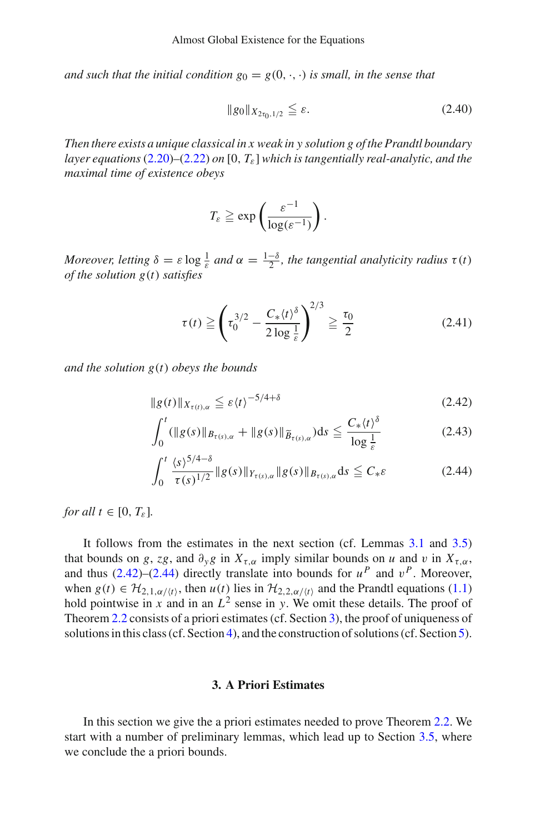*and such that the initial condition*  $g_0 = g(0, \cdot, \cdot)$  *is small, in the sense that* 

$$
||g_0||_{X_{2\tau_0,1/2}} \leq \varepsilon. \tag{2.40}
$$

*Then there exists a unique classical in x weak in y solution g of the Prandtl boundary layer equations* [\(2.20\)](#page-9-0)*–*[\(2.22\)](#page-9-3) *on* [0, *T*ε] *which is tangentially real-analytic, and the maximal time of existence obeys*

$$
T_{\varepsilon} \geq \exp\left(\frac{\varepsilon^{-1}}{\log(\varepsilon^{-1})}\right).
$$

*Moreover, letting*  $\delta = \varepsilon \log \frac{1}{\varepsilon}$  *and*  $\alpha = \frac{1-\delta}{2}$ *, the tangential analyticity radius*  $\tau(t)$ *of the solution g*(*t*) *satisfies*

<span id="page-12-4"></span><span id="page-12-1"></span>
$$
\tau(t) \ge \left(\tau_0^{3/2} - \frac{C_*(t)^{\delta}}{2\log \frac{1}{\varepsilon}}\right)^{2/3} \ge \frac{\tau_0}{2}
$$
 (2.41)

*and the solution g*(*t*) *obeys the bounds*

$$
||g(t)||_{X_{\tau(t),\alpha}} \leq \varepsilon \langle t \rangle^{-5/4 + \delta} \tag{2.42}
$$

<span id="page-12-3"></span>
$$
\int_0^t (\|g(s)\|_{B_{\tau(s),\alpha}} + \|g(s)\|_{\widetilde{B}_{\tau(s),\alpha}}) ds \leq \frac{C_*(t)^{\delta}}{\log \frac{1}{\varepsilon}}
$$
(2.43)

<span id="page-12-2"></span>
$$
\int_0^t \frac{\langle s \rangle^{5/4-\delta}}{\tau(s)^{1/2}} \|g(s)\|_{Y_{\tau(s),\alpha}} \|g(s)\|_{B_{\tau(s),\alpha}} ds \leq C_* \varepsilon
$$
\n(2.44)

*for all*  $t \in [0, T_{\varepsilon}].$ 

It follows from the estimates in the next section (cf. Lemmas [3.1](#page-13-0) and [3.5\)](#page-18-0) that bounds on *g*, *zg*, and  $\partial_y g$  in  $X_{\tau,\alpha}$  imply similar bounds on *u* and *v* in  $X_{\tau,\alpha}$ , and thus  $(2.42)$ – $(2.44)$  directly translate into bounds for  $u^P$  and  $v^P$ . Moreover, when  $g(t) \in H_{2,1,\alpha/(t)}$ , then  $u(t)$  lies in  $H_{2,2,\alpha/(t)}$  and the Prandtl equations [\(1.1\)](#page-0-0) hold pointwise in *x* and in an  $L^2$  sense in *y*. We omit these details. The proof of Theorem [2.2](#page-11-0) consists of a priori estimates (cf. Section [3\)](#page-12-0), the proof of uniqueness of solutions in this class (cf. Section [4\)](#page-23-0), and the construction of solutions (cf. Section [5\)](#page-25-0).

## **3. A Priori Estimates**

<span id="page-12-0"></span>In this section we give the a priori estimates needed to prove Theorem [2.2.](#page-11-0) We start with a number of preliminary lemmas, which lead up to Section [3.5,](#page-21-1) where we conclude the a priori bounds.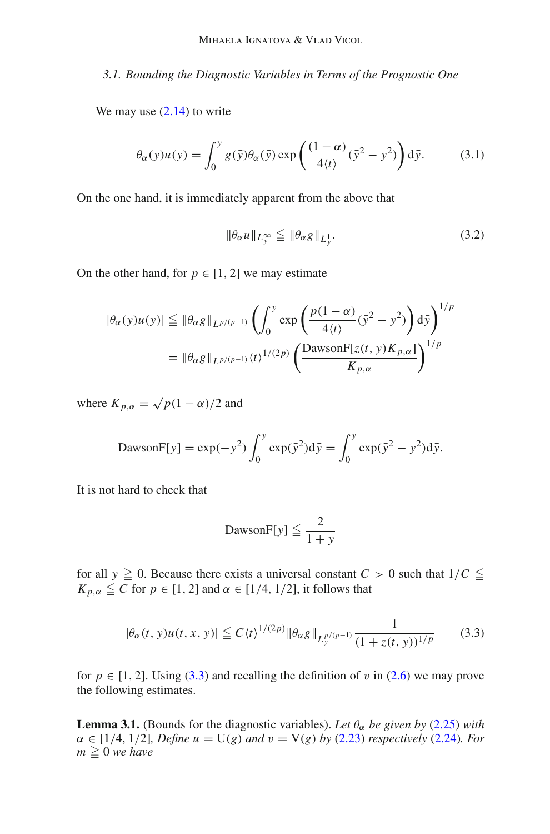*3.1. Bounding the Diagnostic Variables in Terms of the Prognostic One*

We may use  $(2.14)$  to write

$$
\theta_{\alpha}(y)u(y) = \int_0^y g(\bar{y})\theta_{\alpha}(\bar{y}) \exp\left(\frac{(1-\alpha)}{4\langle t\rangle}(\bar{y}^2 - y^2)\right) d\bar{y}.
$$
 (3.1)

On the one hand, it is immediately apparent from the above that

<span id="page-13-3"></span><span id="page-13-2"></span>
$$
\|\theta_{\alpha}u\|_{L_{\mathcal{V}}^{\infty}} \leq \|\theta_{\alpha}g\|_{L_{\mathcal{Y}}^{1}}.
$$
\n(3.2)

On the other hand, for  $p \in [1, 2]$  we may estimate

$$
|\theta_{\alpha}(y)u(y)| \leq ||\theta_{\alpha}g||_{L^{p/(p-1)}} \left(\int_0^y \exp\left(\frac{p(1-\alpha)}{4\langle t\rangle}(\bar{y}^2 - y^2)\right) d\bar{y}\right)^{1/p}
$$
  
= 
$$
||\theta_{\alpha}g||_{L^{p/(p-1)}} \langle t\rangle^{1/(2p)} \left(\frac{\text{DawsonF}[z(t, y)K_{p,\alpha}]}{K_{p,\alpha}}\right)^{1/p}
$$

where  $K_{p,\alpha} = \sqrt{p(1-\alpha)}/2$  and

$$
\text{DawsonF}[y] = \exp(-y^2) \int_0^y \exp(\bar{y}^2) d\bar{y} = \int_0^y \exp(\bar{y}^2 - y^2) d\bar{y}.
$$

It is not hard to check that

<span id="page-13-1"></span>
$$
\text{DawsonF}[y] \leq \frac{2}{1+y}
$$

for all  $y \ge 0$ . Because there exists a universal constant  $C > 0$  such that  $1/C \le$  $K_{p,\alpha} \leq C$  for  $p \in [1,2]$  and  $\alpha \in [1/4, 1/2]$ , it follows that

$$
|\theta_{\alpha}(t, y)u(t, x, y)| \le C \langle t \rangle^{1/(2p)} \|\theta_{\alpha}g\|_{L_{y}^{p/(p-1)}} \frac{1}{(1 + z(t, y))^{1/p}}
$$
(3.3)

<span id="page-13-0"></span>for  $p \in [1, 2]$ . Using [\(3.3\)](#page-13-1) and recalling the definition of v in [\(2.6\)](#page-7-4) we may prove the following estimates.

**Lemma 3.1.** (Bounds for the diagnostic variables). Let  $\theta_{\alpha}$  be given by [\(2.25\)](#page-9-4) with  $\alpha \in [1/4, 1/2]$ *, Define*  $u = U(g)$  *and*  $v = V(g)$  *by* [\(2.23\)](#page-9-1) *respectively* [\(2.24\)](#page-9-2)*. For*  $m \geq 0$  we have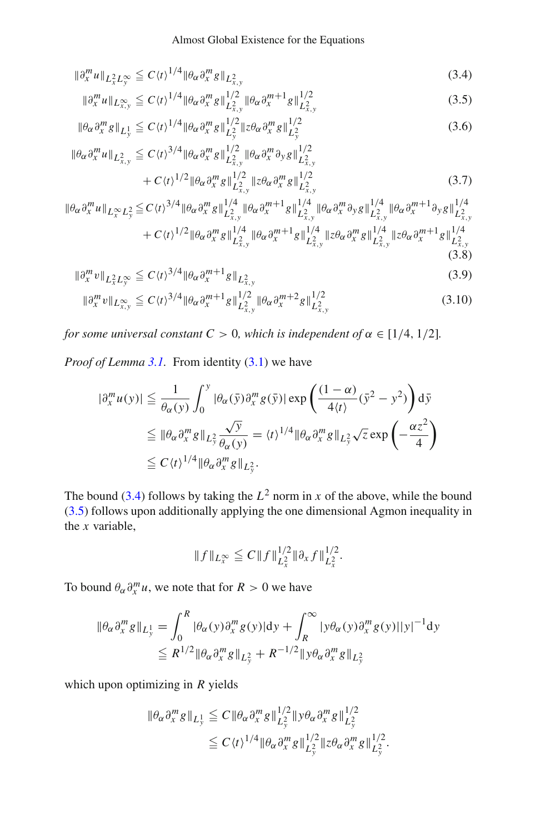$$
\|\partial_x^m u\|_{L^2_x L^\infty_y} \le C \langle t \rangle^{1/4} \|\theta_\alpha \partial_x^m g\|_{L^2_{x,y}} \tag{3.4}
$$

<span id="page-14-2"></span><span id="page-14-1"></span><span id="page-14-0"></span>
$$
\|\partial_x^m u\|_{L^{\infty}_{x,y}} \le C \langle t \rangle^{1/4} \|\theta_{\alpha}\partial_x^m g\|_{L^2_{x,y}}^{1/2} \|\theta_{\alpha}\partial_x^{m+1} g\|_{L^2_{x,y}}^{1/2}
$$
(3.5)

<span id="page-14-3"></span>
$$
\|\theta_{\alpha}\partial_x^m g\|_{L_y^1} \le C \langle t \rangle^{1/4} \|\theta_{\alpha}\partial_x^m g\|_{L_y^2}^{1/2} \|z\theta_{\alpha}\partial_x^m g\|_{L_y^2}^{1/2}
$$
\n(3.6)

$$
\|\theta_{\alpha}\partial_{x}^{m} u\|_{L^{2}_{x,y}} \leq C \langle t \rangle^{3/4} \|\theta_{\alpha}\partial_{x}^{m} g\|_{L^{2}_{x,y}}^{1/2} \|\theta_{\alpha}\partial_{x}^{m} \partial_{y} g\|_{L^{2}_{x,y}}^{1/2} + C \langle t \rangle^{1/2} \|\theta_{\alpha}\partial_{x}^{m} g\|_{L^{2}_{x,y}}^{1/2} \|z\theta_{\alpha}\partial_{x}^{m} g\|_{L^{2}_{x,y}}^{1/2}
$$
(3.7)

$$
\begin{split} \|\theta_{\alpha}\partial_{x}^{m}u\|_{L_{x}^{\infty}L_{y}^{2}} &\leq C\langle t\rangle^{3/4} \|\theta_{\alpha}\partial_{x}^{m}g\|_{L_{x,y}^{2}}^{1/4} \|\theta_{\alpha}\partial_{x}^{m+1}g\|_{L_{x,y}^{2}}^{1/4} \|\theta_{\alpha}\partial_{x}^{m}\partial_{y}g\|_{L_{x,y}^{2}}^{1/4} \|\theta_{\alpha}\partial_{x}^{m+1}\partial_{y}g\|_{L_{x,y}^{2}}^{1/4} \\ &+C\langle t\rangle^{1/2} \|\theta_{\alpha}\partial_{x}^{m}g\|_{L_{x,y}^{2}}^{1/4} \|\theta_{\alpha}\partial_{x}^{m+1}g\|_{L_{x,y}^{2}}^{1/4} \|\xi\theta_{\alpha}\partial_{x}^{m}g\|_{L_{x,y}^{2}}^{1/4} \|\xi\theta_{\alpha}\partial_{x}^{m+1}g\|_{L_{x,y}^{2}}^{1/4} \end{split} \tag{3.8}
$$

$$
\|\partial_x^m v\|_{L_x^2 L_y^\infty} \le C \langle t \rangle^{3/4} \|\theta_\alpha \partial_x^{m+1} g\|_{L_{x,y}^2}
$$
\n(3.9)

<span id="page-14-5"></span><span id="page-14-4"></span>
$$
\|\partial_x^m v\|_{L^{\infty}_{x,y}} \le C \langle t \rangle^{3/4} \|\theta_\alpha \partial_x^{m+1} g\|_{L^2_{x,y}}^{1/2} \|\theta_\alpha \partial_x^{m+2} g\|_{L^2_{x,y}}^{1/2}
$$
(3.10)

*for some universal constant*  $C > 0$ *, which is independent of*  $\alpha \in [1/4, 1/2]$ *.* 

*Proof of Lemma [3.1.](#page-13-0)* From identity [\(3.1\)](#page-13-2) we have

<span id="page-14-6"></span>
$$
\begin{split} |\partial_{x}^{m} u(y)| &\leq \frac{1}{\theta_{\alpha}(y)} \int_{0}^{y} |\theta_{\alpha}(\bar{y}) \partial_{x}^{m} g(\bar{y})| \exp\left(\frac{(1-\alpha)}{4\langle t\rangle} (\bar{y}^{2} - y^{2})\right) d\bar{y} \\ &\leq \|\theta_{\alpha} \partial_{x}^{m} g\|_{L_{y}^{2}} \frac{\sqrt{y}}{\theta_{\alpha}(y)} = \langle t\rangle^{1/4} \|\theta_{\alpha} \partial_{x}^{m} g\|_{L_{y}^{2}} \sqrt{z} \exp\left(-\frac{\alpha z^{2}}{4}\right) \\ &\leq C \langle t\rangle^{1/4} \|\theta_{\alpha} \partial_{x}^{m} g\|_{L_{y}^{2}}. \end{split}
$$

The bound [\(3.4\)](#page-14-0) follows by taking the  $L^2$  norm in *x* of the above, while the bound  $(3.5)$  follows upon additionally applying the one dimensional Agmon inequality in the *x* variable,

$$
||f||_{L_x^{\infty}} \leqq C||f||_{L_x^2}^{1/2} ||\partial_x f||_{L_x^2}^{1/2}.
$$

To bound  $\theta_{\alpha} \partial_x^m u$ , we note that for  $R > 0$  we have

$$
\begin{aligned} \|\theta_{\alpha}\partial_x^m g\|_{L_y^1} &= \int_0^R |\theta_{\alpha}(y)\partial_x^m g(y)| \mathrm{d}y + \int_R^\infty |y\theta_{\alpha}(y)\partial_x^m g(y)| |y|^{-1} \mathrm{d}y \\ &\le R^{1/2} \|\theta_{\alpha}\partial_x^m g\|_{L_y^2} + R^{-1/2} \|y\theta_{\alpha}\partial_x^m g\|_{L_y^2} \end{aligned}
$$

which upon optimizing in *R* yields

$$
\|\theta_{\alpha}\partial_{x}^{m}g\|_{L_{y}^{1}} \leq C \|\theta_{\alpha}\partial_{x}^{m}g\|_{L_{y}^{2}}^{1/2} \|y\theta_{\alpha}\partial_{x}^{m}g\|_{L_{y}^{2}}^{1/2}
$$
  

$$
\leq C \langle t \rangle^{1/4} \|\theta_{\alpha}\partial_{x}^{m}g\|_{L_{y}^{2}}^{1/2} \|z\theta_{\alpha}\partial_{x}^{m}g\|_{L_{y}^{2}}^{1/2}.
$$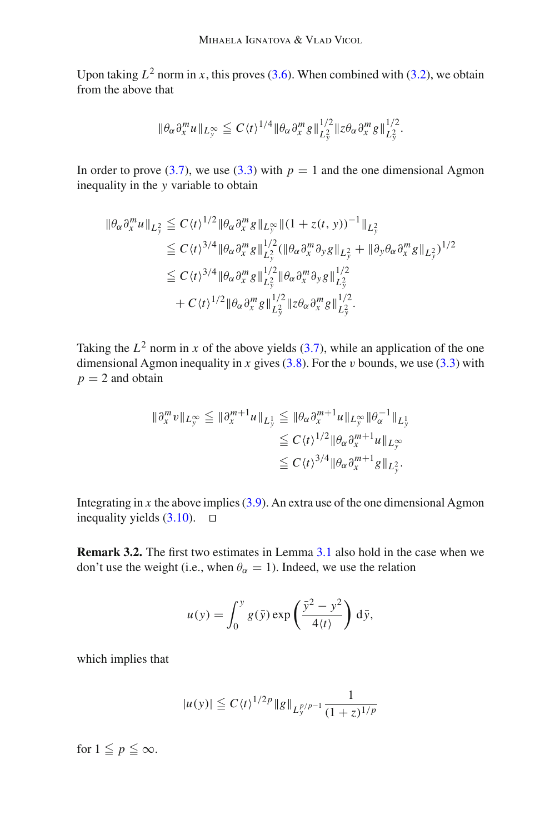Upon taking  $L^2$  norm in *x*, this proves [\(3.6\)](#page-14-2). When combined with [\(3.2\)](#page-13-3), we obtain from the above that

$$
\|\theta_{\alpha}\partial_x^m u\|_{L_y^\infty}\leqq C\langle t\rangle^{1/4}\|\theta_{\alpha}\partial_x^m g\|_{L_y^2}^{1/2}\|z\theta_{\alpha}\partial_x^m g\|_{L_y^2}^{1/2}.
$$

In order to prove [\(3.7\)](#page-14-3), we use [\(3.3\)](#page-13-1) with  $p = 1$  and the one dimensional Agmon inequality in the *y* variable to obtain

$$
\|\theta_{\alpha}\partial_{x}^{m}u\|_{L_{y}^{2}} \leq C\langle t\rangle^{1/2} \|\theta_{\alpha}\partial_{x}^{m}g\|_{L_{y}^{\infty}} \|(1+z(t, y))^{-1}\|_{L_{y}^{2}}
$$
  
\n
$$
\leq C\langle t\rangle^{3/4} \|\theta_{\alpha}\partial_{x}^{m}g\|_{L_{y}^{2}}^{1/2} (\|\theta_{\alpha}\partial_{x}^{m}\partial_{y}g\|_{L_{y}^{2}} + \|\partial_{y}\theta_{\alpha}\partial_{x}^{m}g\|_{L_{y}^{2}})^{1/2}
$$
  
\n
$$
\leq C\langle t\rangle^{3/4} \|\theta_{\alpha}\partial_{x}^{m}g\|_{L_{y}^{2}}^{1/2} \|\theta_{\alpha}\partial_{x}^{m}\partial_{y}g\|_{L_{y}^{2}}^{1/2}
$$
  
\n
$$
+ C\langle t\rangle^{1/2} \|\theta_{\alpha}\partial_{x}^{m}g\|_{L_{y}^{2}}^{1/2} \|z\theta_{\alpha}\partial_{x}^{m}g\|_{L_{y}^{2}}^{1/2}.
$$

Taking the  $L^2$  norm in *x* of the above yields [\(3.7\)](#page-14-3), while an application of the one dimensional Agmon inequality in *x* gives  $(3.8)$ . For the *v* bounds, we use  $(3.3)$  with  $p = 2$  and obtain

$$
\begin{aligned} \|\partial_x^m v\|_{L_y^{\infty}} &\leq \|\partial_x^{m+1} u\|_{L_y^1} \leq \|\theta_\alpha \partial_x^{m+1} u\|_{L_y^{\infty}} \|\theta_\alpha^{-1}\|_{L_y^1} \\ &\leq C \langle t \rangle^{1/2} \|\theta_\alpha \partial_x^{m+1} u\|_{L_y^{\infty}} \\ &\leq C \langle t \rangle^{3/4} \|\theta_\alpha \partial_x^{m+1} g\|_{L_y^2} .\end{aligned}
$$

Integrating in  $x$  the above implies  $(3.9)$ . An extra use of the one dimensional Agmon inequality yields  $(3.10)$ .  $\Box$ 

**Remark 3.2.** The first two estimates in Lemma [3.1](#page-13-0) also hold in the case when we don't use the weight (i.e., when  $\theta_{\alpha} = 1$ ). Indeed, we use the relation

$$
u(y) = \int_0^y g(\bar{y}) \exp\left(\frac{\bar{y}^2 - y^2}{4\langle t \rangle}\right) d\bar{y},
$$

which implies that

$$
|u(y)| \leq C \langle t \rangle^{1/2p} \|g\|_{L_y^{p/p-1}} \frac{1}{(1+z)^{1/p}}
$$

for  $1 \leq p \leq \infty$ .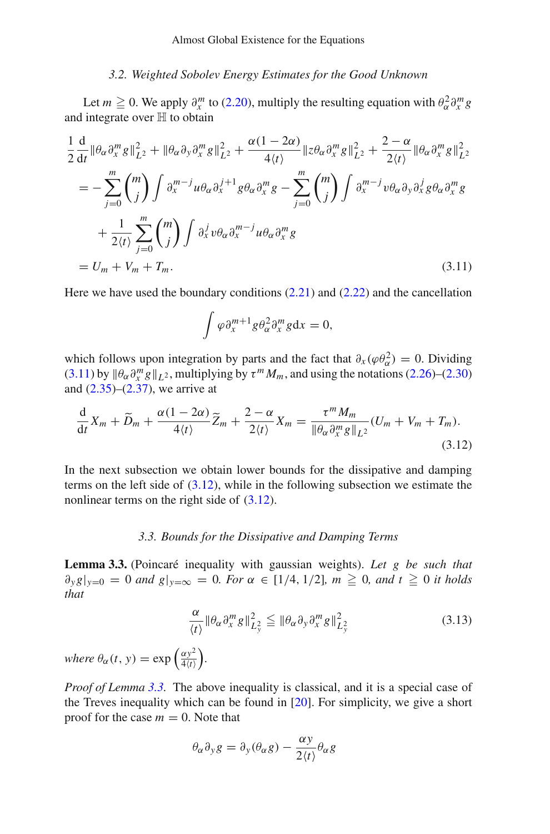## *3.2. Weighted Sobolev Energy Estimates for the Good Unknown*

Let  $m \ge 0$ . We apply  $\partial_x^m$  to [\(2.20\)](#page-9-0), multiply the resulting equation with  $\theta_\alpha^2 \partial_x^m g$ and integrate over  $H$  to obtain

$$
\frac{1}{2}\frac{d}{dt}\|\theta_{\alpha}\partial_{x}^{m}g\|_{L^{2}}^{2} + \|\theta_{\alpha}\partial_{y}\partial_{x}^{m}g\|_{L^{2}}^{2} + \frac{\alpha(1-2\alpha)}{4\langle t\rangle}\|z\theta_{\alpha}\partial_{x}^{m}g\|_{L^{2}}^{2} + \frac{2-\alpha}{2\langle t\rangle}\|\theta_{\alpha}\partial_{x}^{m}g\|_{L^{2}}^{2}
$$
\n
$$
= -\sum_{j=0}^{m} {m \choose j} \int \partial_{x}^{m-j}u\theta_{\alpha}\partial_{x}^{j+1}g\theta_{\alpha}\partial_{x}^{m}g - \sum_{j=0}^{m} {m \choose j} \int \partial_{x}^{m-j}v\theta_{\alpha}\partial_{y}\partial_{x}^{j}g\theta_{\alpha}\partial_{x}^{m}g
$$
\n
$$
+ \frac{1}{2\langle t\rangle}\sum_{j=0}^{m} {m \choose j} \int \partial_{x}^{j}v\theta_{\alpha}\partial_{x}^{m-j}u\theta_{\alpha}\partial_{x}^{m}g
$$
\n
$$
= U_{m} + V_{m} + T_{m}.
$$
\n(3.11)

Here we have used the boundary conditions [\(2.21\)](#page-9-5) and [\(2.22\)](#page-9-3) and the cancellation

<span id="page-16-2"></span><span id="page-16-1"></span>
$$
\int \varphi \partial_x^{m+1} g \partial_\alpha^2 \partial_x^m g \mathrm{d} x = 0,
$$

which follows upon integration by parts and the fact that  $\partial_x(\varphi \partial_\alpha^2) = 0$ . Dividing [\(3.11\)](#page-16-1) by  $\|\theta_{\alpha}\partial_x^m g\|_{L^2}$ , multiplying by  $\tau^m M_m$ , and using the notations [\(2.26\)](#page-9-6)–[\(2.30\)](#page-9-7) and  $(2.35)$ – $(2.37)$ , we arrive at

$$
\frac{\mathrm{d}}{\mathrm{d}t}X_m + \widetilde{D}_m + \frac{\alpha(1-2\alpha)}{4\langle t\rangle}\widetilde{Z}_m + \frac{2-\alpha}{2\langle t\rangle}X_m = \frac{\tau^m M_m}{\|\theta_\alpha\partial_x^m g\|_{L^2}}(U_m + V_m + T_m). \tag{3.12}
$$

In the next subsection we obtain lower bounds for the dissipative and damping terms on the left side of  $(3.12)$ , while in the following subsection we estimate the nonlinear terms on the right side of  $(3.12)$ .

## *3.3. Bounds for the Dissipative and Damping Terms*

<span id="page-16-0"></span>**Lemma 3.3.** (Poincaré inequality with gaussian weights). *Let g be such that*  $\partial_y g|_{y=0} = 0$  *and*  $g|_{y=\infty} = 0$ *. For*  $\alpha \in [1/4, 1/2]$ *,*  $m \ge 0$ *, and*  $t \ge 0$  *it holds that*

$$
\frac{\alpha}{\langle t \rangle} \|\theta_{\alpha}\partial_x^m g\|_{L_y^2}^2 \le \|\theta_{\alpha}\partial_y\partial_x^m g\|_{L_y^2}^2 \tag{3.13}
$$

*where*  $\theta_{\alpha}(t, y) = \exp \left( \frac{\alpha y^2}{4 \langle t \rangle} \right)$ 4 *t .*

*Proof of Lemma [3.3.](#page-16-0)* The above inequality is classical, and it is a special case of the Treves inequality which can be found in [\[20\]](#page-38-19). For simplicity, we give a short proof for the case  $m = 0$ . Note that

$$
\theta_{\alpha}\partial_y g = \partial_y(\theta_{\alpha}g) - \frac{\alpha y}{2\langle t \rangle}\theta_{\alpha}g
$$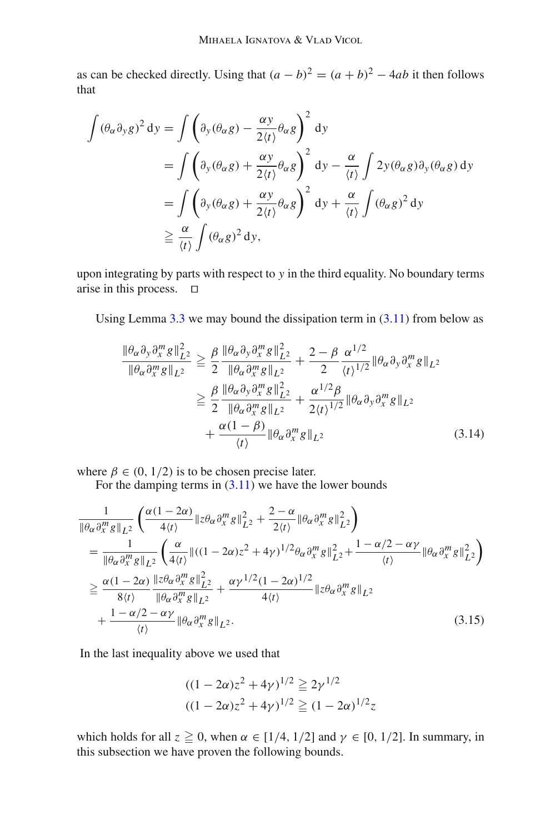as can be checked directly. Using that  $(a - b)^2 = (a + b)^2 - 4ab$  it then follows that

$$
\int (\theta_{\alpha}\partial_{y}g)^{2} dy = \int \left(\partial_{y}(\theta_{\alpha}g) - \frac{\alpha y}{2\langle t \rangle}\theta_{\alpha}g\right)^{2} dy
$$
  
\n
$$
= \int \left(\partial_{y}(\theta_{\alpha}g) + \frac{\alpha y}{2\langle t \rangle}\theta_{\alpha}g\right)^{2} dy - \frac{\alpha}{\langle t \rangle} \int 2y(\theta_{\alpha}g)\partial_{y}(\theta_{\alpha}g) dy
$$
  
\n
$$
= \int \left(\partial_{y}(\theta_{\alpha}g) + \frac{\alpha y}{2\langle t \rangle}\theta_{\alpha}g\right)^{2} dy + \frac{\alpha}{\langle t \rangle} \int (\theta_{\alpha}g)^{2} dy
$$
  
\n
$$
\geq \frac{\alpha}{\langle t \rangle} \int (\theta_{\alpha}g)^{2} dy,
$$

upon integrating by parts with respect to *y* in the third equality. No boundary terms arise in this process.  $\square$ 

Using Lemma  $3.3$  we may bound the dissipation term in  $(3.11)$  from below as

<span id="page-17-0"></span>
$$
\frac{\|\theta_{\alpha}\partial_{y}\partial_{x}^{m}g\|_{L^{2}}^{2}}{\|\theta_{\alpha}\partial_{x}^{m}g\|_{L^{2}}}\geq \frac{\beta}{2}\frac{\|\theta_{\alpha}\partial_{y}\partial_{x}^{m}g\|_{L^{2}}^{2}}{\|\theta_{\alpha}\partial_{x}^{m}g\|_{L^{2}}}+\frac{2-\beta}{2}\frac{\alpha^{1/2}}{\langle t\rangle^{1/2}}\|\theta_{\alpha}\partial_{y}\partial_{x}^{m}g\|_{L^{2}}\geq \frac{\beta}{2}\frac{\|\theta_{\alpha}\partial_{y}\partial_{x}^{m}g\|_{L^{2}}^{2}}{\|\theta_{\alpha}\partial_{x}^{m}g\|_{L^{2}}}+\frac{\alpha^{1/2}\beta}{2\langle t\rangle^{1/2}}\|\theta_{\alpha}\partial_{y}\partial_{x}^{m}g\|_{L^{2}}+\frac{\alpha(1-\beta)}{\langle t\rangle}\|\theta_{\alpha}\partial_{x}^{m}g\|_{L^{2}}
$$
\n(3.14)

where  $\beta \in (0, 1/2)$  is to be chosen precise later.

For the damping terms in  $(3.11)$  we have the lower bounds

$$
\frac{1}{\|\theta_{\alpha}\partial_{x}^{m}g\|_{L^{2}}}\left(\frac{\alpha(1-2\alpha)}{4\langle t\rangle}\|\zeta\theta_{\alpha}\partial_{x}^{m}g\|_{L^{2}}^{2}+\frac{2-\alpha}{2\langle t\rangle}\|\theta_{\alpha}\partial_{x}^{m}g\|_{L^{2}}^{2}\right) \n= \frac{1}{\|\theta_{\alpha}\partial_{x}^{m}g\|_{L^{2}}}\left(\frac{\alpha}{4\langle t\rangle}\|((1-2\alpha)z^{2}+4\gamma)^{1/2}\theta_{\alpha}\partial_{x}^{m}g\|_{L^{2}}^{2}+\frac{1-\alpha/2-\alpha\gamma}{\langle t\rangle}\|\theta_{\alpha}\partial_{x}^{m}g\|_{L^{2}}^{2}\right) \n\geq \frac{\alpha(1-2\alpha)}{8\langle t\rangle}\frac{\|\zeta\theta_{\alpha}\partial_{x}^{m}g\|_{L^{2}}^{2}}{\|\theta_{\alpha}\partial_{x}^{m}g\|_{L^{2}}^{2}}+\frac{\alpha\gamma^{1/2}(1-2\alpha)^{1/2}}{4\langle t\rangle}\|\zeta\theta_{\alpha}\partial_{x}^{m}g\|_{L^{2}} \n+\frac{1-\alpha/2-\alpha\gamma}{\langle t\rangle}\|\theta_{\alpha}\partial_{x}^{m}g\|_{L^{2}}.
$$
\n(3.15)

In the last inequality above we used that

<span id="page-17-1"></span>
$$
\frac{((1-2\alpha)z^2+4\gamma)^{1/2}}{((1-2\alpha)z^2+4\gamma)^{1/2}} \geqq 2\gamma^{1/2}
$$

$$
\frac{((1-2\alpha)z^2+4\gamma)^{1/2}}{(\alpha+2\alpha)^{1/2}} \geqq (1-2\alpha)^{1/2}z
$$

<span id="page-17-2"></span>which holds for all  $z \ge 0$ , when  $\alpha \in [1/4, 1/2]$  and  $\gamma \in [0, 1/2]$ . In summary, in this subsection we have proven the following bounds.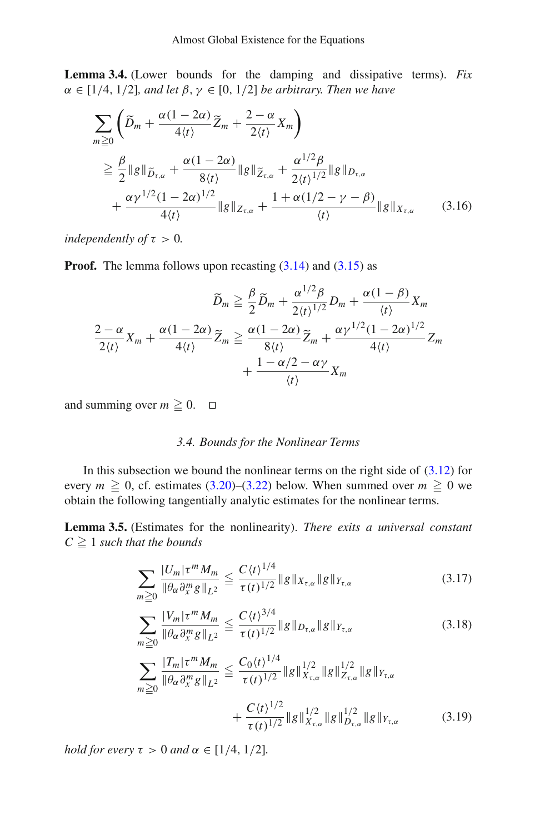**Lemma 3.4.** (Lower bounds for the damping and dissipative terms). *Fix*  $\alpha \in [1/4, 1/2]$ *, and let*  $\beta, \gamma \in [0, 1/2]$  *be arbitrary. Then we have* 

$$
\sum_{m\geq 0} \left( \widetilde{D}_m + \frac{\alpha(1-2\alpha)}{4\langle t \rangle} \widetilde{Z}_m + \frac{2-\alpha}{2\langle t \rangle} X_m \right)
$$
\n
$$
\geq \frac{\beta}{2} \|g\|_{\widetilde{D}_{\tau,\alpha}} + \frac{\alpha(1-2\alpha)}{8\langle t \rangle} \|g\|_{\widetilde{Z}_{\tau,\alpha}} + \frac{\alpha^{1/2}\beta}{2\langle t \rangle^{1/2}} \|g\|_{D_{\tau,\alpha}}
$$
\n
$$
+ \frac{\alpha \gamma^{1/2} (1-2\alpha)^{1/2}}{4\langle t \rangle} \|g\|_{Z_{\tau,\alpha}} + \frac{1 + \alpha(1/2 - \gamma - \beta)}{\langle t \rangle} \|g\|_{X_{\tau,\alpha}} \qquad (3.16)
$$

*independently of*  $\tau > 0$ *.* 

**Proof.** The lemma follows upon recasting  $(3.14)$  and  $(3.15)$  as

$$
\widetilde{D}_m \geq \frac{\beta}{2} \widetilde{D}_m + \frac{\alpha^{1/2} \beta}{2 \langle t \rangle^{1/2}} D_m + \frac{\alpha (1 - \beta)}{\langle t \rangle} X_m
$$

$$
\frac{2 - \alpha}{2 \langle t \rangle} X_m + \frac{\alpha (1 - 2\alpha)}{4 \langle t \rangle} \widetilde{Z}_m \geq \frac{\alpha (1 - 2\alpha)}{8 \langle t \rangle} \widetilde{Z}_m + \frac{\alpha \gamma^{1/2} (1 - 2\alpha)^{1/2}}{4 \langle t \rangle} Z_m + \frac{1 - \alpha/2 - \alpha \gamma}{\langle t \rangle} X_m
$$

and summing over  $m \ge 0$ .  $\Box$ 

#### *3.4. Bounds for the Nonlinear Terms*

In this subsection we bound the nonlinear terms on the right side of  $(3.12)$  for every  $m \ge 0$ , cf. estimates [\(3.20\)](#page-19-0)–[\(3.22\)](#page-20-0) below. When summed over  $m \ge 0$  we obtain the following tangentially analytic estimates for the nonlinear terms.

<span id="page-18-0"></span>**Lemma 3.5.** (Estimates for the nonlinearity). *There exits a universal constant*  $C \geq 1$  *such that the bounds* 

$$
\sum_{m\geq 0} \frac{|U_m|\tau^m M_m}{\|\theta_\alpha \partial_x^m g\|_{L^2}} \leq \frac{C \langle t \rangle^{1/4}}{\tau(t)^{1/2}} \|g\|_{X_{\tau,\alpha}} \|g\|_{Y_{\tau,\alpha}}
$$
(3.17)

$$
\sum_{m\geq 0} \frac{|V_m|\tau^m M_m}{\|\theta_\alpha \partial_x^m g\|_{L^2}} \leq \frac{C \langle t \rangle^{3/4}}{\tau(t)^{1/2}} \|g\|_{D_{\tau,\alpha}} \|g\|_{Y_{\tau,\alpha}}
$$
(3.18)

$$
\sum_{m\geq 0} \frac{|T_m|\tau^m M_m}{\|\theta_\alpha \partial_x^m g\|_{L^2}} \leq \frac{C_0 \langle t \rangle^{1/4}}{\tau(t)^{1/2}} \|g\|_{X_{\tau,\alpha}}^{1/2} \|g\|_{Z_{\tau,\alpha}}^{1/2} \|g\|_{Y_{\tau,\alpha}}^{1/2} + \frac{C \langle t \rangle^{1/2}}{\tau(t)^{1/2}} \|g\|_{X_{\tau,\alpha}}^{1/2} \|g\|_{D_{\tau,\alpha}}^{1/2} \|g\|_{Y_{\tau,\alpha}}^{1/2}
$$
(3.19)

*hold for every*  $\tau > 0$  *and*  $\alpha \in [1/4, 1/2]$ *.*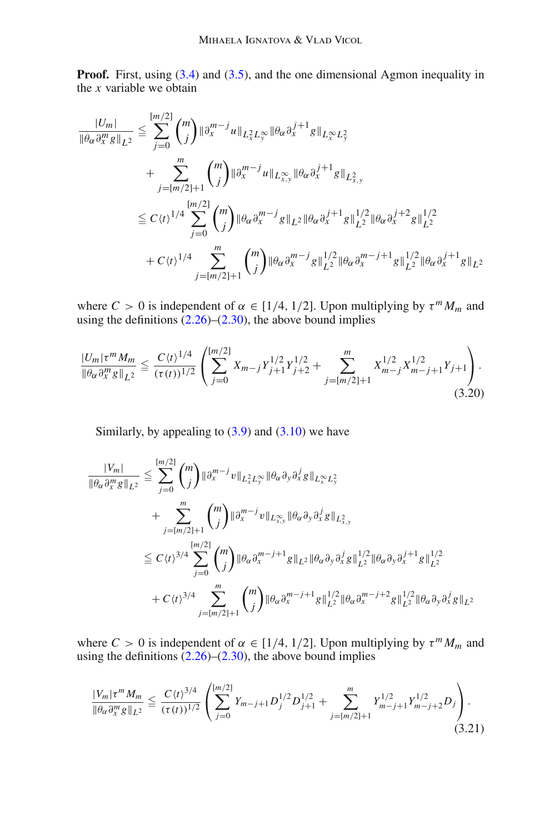**Proof.** First, using [\(3.4\)](#page-14-0) and [\(3.5\)](#page-14-1), and the one dimensional Agmon inequality in the *x* variable we obtain

$$
\frac{|U_m|}{\|\theta_{\alpha}\partial_x^m g\|_{L^2}} \leq \sum_{j=0}^{[m/2]} \binom{m}{j} \|\partial_x^{m-j} u\|_{L^2_x L^\infty_y} \|\theta_{\alpha}\partial_x^{j+1} g\|_{L^\infty_x L^2_y} \n+ \sum_{j=[m/2]+1}^m \binom{m}{j} \|\partial_x^{m-j} u\|_{L^\infty_{x,y}} \|\theta_{\alpha}\partial_x^{j+1} g\|_{L^2_{x,y}} \n\leq C \langle t \rangle^{1/4} \sum_{j=0}^{[m/2]} \binom{m}{j} \|\theta_{\alpha}\partial_x^{m-j} g\|_{L^2} \|\theta_{\alpha}\partial_x^{j+1} g\|_{L^2}^{1/2} \|\theta_{\alpha}\partial_x^{j+2} g\|_{L^2}^{1/2} \n+ C \langle t \rangle^{1/4} \sum_{j=[m/2]+1}^m \binom{m}{j} \|\theta_{\alpha}\partial_x^{m-j} g\|_{L^2}^{1/2} \|\theta_{\alpha}\partial_x^{m-j+1} g\|_{L^2}^{1/2} \|\theta_{\alpha}\partial_x^{j+1} g\|_{L^2}
$$

where  $C > 0$  is independent of  $\alpha \in [1/4, 1/2]$ . Upon multiplying by  $\tau^m M_m$  and using the definitions  $(2.26)$ – $(2.30)$ , the above bound implies

$$
\frac{|U_m|\tau^m M_m}{\|\theta_\alpha \partial_x^m g\|_{L^2}} \le \frac{C \langle t \rangle^{1/4}}{(\tau(t))^{1/2}} \left( \sum_{j=0}^{\lfloor m/2 \rfloor} X_{m-j} Y_{j+1}^{1/2} Y_{j+2}^{1/2} + \sum_{j=\lfloor m/2 \rfloor+1}^m X_{m-j}^{1/2} X_{m-j+1}^{1/2} Y_{j+1}^{1/2} \right). \tag{3.20}
$$

<span id="page-19-0"></span>Similarly, by appealing to  $(3.9)$  and  $(3.10)$  we have

$$
\frac{|V_m|}{\|\theta_\alpha \partial_x^m g\|_{L^2}} \leq \sum_{j=0}^{[m/2]} \binom{m}{j} \|\partial_x^{m-j} v\|_{L_x^2 L_y^\infty} \|\theta_\alpha \partial_y \partial_x^j g\|_{L_x^\infty L_y^2} \n+ \sum_{j=[m/2]+1}^m \binom{m}{j} \|\partial_x^{m-j} v\|_{L_{x,y}^\infty} \|\theta_\alpha \partial_y \partial_x^j g\|_{L_{x,y}^2} \n\leq C \langle t \rangle^{3/4} \sum_{j=0}^{[m/2]} \binom{m}{j} \|\theta_\alpha \partial_x^{m-j+1} g\|_{L^2} \|\theta_\alpha \partial_y \partial_x^j g\|_{L^2}^{1/2} \|\theta_\alpha \partial_y \partial_x^{j+1} g\|_{L^2}^{1/2} \n+ C \langle t \rangle^{3/4} \sum_{j=[m/2]+1}^m \binom{m}{j} \|\theta_\alpha \partial_x^{m-j+1} g\|_{L^2}^{1/2} \|\theta_\alpha \partial_x^{m-j+2} g\|_{L^2}^{1/2} \|\theta_\alpha \partial_y \partial_x^j g\|_{L^2}
$$

where  $C > 0$  is independent of  $\alpha \in [1/4, 1/2]$ . Upon multiplying by  $\tau^m M_m$  and using the definitions [\(2.26\)](#page-9-6)–[\(2.30\)](#page-9-7), the above bound implies

$$
\frac{|V_m|\tau^m M_m}{\|\theta_\alpha\partial_x^m g\|_{L^2}} \leq \frac{C \langle t \rangle^{3/4}}{(\tau(t))^{1/2}} \left( \sum_{j=0}^{[m/2]} Y_{m-j+1} D_j^{1/2} D_{j+1}^{1/2} + \sum_{j=[m/2]+1}^m Y_{m-j+1}^{1/2} Y_{m-j+2}^{1/2} D_j \right). \tag{3.21}
$$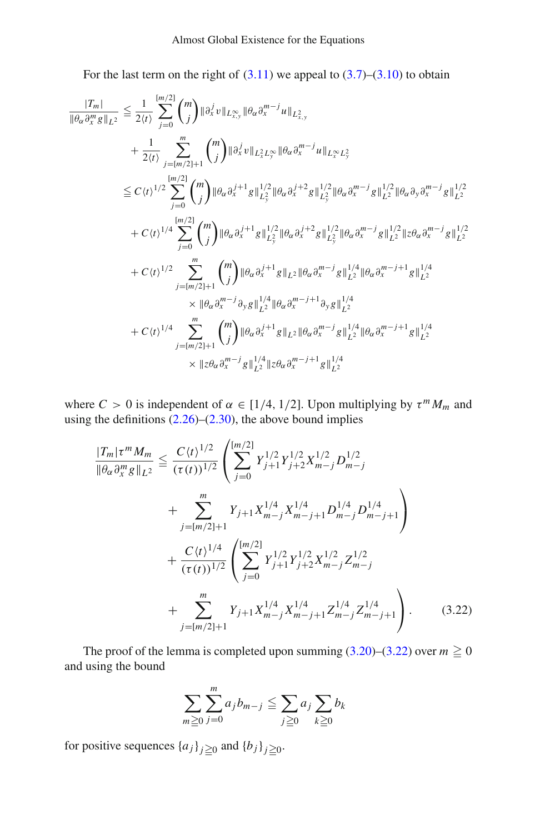For the last term on the right of  $(3.11)$  we appeal to  $(3.7)$ – $(3.10)$  to obtain

$$
\frac{|T_m|}{\|\theta_{\alpha}\partial_x^m g\|_{L^2}} \leq \frac{1}{2\langle t\rangle} \sum_{j=0}^{[m/2]} \binom{m}{j} \|\partial_x^j v\|_{L^{\infty}_{x,y}} \|\theta_{\alpha}\partial_x^{m-j} u\|_{L^{\infty}_{x,y}} \n+ \frac{1}{2\langle t\rangle} \sum_{j=[m/2]+1}^m \binom{m}{j} \|\partial_x^j v\|_{L^2_x L^\infty_y} \|\theta_{\alpha}\partial_x^{m-j} u\|_{L^\infty_x L^2_y} \n\leq C\langle t\rangle^{1/2} \sum_{j=0}^{[m/2]} \binom{m}{j} \|\theta_{\alpha}\partial_x^{j+1} g\|_{L^2_y}^{1/2} \|\theta_{\alpha}\partial_x^{j+2} g\|_{L^2_y}^{1/2} \|\theta_{\alpha}\partial_x^{m-j} g\|_{L^2}^{1/2} \|\theta_{\alpha}\partial_y\partial_x^{m-j} g\|_{L^2}^{1/2} \n+ C\langle t\rangle^{1/4} \sum_{j=0}^{[m/2]} \binom{m}{j} \|\theta_{\alpha}\partial_x^{j+1} g\|_{L^2_y}^{1/2} \|\theta_{\alpha}\partial_x^{j+2} g\|_{L^2_y}^{1/2} \|\theta_{\alpha}\partial_x^{m-j} g\|_{L^2}^{1/2} \|\theta_{\alpha}\partial_x^{m-j} g\|_{L^2}^{1/2} \n+ C\langle t\rangle^{1/2} \sum_{j=[m/2]+1}^m \binom{m}{j} \|\theta_{\alpha}\partial_x^{j+1} g\|_{L^2} \|\theta_{\alpha}\partial_x^{m-j} g\|_{L^2}^{1/4} \|\theta_{\alpha}\partial_x^{m-j+1} g\|_{L^2}^{1/4} \n\times \|\theta_{\alpha}\partial_x^{m-j} \partial_y g\|_{L^2}^{1/4} \|\theta_{\alpha}\partial_x^{m-j+1} \partial_y g\|_{L^2}^{1/4} \n+ C\langle t\rangle^{1/4} \sum_{j=[m/2]+1}^m \binom{m}{j} \|\theta_{\alpha}\partial_x^{j+1} g\|_{L^2} \|\theta_{\alpha}\partial_x^{m-j} g\|_{L^2}^{1/4} \|\theta_{\alpha}\partial_x
$$

where  $C > 0$  is independent of  $\alpha \in [1/4, 1/2]$ . Upon multiplying by  $\tau^m M_m$  and using the definitions  $(2.26)$ – $(2.30)$ , the above bound implies

$$
\frac{|T_m|\tau^m M_m}{\|\theta_\alpha \partial_x^m g\|_{L^2}} \leq \frac{C \langle t \rangle^{1/2}}{(\tau(t))^{1/2}} \left( \sum_{j=0}^{[m/2]} Y_{j+1}^{1/2} Y_{j+2}^{1/2} X_{m-j}^{1/2} D_{m-j}^{1/2} + \sum_{j=[m/2]+1}^m Y_{j+1} X_{m-j}^{1/4} X_{m-j+1}^{1/4} D_{m-j+1}^{1/4} D_{m-j+1}^{1/4} \right) + \frac{C \langle t \rangle^{1/4}}{(\tau(t))^{1/2}} \left( \sum_{j=0}^{[m/2]} Y_{j+1}^{1/2} Y_{j+2}^{1/2} X_{m-j}^{1/2} Z_{m-j}^{1/2} + \sum_{j=[m/2]+1}^m Y_{j+1} X_{m-j}^{1/4} X_{m-j+1}^{1/4} Z_{m-j}^{1/4} Z_{m-j+1}^{1/4} \right).
$$
\n(3.22)

The proof of the lemma is completed upon summing  $(3.20)$ – $(3.22)$  over  $m \ge 0$ and using the bound

<span id="page-20-0"></span>
$$
\sum_{m\geq 0}\sum_{j=0}^m a_jb_{m-j}\leq \sum_{j\geq 0}a_j\sum_{k\geq 0}b_k
$$

<span id="page-20-1"></span>for positive sequences  $\{a_j\}_{j \geq 0}$  and  $\{b_j\}_{j \geq 0}$ .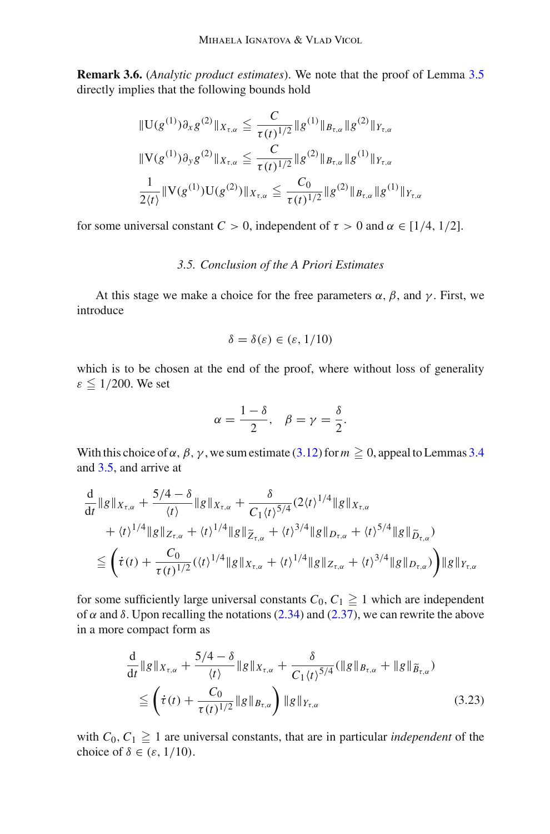**Remark 3.6.** (*Analytic product estimates*). We note that the proof of Lemma [3.5](#page-18-0) directly implies that the following bounds hold

$$
\|U(g^{(1)})\partial_x g^{(2)}\|_{X_{\tau,\alpha}} \leq \frac{C}{\tau(t)^{1/2}} \|g^{(1)}\|_{B_{\tau,\alpha}} \|g^{(2)}\|_{Y_{\tau,\alpha}}
$$
  

$$
\|V(g^{(1)})\partial_y g^{(2)}\|_{X_{\tau,\alpha}} \leq \frac{C}{\tau(t)^{1/2}} \|g^{(2)}\|_{B_{\tau,\alpha}} \|g^{(1)}\|_{Y_{\tau,\alpha}}
$$
  

$$
\frac{1}{2\langle t \rangle} \|V(g^{(1)})U(g^{(2)})\|_{X_{\tau,\alpha}} \leq \frac{C_0}{\tau(t)^{1/2}} \|g^{(2)}\|_{B_{\tau,\alpha}} \|g^{(1)}\|_{Y_{\tau,\alpha}}
$$

<span id="page-21-1"></span>for some universal constant  $C > 0$ , independent of  $\tau > 0$  and  $\alpha \in [1/4, 1/2]$ .

## *3.5. Conclusion of the A Priori Estimates*

At this stage we make a choice for the free parameters  $\alpha$ ,  $\beta$ , and  $\gamma$ . First, we introduce

$$
\delta = \delta(\varepsilon) \in (\varepsilon, 1/10)
$$

which is to be chosen at the end of the proof, where without loss of generality  $\varepsilon \leq 1/200$ . We set

$$
\alpha = \frac{1-\delta}{2}, \quad \beta = \gamma = \frac{\delta}{2}.
$$

With this choice of  $\alpha$ ,  $\beta$ ,  $\gamma$ , we sum estimate [\(3.12\)](#page-16-2) for  $m \ge 0$ , appeal to Lemmas [3.4](#page-17-2) and [3.5,](#page-18-0) and arrive at

$$
\frac{d}{dt} ||g||_{X_{\tau,\alpha}} + \frac{5/4 - \delta}{\langle t \rangle} ||g||_{X_{\tau,\alpha}} + \frac{\delta}{C_1 \langle t \rangle^{5/4}} (2 \langle t \rangle^{1/4} ||g||_{X_{\tau,\alpha}}\n+ \langle t \rangle^{1/4} ||g||_{Z_{\tau,\alpha}} + \langle t \rangle^{1/4} ||g||_{\widetilde{Z}_{\tau,\alpha}} + \langle t \rangle^{3/4} ||g||_{D_{\tau,\alpha}} + \langle t \rangle^{5/4} ||g||_{\widetilde{D}_{\tau,\alpha}}\n\leq \left( \dot{\tau}(t) + \frac{C_0}{\tau(t)^{1/2}} (\langle t \rangle^{1/4} ||g||_{X_{\tau,\alpha}} + \langle t \rangle^{1/4} ||g||_{Z_{\tau,\alpha}} + \langle t \rangle^{3/4} ||g||_{D_{\tau,\alpha}} \right) ||g||_{Y_{\tau,\alpha}}
$$

for some sufficiently large universal constants  $C_0, C_1 \geq 1$  which are independent of  $\alpha$  and  $\delta$ . Upon recalling the notations [\(2.34\)](#page-10-2) and [\(2.37\)](#page-10-1), we can rewrite the above in a more compact form as

<span id="page-21-0"></span>
$$
\frac{d}{dt} \|g\|_{X_{\tau,\alpha}} + \frac{5/4 - \delta}{\langle t \rangle} \|g\|_{X_{\tau,\alpha}} + \frac{\delta}{C_1 \langle t \rangle^{5/4}} (\|g\|_{B_{\tau,\alpha}} + \|g\|_{\widetilde{B}_{\tau,\alpha}})
$$
\n
$$
\leq \left( \dot{\tau}(t) + \frac{C_0}{\tau(t)^{1/2}} \|g\|_{B_{\tau,\alpha}} \right) \|g\|_{Y_{\tau,\alpha}} \tag{3.23}
$$

with  $C_0, C_1 \geq 1$  are universal constants, that are in particular *independent* of the choice of  $\delta \in (\varepsilon, 1/10)$ .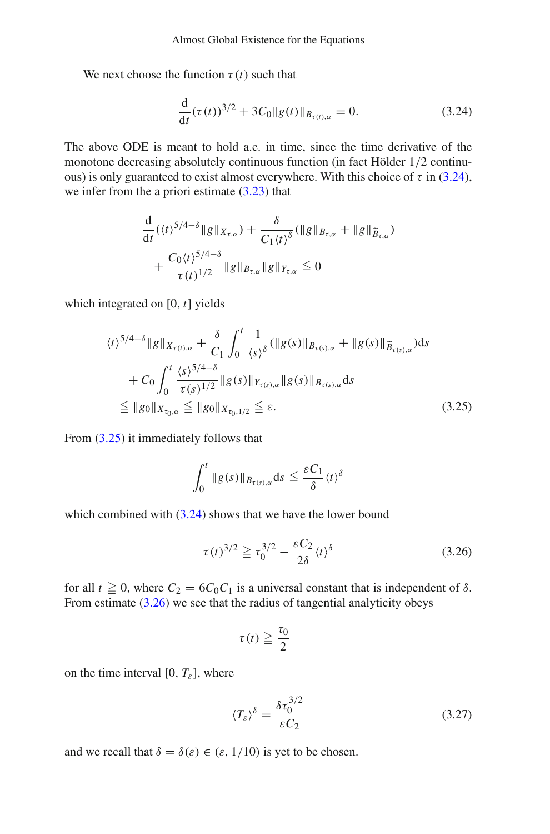We next choose the function  $\tau(t)$  such that

<span id="page-22-0"></span>
$$
\frac{d}{dt}(\tau(t))^{3/2} + 3C_0 \|g(t)\|_{B_{\tau(t),\alpha}} = 0.
$$
\n(3.24)

The above ODE is meant to hold a.e. in time, since the time derivative of the monotone decreasing absolutely continuous function (in fact Hölder 1/2 continuous) is only guaranteed to exist almost everywhere. With this choice of  $\tau$  in [\(3.24\)](#page-22-0), we infer from the a priori estimate [\(3.23\)](#page-21-0) that

$$
\frac{d}{dt} (\langle t \rangle^{5/4-\delta} \|g\|_{X_{\tau,\alpha}}) + \frac{\delta}{C_1 \langle t \rangle^{\delta}} (\|g\|_{B_{\tau,\alpha}} + \|g\|_{\widetilde{B}_{\tau,\alpha}})
$$
\n
$$
+ \frac{C_0 \langle t \rangle^{5/4-\delta}}{\tau(t)^{1/2}} \|g\|_{B_{\tau,\alpha}} \|g\|_{Y_{\tau,\alpha}} \leq 0
$$

which integrated on [0, *t*] yields

$$
\langle t \rangle^{5/4-\delta} \|g\|_{X_{\tau(t),\alpha}} + \frac{\delta}{C_1} \int_0^t \frac{1}{\langle s \rangle^{\delta}} (||g(s)||_{B_{\tau(s),\alpha}} + ||g(s)||_{\widetilde{B}_{\tau(s),\alpha}}) ds + C_0 \int_0^t \frac{\langle s \rangle^{5/4-\delta}}{\tau(s)^{1/2}} \|g(s)||_{Y_{\tau(s),\alpha}} \|g(s)||_{B_{\tau(s),\alpha}} ds \leq ||g_0||_{X_{\tau_0,\alpha}} \leq ||g_0||_{X_{\tau_0,1/2}} \leq \varepsilon.
$$
 (3.25)

From [\(3.25\)](#page-22-1) it immediately follows that

<span id="page-22-1"></span>
$$
\int_0^t \|g(s)\|_{B_{\tau(s),\alpha}} ds \leqq \frac{\varepsilon C_1}{\delta} \langle t \rangle^{\delta}
$$

which combined with  $(3.24)$  shows that we have the lower bound

$$
\tau(t)^{3/2} \geqq \tau_0^{3/2} - \frac{\varepsilon C_2}{2\delta} \langle t \rangle^{\delta} \tag{3.26}
$$

for all  $t \ge 0$ , where  $C_2 = 6C_0C_1$  is a universal constant that is independent of  $\delta$ . From estimate  $(3.26)$  we see that the radius of tangential analyticity obeys

<span id="page-22-2"></span>
$$
\tau(t) \geqq \frac{\tau_0}{2}
$$

on the time interval [0,  $T_{\varepsilon}$ ], where

<span id="page-22-3"></span>
$$
\langle T_{\varepsilon} \rangle^{\delta} = \frac{\delta \tau_0^{3/2}}{\varepsilon C_2} \tag{3.27}
$$

and we recall that  $\delta = \delta(\varepsilon) \in (\varepsilon, 1/10)$  is yet to be chosen.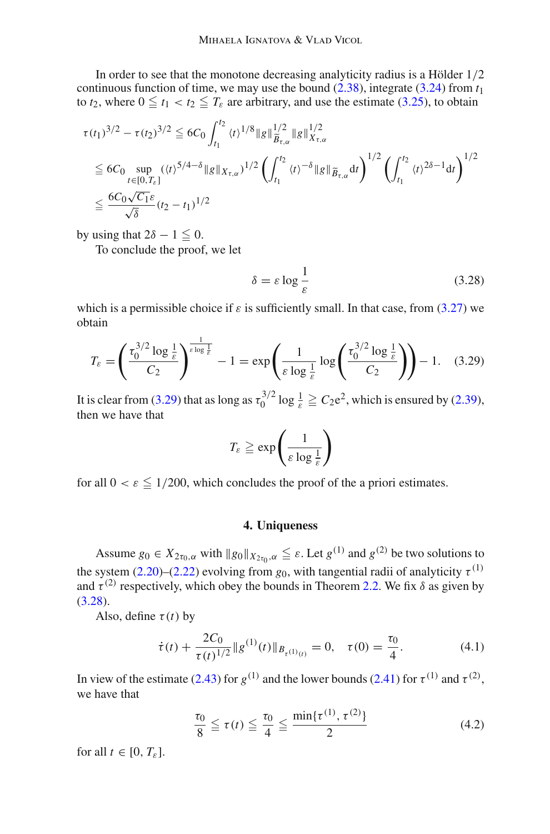In order to see that the monotone decreasing analyticity radius is a Hölder 1/2 continuous function of time, we may use the bound  $(2.38)$ , integrate  $(3.24)$  from  $t_1$ to  $t_2$ , where  $0 \le t_1 < t_2 \le T_\varepsilon$  are arbitrary, and use the estimate [\(3.25\)](#page-22-1), to obtain

$$
\tau(t_1)^{3/2} - \tau(t_2)^{3/2} \le 6C_0 \int_{t_1}^{t_2} \langle t \rangle^{1/8} \|g\|_{\widetilde{B}_{\tau,\alpha}}^{1/2} \|g\|_{X_{\tau,\alpha}}^{1/2}
$$
\n
$$
\le 6C_0 \sup_{t \in [0,T_{\varepsilon}]} (\langle t \rangle^{5/4-\delta} \|g\|_{X_{\tau,\alpha}})^{1/2} \left( \int_{t_1}^{t_2} \langle t \rangle^{-\delta} \|g\|_{\widetilde{B}_{\tau,\alpha}} dt \right)^{1/2} \left( \int_{t_1}^{t_2} \langle t \rangle^{2\delta-1} dt \right)^{1/2}
$$
\n
$$
\le \frac{6C_0 \sqrt{C_1} \varepsilon}{\sqrt{\delta}} (t_2 - t_1)^{1/2}
$$

by using that  $2\delta - 1 \leq 0$ .

To conclude the proof, we let

<span id="page-23-2"></span><span id="page-23-1"></span>
$$
\delta = \varepsilon \log \frac{1}{\varepsilon} \tag{3.28}
$$

which is a permissible choice if  $\varepsilon$  is sufficiently small. In that case, from [\(3.27\)](#page-22-3) we obtain

$$
T_{\varepsilon} = \left(\frac{\tau_0^{3/2} \log \frac{1}{\varepsilon}}{C_2}\right)^{\frac{1}{s \log \frac{1}{\varepsilon}}} - 1 = \exp\left(\frac{1}{\varepsilon \log \frac{1}{\varepsilon}} \log\left(\frac{\tau_0^{3/2} \log \frac{1}{\varepsilon}}{C_2}\right)\right) - 1. \quad (3.29)
$$

It is clear from [\(3.29\)](#page-23-1) that as long as  $\tau_0^{3/2} \log \frac{1}{\varepsilon} \geq C_2 e^2$ , which is ensured by [\(2.39\)](#page-11-2), then we have that

$$
T_{\varepsilon} \geqq \exp\left(\frac{1}{\varepsilon \log \frac{1}{\varepsilon}}\right)
$$

<span id="page-23-0"></span>for all  $0 < \varepsilon \le 1/200$ , which concludes the proof of the a priori estimates.

#### <span id="page-23-3"></span>**4. Uniqueness**

Assume  $g_0 \in X_{2\tau_0, \alpha}$  with  $\|g_0\|_{X_{2\tau_0, \alpha}} \leq \varepsilon$ . Let  $g^{(1)}$  and  $g^{(2)}$  be two solutions to the system [\(2.20\)](#page-9-0)–[\(2.22\)](#page-9-3) evolving from  $g_0$ , with tangential radii of analyticity  $\tau^{(1)}$ and  $\tau^{(2)}$  respectively, which obey the bounds in Theorem [2.2.](#page-11-0) We fix  $\delta$  as given by  $(3.28).$  $(3.28).$ 

Also, define  $\tau(t)$  by

$$
\dot{\tau}(t) + \frac{2C_0}{\tau(t)^{1/2}} \|g^{(1)}(t)\|_{B_{\tau(1)}(t)} = 0, \quad \tau(0) = \frac{\tau_0}{4}.
$$
 (4.1)

In view of the estimate [\(2.43\)](#page-12-3) for  $g^{(1)}$  and the lower bounds [\(2.41\)](#page-12-4) for  $\tau^{(1)}$  and  $\tau^{(2)}$ , we have that

<span id="page-23-4"></span>
$$
\frac{\tau_0}{8} \le \tau(t) \le \frac{\tau_0}{4} \le \frac{\min\{\tau^{(1)}, \tau^{(2)}\}}{2}
$$
 (4.2)

for all  $t \in [0, T_{\varepsilon}].$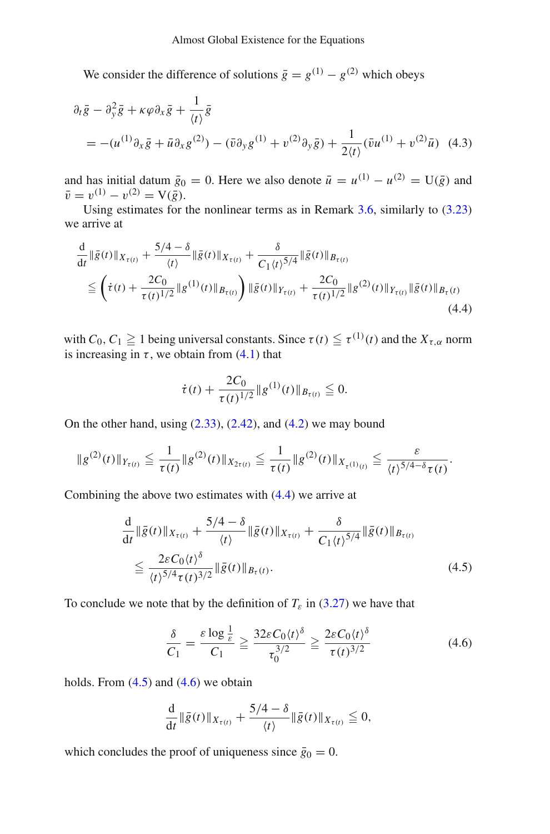We consider the difference of solutions  $\bar{g} = g^{(1)} - g^{(2)}$  which obeys

$$
\partial_t \bar{g} - \partial_y^2 \bar{g} + \kappa \varphi \partial_x \bar{g} + \frac{1}{\langle t \rangle} \bar{g}
$$
  
=  $-(u^{(1)} \partial_x \bar{g} + \bar{u} \partial_x g^{(2)}) - (\bar{v} \partial_y g^{(1)} + v^{(2)} \partial_y \bar{g}) + \frac{1}{2 \langle t \rangle} (\bar{v} u^{(1)} + v^{(2)} \bar{u})$  (4.3)

and has initial datum  $\bar{g}_0 = 0$ . Here we also denote  $\bar{u} = u^{(1)} - u^{(2)} = U(\bar{g})$  and  $\bar{v} = v^{(1)} - v^{(2)} = V(\bar{g}).$ 

Using estimates for the nonlinear terms as in Remark [3.6,](#page-20-1) similarly to [\(3.23\)](#page-21-0) we arrive at

$$
\frac{d}{dt} \|\bar{g}(t)\|_{X_{\tau(t)}} + \frac{5/4 - \delta}{\langle t \rangle} \|\bar{g}(t)\|_{X_{\tau(t)}} + \frac{\delta}{C_1 \langle t \rangle^{5/4}} \|\bar{g}(t)\|_{B_{\tau(t)}} \n\leq \left( \dot{\tau}(t) + \frac{2C_0}{\tau(t)^{1/2}} \|g^{(1)}(t)\|_{B_{\tau(t)}} \right) \|\bar{g}(t)\|_{Y_{\tau(t)}} + \frac{2C_0}{\tau(t)^{1/2}} \|g^{(2)}(t)\|_{Y_{\tau(t)}} \|\bar{g}(t)\|_{B_{\tau}(t)} \tag{4.4}
$$

with *C*<sub>0</sub>, *C*<sub>1</sub>  $\geq$  1 being universal constants. Since  $\tau(t) \leq \tau^{(1)}(t)$  and the  $X_{\tau,\alpha}$  norm is increasing in  $\tau$ , we obtain from [\(4.1\)](#page-23-3) that

<span id="page-24-0"></span>
$$
\dot{\tau}(t) + \frac{2C_0}{\tau(t)^{1/2}} \|g^{(1)}(t)\|_{B_{\tau(t)}} \leq 0.
$$

On the other hand, using  $(2.33)$ ,  $(2.42)$ , and  $(4.2)$  we may bound

$$
\|g^{(2)}(t)\|_{Y_{\tau(t)}} \leqq \frac{1}{\tau(t)} \|g^{(2)}(t)\|_{X_{2\tau(t)}} \leqq \frac{1}{\tau(t)} \|g^{(2)}(t)\|_{X_{\tau(1)}(t)} \leqq \frac{\varepsilon}{\langle t \rangle^{5/4-\delta} \tau(t)}.
$$

Combining the above two estimates with [\(4.4\)](#page-24-0) we arrive at

$$
\frac{d}{dt} \|\bar{g}(t)\|_{X_{\tau(t)}} + \frac{5/4 - \delta}{\langle t \rangle} \|\bar{g}(t)\|_{X_{\tau(t)}} + \frac{\delta}{C_1 \langle t \rangle^{5/4}} \|\bar{g}(t)\|_{B_{\tau(t)}} \n\leq \frac{2\varepsilon C_0 \langle t \rangle^{\delta}}{\langle t \rangle^{5/4} \tau(t)^{3/2}} \|\bar{g}(t)\|_{B_{\tau}(t)}.
$$
\n(4.5)

To conclude we note that by the definition of  $T_{\varepsilon}$  in [\(3.27\)](#page-22-3) we have that

<span id="page-24-2"></span><span id="page-24-1"></span>
$$
\frac{\delta}{C_1} = \frac{\varepsilon \log \frac{1}{\varepsilon}}{C_1} \ge \frac{32\varepsilon C_0 \langle t \rangle^{\delta}}{\tau_0^{3/2}} \ge \frac{2\varepsilon C_0 \langle t \rangle^{\delta}}{\tau(t)^{3/2}}
$$
(4.6)

holds. From  $(4.5)$  and  $(4.6)$  we obtain

$$
\frac{\mathrm{d}}{\mathrm{d}t} \|\bar{g}(t)\|_{X_{\tau(t)}} + \frac{5/4 - \delta}{\langle t \rangle} \|\bar{g}(t)\|_{X_{\tau(t)}} \leqq 0,
$$

which concludes the proof of uniqueness since  $\bar{g}_0 = 0$ .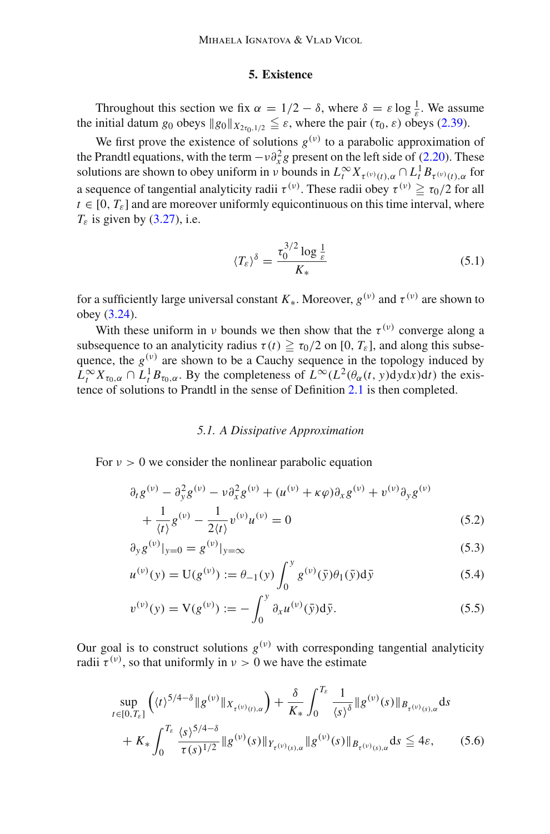## **5. Existence**

<span id="page-25-0"></span>Throughout this section we fix  $\alpha = 1/2 - \delta$ , where  $\delta = \varepsilon \log \frac{1}{\varepsilon}$ . We assume the initial datum *g*<sub>0</sub> obeys  $\|g_0\|_{X_{2\tau_0,1/2}} \leq \varepsilon$ , where the pair  $(\tau_0, \varepsilon)$  obeys [\(2.39\)](#page-11-2).

We first prove the existence of solutions  $g^{(v)}$  to a parabolic approximation of the Prandtl equations, with the term  $-v\partial_x^2 g$  present on the left side of [\(2.20\)](#page-9-0). These solutions are shown to obey uniform in *ν* bounds in  $L_t^{\infty} X_{\tau^{(v)}(t),\alpha} \cap L_t^1 B_{\tau^{(v)}(t),\alpha}$  for a sequence of tangential analyticity radii  $\tau^{(v)}$ . These radii obey  $\tau^{(v)} \ge \tau_0/2$  for all  $t \in [0, T_{\varepsilon}]$  and are moreover uniformly equicontinuous on this time interval, where  $T_{\varepsilon}$  is given by [\(3.27\)](#page-22-3), i.e.

<span id="page-25-4"></span>
$$
\langle T_{\varepsilon} \rangle^{\delta} = \frac{\tau_0^{3/2} \log \frac{1}{\varepsilon}}{K_*} \tag{5.1}
$$

for a sufficiently large universal constant  $K_*$ . Moreover,  $g^{(v)}$  and  $\tau^{(v)}$  are shown to obey [\(3.24\)](#page-22-0).

With these uniform in *ν* bounds we then show that the  $\tau^{(\nu)}$  converge along a subsequence to an analyticity radius  $\tau(t) \ge \tau_0/2$  on [0,  $T_{\varepsilon}$ ], and along this subsequence, the  $g^{(v)}$  are shown to be a Cauchy sequence in the topology induced by  $L_t^{\infty} X_{\tau_0, \alpha} \cap L_t^1 B_{\tau_0, \alpha}$ . By the completeness of  $L^{\infty}(L^2(\theta_{\alpha}(t, y)dydx)dt)$  the existence of solutions to Prandtl in the sense of Definition [2.1](#page-11-3) is then completed.

## <span id="page-25-2"></span>*5.1. A Dissipative Approximation*

For  $v > 0$  we consider the nonlinear parabolic equation

$$
\partial_t g^{(\nu)} - \partial_y^2 g^{(\nu)} - \nu \partial_x^2 g^{(\nu)} + (u^{(\nu)} + \kappa \varphi) \partial_x g^{(\nu)} + \nu^{(\nu)} \partial_y g^{(\nu)} + \frac{1}{\langle t \rangle} g^{(\nu)} - \frac{1}{2 \langle t \rangle} \nu^{(\nu)} u^{(\nu)} = 0
$$
\n(5.2)

$$
\partial_y g^{(\nu)}|_{y=0} = g^{(\nu)}|_{y=\infty} \tag{5.3}
$$

$$
u^{(\nu)}(y) = U(g^{(\nu)}) := \theta_{-1}(y) \int_0^y g^{(\nu)}(\bar{y}) \theta_1(\bar{y}) d\bar{y}
$$
(5.4)

<span id="page-25-3"></span>
$$
v^{(\nu)}(y) = V(g^{(\nu)}) := -\int_0^y \partial_x u^{(\nu)}(\bar{y}) d\bar{y}.
$$
 (5.5)

Our goal is to construct solutions  $g^{(v)}$  with corresponding tangential analyticity radii  $\tau^{(\nu)}$ , so that uniformly in  $\nu > 0$  we have the estimate

<span id="page-25-1"></span>
$$
\sup_{t \in [0,T_{\varepsilon}]} \left( \langle t \rangle^{5/4 - \delta} \| g^{(\nu)} \|_{X_{\tau}(\nu)(t),\alpha} \right) + \frac{\delta}{K_{*}} \int_{0}^{T_{\varepsilon}} \frac{1}{\langle s \rangle^{\delta}} \| g^{(\nu)}(s) \|_{B_{\tau}(\nu)(s),\alpha} ds \n+ K_{*} \int_{0}^{T_{\varepsilon}} \frac{\langle s \rangle^{5/4 - \delta}}{\tau(s)^{1/2}} \| g^{(\nu)}(s) \|_{Y_{\tau}(\nu)(s),\alpha} \| g^{(\nu)}(s) \|_{B_{\tau}(\nu)(s),\alpha} ds \leq 4\varepsilon,
$$
\n(5.6)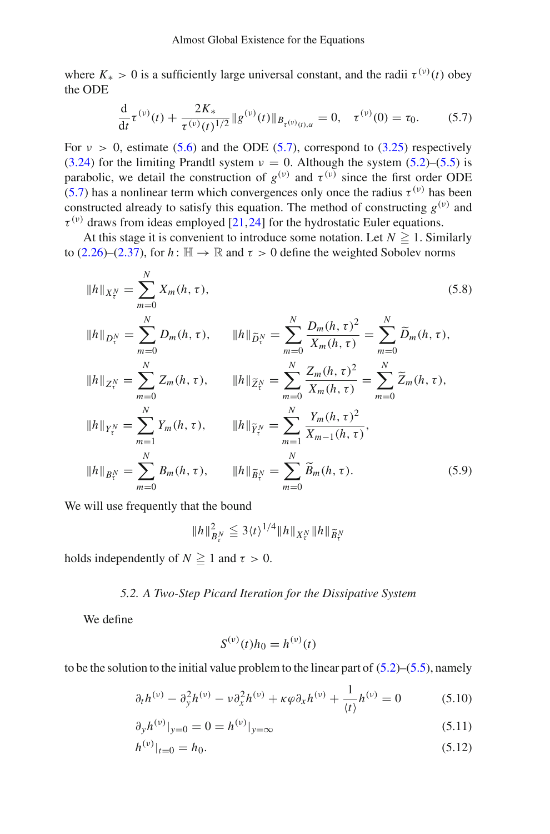where  $K_* > 0$  is a sufficiently large universal constant, and the radii  $\tau^{(v)}(t)$  obey the ODE

<span id="page-26-0"></span>
$$
\frac{d}{dt}\tau^{(\nu)}(t) + \frac{2K_*}{\tau^{(\nu)}(t)^{1/2}} \|g^{(\nu)}(t)\|_{B_{\tau^{(\nu)}(t),\alpha}} = 0, \quad \tau^{(\nu)}(0) = \tau_0. \tag{5.7}
$$

For  $v > 0$ , estimate [\(5.6\)](#page-25-1) and the ODE [\(5.7\)](#page-26-0), correspond to [\(3.25\)](#page-22-1) respectively [\(3.24\)](#page-22-0) for the limiting Prandtl system  $v = 0$ . Although the system [\(5.2\)](#page-25-2)–[\(5.5\)](#page-25-3) is parabolic, we detail the construction of  $g^{(\nu)}$  and  $\tau^{(\nu)}$  since the first order ODE [\(5.7\)](#page-26-0) has a nonlinear term which convergences only once the radius  $\tau^{(\nu)}$  has been constructed already to satisfy this equation. The method of constructing  $g^{(v)}$  and  $\tau^{(\nu)}$  draws from ideas employed [\[21,](#page-38-20)[24\]](#page-39-16) for the hydrostatic Euler equations.

At this stage it is convenient to introduce some notation. Let  $N \geq 1$ . Similarly to [\(2.26\)](#page-9-6)–[\(2.37\)](#page-10-1), for  $h: \mathbb{H} \to \mathbb{R}$  and  $\tau > 0$  define the weighted Sobolev norms

<span id="page-26-4"></span>
$$
||h||_{X_t^N} = \sum_{m=0}^N X_m(h, \tau),
$$
\n
$$
||h||_{D_t^N} = \sum_{m=0}^N D_m(h, \tau),
$$
\n
$$
||h||_{\widetilde{D}_t^N} = \sum_{m=0}^N \frac{D_m(h, \tau)^2}{X_m(h, \tau)} = \sum_{m=0}^N \widetilde{D}_m(h, \tau),
$$
\n
$$
||h||_{Z_t^N} = \sum_{m=0}^N Z_m(h, \tau),
$$
\n
$$
||h||_{\widetilde{Z}_t^N} = \sum_{m=0}^N \frac{Z_m(h, \tau)^2}{X_m(h, \tau)} = \sum_{m=0}^N \widetilde{Z}_m(h, \tau),
$$
\n
$$
||h||_{Y_t^N} = \sum_{m=1}^N Y_m(h, \tau),
$$
\n
$$
||h||_{\widetilde{B}_t^N} = \sum_{m=0}^N \frac{Y_m(h, \tau)^2}{X_{m-1}(h, \tau)},
$$
\n
$$
||h||_{B_t^N} = \sum_{m=0}^N B_m(h, \tau),
$$
\n
$$
||h||_{\widetilde{B}_t^N} = \sum_{m=0}^N \widetilde{B}_m(h, \tau).
$$
\n(5.9)

We will use frequently that the bound

<span id="page-26-5"></span>
$$
||h||_{B_t^N}^2 \leq 3 \langle t \rangle^{1/4} ||h||_{X_\tau^N} ||h||_{\widetilde{B}_\tau^N}
$$

holds independently of  $N \geq 1$  and  $\tau > 0$ .

# *5.2. A Two-Step Picard Iteration for the Dissipative System*

We define

<span id="page-26-3"></span><span id="page-26-2"></span><span id="page-26-1"></span>
$$
S^{(\nu)}(t)h_0 = h^{(\nu)}(t)
$$

to be the solution to the initial value problem to the linear part of  $(5.2)$ – $(5.5)$ , namely

$$
\partial_t h^{(\nu)} - \partial_y^2 h^{(\nu)} - \nu \partial_x^2 h^{(\nu)} + \kappa \varphi \partial_x h^{(\nu)} + \frac{1}{\langle t \rangle} h^{(\nu)} = 0 \tag{5.10}
$$

$$
\partial_y h^{(v)}|_{y=0} = 0 = h^{(v)}|_{y=\infty}
$$
\n(5.11)

$$
h^{(\nu)}|_{t=0} = h_0. \tag{5.12}
$$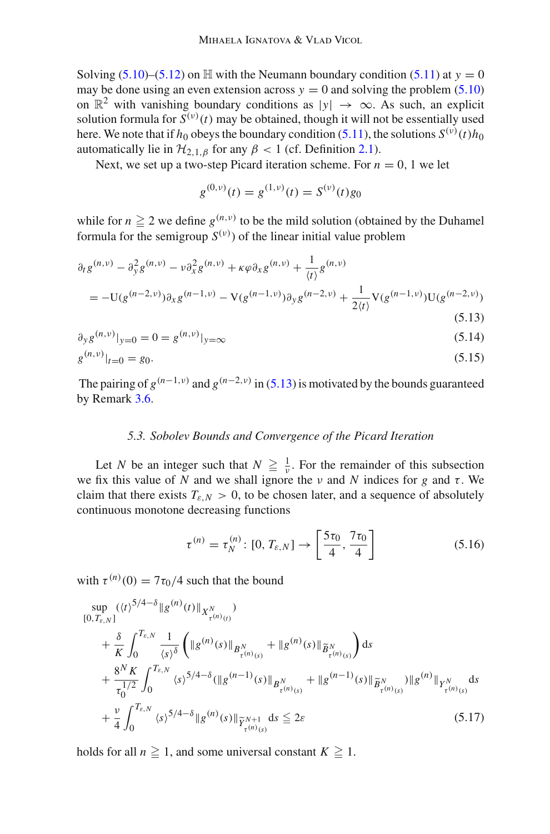Solving [\(5.10\)](#page-26-1)–[\(5.12\)](#page-26-2) on  $\mathbb H$  with the Neumann boundary condition [\(5.11\)](#page-26-3) at  $y = 0$ may be done using an even extension across  $y = 0$  and solving the problem [\(5.10\)](#page-26-1) on  $\mathbb{R}^2$  with vanishing boundary conditions as  $|y| \to \infty$ . As such, an explicit solution formula for  $S^{(v)}(t)$  may be obtained, though it will not be essentially used here. We note that if  $h_0$  obeys the boundary condition [\(5.11\)](#page-26-3), the solutions  $S^{(v)}(t)h_0$ automatically lie in  $\mathcal{H}_{2,1,\beta}$  for any  $\beta < 1$  (cf. Definition [2.1\)](#page-11-3).

Next, we set up a two-step Picard iteration scheme. For  $n = 0, 1$  we let

<span id="page-27-4"></span><span id="page-27-2"></span><span id="page-27-0"></span>
$$
g^{(0,\nu)}(t) = g^{(1,\nu)}(t) = S^{(\nu)}(t)g_0
$$

while for  $n \geq 2$  we define  $g^{(n,v)}$  to be the mild solution (obtained by the Duhamel formula for the semigroup  $S^{(v)}$ ) of the linear initial value problem

$$
\partial_t g^{(n,\nu)} - \partial_y^2 g^{(n,\nu)} - \nu \partial_x^2 g^{(n,\nu)} + \kappa \varphi \partial_x g^{(n,\nu)} + \frac{1}{\langle t \rangle} g^{(n,\nu)} \n= -\mathrm{U}(g^{(n-2,\nu)}) \partial_x g^{(n-1,\nu)} - \mathrm{V}(g^{(n-1,\nu)}) \partial_y g^{(n-2,\nu)} + \frac{1}{2 \langle t \rangle} \mathrm{V}(g^{(n-1,\nu)}) \mathrm{U}(g^{(n-2,\nu)})
$$
\n(5.13)

$$
\partial_y g^{(n,\nu)}|_{y=0} = 0 = g^{(n,\nu)}|_{y=\infty}
$$
\n(5.14)

$$
g^{(n,\nu)}|_{t=0} = g_0. \tag{5.15}
$$

The pairing of  $g^{(n-1,\nu)}$  and  $g^{(n-2,\nu)}$  in [\(5.13\)](#page-27-0) is motivated by the bounds guaranteed by Remark [3.6.](#page-20-1)

#### *5.3. Sobolev Bounds and Convergence of the Picard Iteration*

Let *N* be an integer such that  $N \geq \frac{1}{\nu}$ . For the remainder of this subsection we fix this value of *N* and we shall ignore the  $\nu$  and *N* indices for *g* and  $\tau$ . We claim that there exists  $T_{\varepsilon,N} > 0$ , to be chosen later, and a sequence of absolutely continuous monotone decreasing functions

<span id="page-27-3"></span><span id="page-27-1"></span>
$$
\tau^{(n)} = \tau_N^{(n)} \colon [0, T_{\varepsilon,N}] \to \left[\frac{5\tau_0}{4}, \frac{7\tau_0}{4}\right] \tag{5.16}
$$

with  $\tau^{(n)}(0) = 7\tau_0/4$  such that the bound

$$
\sup_{[0,T_{\varepsilon,N}]} ((t)^{5/4-\delta} \| g^{(n)}(t) \|_{X^N_{\tau^{(n)}(t)}}) \n+ \frac{\delta}{K} \int_0^{T_{\varepsilon,N}} \frac{1}{\langle s \rangle^{\delta}} \left( \| g^{(n)}(s) \|_{B^N_{\tau^{(n)}(s)}} + \| g^{(n)}(s) \|_{\widetilde{B}^N_{\tau^{(n)}(s)}} \right) ds \n+ \frac{8^N K}{\tau_0^{1/2}} \int_0^{T_{\varepsilon,N}} \langle s \rangle^{5/4-\delta} ( \| g^{(n-1)}(s) \|_{B^N_{\tau^{(n)}(s)}} + \| g^{(n-1)}(s) \|_{\widetilde{B}^N_{\tau^{(n)}(s)}}) \| g^{(n)} \|_{Y^N_{\tau^{(n)}(s)}} ds \n+ \frac{\nu}{4} \int_0^{T_{\varepsilon,N}} \langle s \rangle^{5/4-\delta} \| g^{(n)}(s) \|_{\widetilde{Y}^{N+1}_{\tau^{(n)}(s)}} ds \leq 2\varepsilon
$$
\n(5.17)

holds for all  $n \geq 1$ , and some universal constant  $K \geq 1$ .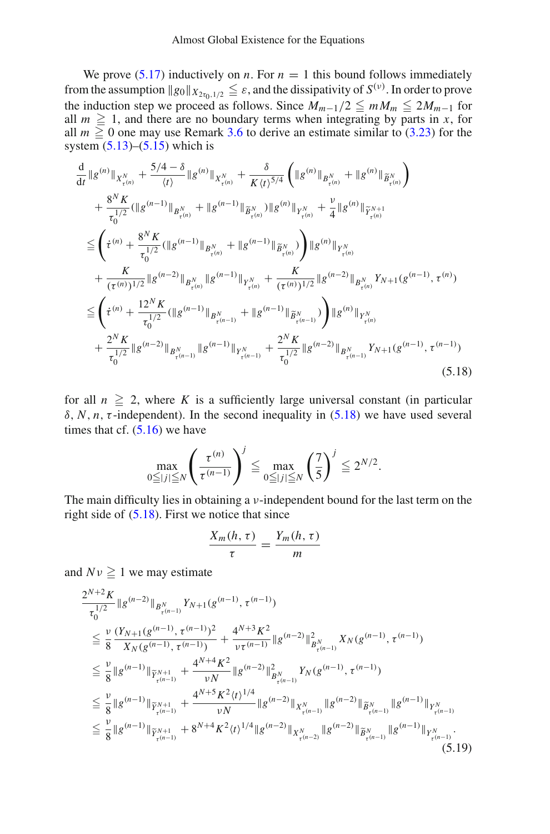We prove  $(5.17)$  inductively on *n*. For  $n = 1$  this bound follows immediately from the assumption  $\|g_0\|_{X_{2\tau_0,1/2}} \leq \varepsilon$ , and the dissipativity of  $S^{(v)}$ . In order to prove the induction step we proceed as follows. Since  $M_{m-1}/2 \leq m M_m \leq 2M_{m-1}$  for all  $m \geq 1$ , and there are no boundary terms when integrating by parts in *x*, for all  $m \ge 0$  one may use Remark [3.6](#page-20-1) to derive an estimate similar to [\(3.23\)](#page-21-0) for the system  $(5.13)$ – $(5.15)$  which is

$$
\frac{d}{dt}||g^{(n)}||_{X_{\tau(n)}^N} + \frac{5/4 - \delta}{\langle t \rangle} ||g^{(n)}||_{X_{\tau(n)}^N} + \frac{\delta}{K \langle t \rangle^{5/4}} \left( ||g^{(n)}||_{B_{\tau(n)}^N} + ||g^{(n)}||_{\widetilde{B}_{\tau(n)}^N} \right) \n+ \frac{8^N K}{\tau_0^{1/2}} (||g^{(n-1)}||_{B_{\tau(n)}^N} + ||g^{(n-1)}||_{\widetilde{B}_{\tau(n)}^N}) ||g^{(n)}||_{Y_{\tau(n)}^N} + \frac{\nu}{4} ||g^{(n)}||_{\widetilde{Y}_{\tau(n)}^{N+1}} \n\leq \left( \dot{\tau}^{(n)} + \frac{8^N K}{\tau_0^{1/2}} (||g^{(n-1)}||_{B_{\tau(n)}^N} + ||g^{(n-1)}||_{\widetilde{B}_{\tau(n)}^N}) \right) ||g^{(n)}||_{Y_{\tau(n)}^N} \n+ \frac{K}{(\tau^{(n)})^{1/2}} ||g^{(n-2)}||_{B_{\tau(n)}^N} ||g^{(n-1)}||_{Y_{\tau(n)}^N} + \frac{K}{(\tau^{(n)})^{1/2}} ||g^{(n-2)}||_{B_{\tau(n)}^N} Y_{N+1}(g^{(n-1)}, \tau^{(n)}) \n\leq \left( \dot{\tau}^{(n)} + \frac{12^N K}{\tau_0^{1/2}} (||g^{(n-1)}||_{B_{\tau(n-1)}^N} + ||g^{(n-1)}||_{\widetilde{B}_{\tau(n-1)}^N}) \right) ||g^{(n)}||_{Y_{\tau(n)}^N} \n+ \frac{2^N K}{\tau_0^{1/2}} ||g^{(n-2)}||_{B_{\tau(n-1)}^N} ||g^{(n-1)}||_{Y_{\tau(n-1)}^N} + \frac{2^N K}{\tau_0^{1/2}} ||g^{(n-2)}||_{B_{\tau(n-1)}^N} Y_{N+1}(g^{(n-1)}, \tau^{(n-1)})
$$
\n(5.18)

for all  $n \geq 2$ , where K is a sufficiently large universal constant (in particular  $\delta$ , *N*, *n*, *τ*-independent). In the second inequality in [\(5.18\)](#page-28-0) we have used several times that cf.  $(5.16)$  we have

$$
\max_{0 \leq |j| \leq N} \left( \frac{\tau^{(n)}}{\tau^{(n-1)}} \right)^j \leq \max_{0 \leq |j| \leq N} \left( \frac{7}{5} \right)^j \leq 2^{N/2}.
$$

The main difficulty lies in obtaining a  $\nu$ -independent bound for the last term on the right side of  $(5.18)$ . First we notice that since

<span id="page-28-1"></span><span id="page-28-0"></span>
$$
\frac{X_m(h,\tau)}{\tau} = \frac{Y_m(h,\tau)}{m}
$$

and  $Nv \geq 1$  we may estimate

$$
\frac{2^{N+2} K}{\tau_0^{1/2}} \|g^{(n-2)}\|_{B_{\tau(n-1)}^N} Y_{N+1}(g^{(n-1)}, \tau^{(n-1)})
$$
\n
$$
\leq \frac{\nu}{8} \frac{(Y_{N+1}(g^{(n-1)}, \tau^{(n-1)})^2}{X_N(g^{(n-1)}, \tau^{(n-1)})} + \frac{4^{N+3} K^2}{\nu \tau^{(n-1)}} \|g^{(n-2)}\|_{B_{\tau(n-1)}^N}^2 X_N(g^{(n-1)}, \tau^{(n-1)})
$$
\n
$$
\leq \frac{\nu}{8} \|g^{(n-1)}\|_{\widetilde{Y}_{\tau(n-1)}^{N+1}} + \frac{4^{N+4} K^2}{\nu N} \|g^{(n-2)}\|_{B_{\tau(n-1)}^N}^2 Y_N(g^{(n-1)}, \tau^{(n-1)})
$$
\n
$$
\leq \frac{\nu}{8} \|g^{(n-1)}\|_{\widetilde{Y}_{\tau(n-1)}^{N+1}} + \frac{4^{N+5} K^2 \langle t \rangle^{1/4}}{\nu N} \|g^{(n-2)}\|_{X_{\tau(n-1)}^N} \|g^{(n-2)}\|_{\widetilde{B}_{\tau(n-1)}^{N}} \|g^{(n-1)}\|_{Y_{\tau(n-1)}^N}.
$$
\n
$$
\leq \frac{\nu}{8} \|g^{(n-1)}\|_{\widetilde{Y}_{\tau(n-1)}^{N+1}} + 8^{N+4} K^2 \langle t \rangle^{1/4} \|g^{(n-2)}\|_{X_{\tau(n-2)}^N} \|g^{(n-2)}\|_{\widetilde{B}_{\tau(n-1)}^{N}} \|g^{(n-1)}\|_{Y_{\tau(n-1)}^N}.
$$
\n(5.19)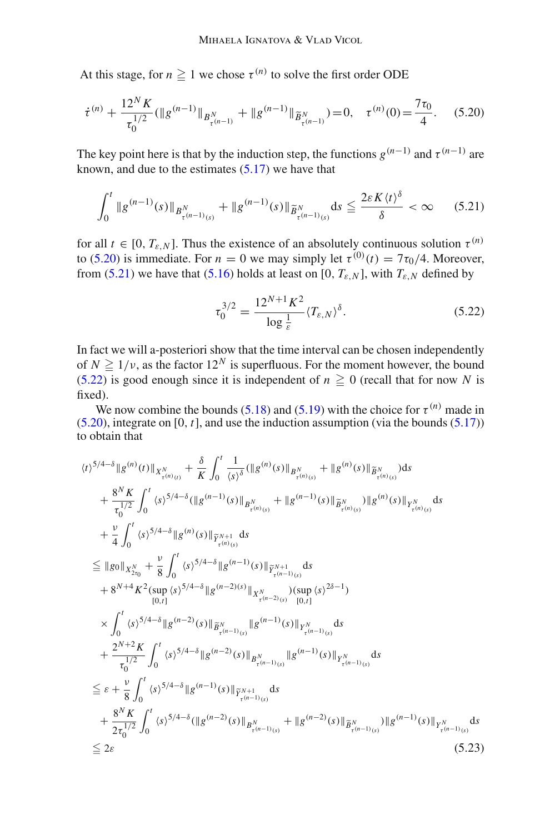At this stage, for  $n \geq 1$  we chose  $\tau^{(n)}$  to solve the first order ODE

$$
\dot{\tau}^{(n)} + \frac{12^N K}{\tau_0^{1/2}} (\|g^{(n-1)}\|_{B^N_{\tau^{(n-1)}}} + \|g^{(n-1)}\|_{\widetilde{B}^N_{\tau^{(n-1)}}}) = 0, \quad \tau^{(n)}(0) = \frac{7\tau_0}{4}.
$$
 (5.20)

The key point here is that by the induction step, the functions  $g^{(n-1)}$  and  $\tau^{(n-1)}$  are known, and due to the estimates  $(5.17)$  we have that

$$
\int_0^t \|g^{(n-1)}(s)\|_{B^N_{\tau^{(n-1)}(s)}} + \|g^{(n-1)}(s)\|_{\widetilde{B}^N_{\tau^{(n-1)}(s)}} ds \le \frac{2\varepsilon K \langle t \rangle^{\delta}}{\delta} < \infty \quad (5.21)
$$

for all  $t \in [0, T_{\varepsilon,N}]$ . Thus the existence of an absolutely continuous solution  $\tau^{(n)}$ to [\(5.20\)](#page-29-0) is immediate. For  $n = 0$  we may simply let  $\tau^{(0)}(t) = 7\tau_0/4$ . Moreover, from [\(5.21\)](#page-29-1) we have that [\(5.16\)](#page-27-3) holds at least on [0,  $T_{\epsilon,N}$ ], with  $T_{\epsilon,N}$  defined by

<span id="page-29-2"></span><span id="page-29-1"></span><span id="page-29-0"></span>
$$
\tau_0^{3/2} = \frac{12^{N+1} K^2}{\log \frac{1}{\varepsilon}} \langle T_{\varepsilon, N} \rangle^{\delta}.
$$
 (5.22)

In fact we will a-posteriori show that the time interval can be chosen independently of  $N \ge 1/\nu$ , as the factor  $12^N$  is superfluous. For the moment however, the bound  $(5.22)$  is good enough since it is independent of  $n \ge 0$  (recall that for now N is fixed).

We now combine the bounds [\(5.18\)](#page-28-0) and [\(5.19\)](#page-28-1) with the choice for  $\tau^{(n)}$  made in [\(5.20\)](#page-29-0), integrate on [0, *t*], and use the induction assumption (via the bounds [\(5.17\)](#page-27-1)) to obtain that

<span id="page-29-3"></span>
$$
\langle t \rangle^{5/4-\delta} \| g^{(n)}(t) \|_{X_{\tau(n)}^N} + \frac{\delta}{K} \int_0^t \frac{1}{\langle s \rangle^{\delta}} ( \| g^{(n)}(s) \|_{B_{\tau(n)}^N} + \| g^{(n)}(s) \|_{\widetilde{B}_{\tau(n)}^N} ) ds + \frac{8^N K}{\tau_0^{1/2}} \int_0^t \langle s \rangle^{5/4-\delta} ( \| g^{(n-1)}(s) \|_{B_{\tau(n)}^N} + \| g^{(n-1)}(s) \|_{\widetilde{B}_{\tau(n)}^N} ) \| g^{(n)}(s) \|_{Y_{\tau(n)}^N} ds + \frac{\nu}{4} \int_0^t \langle s \rangle^{5/4-\delta} \| g^{(n)}(s) \|_{\widetilde{Y}_{\tau(n)}^N} ds = \| g_0 \|_{X_{2\tau_0}^N} + \frac{\nu}{8} \int_0^t \langle s \rangle^{5/4-\delta} \| g^{(n-1)}(s) \|_{\widetilde{Y}_{\tau(n-1)}^N} ds + 8^{N+4} K^2 (\sup_{[0, t]} \langle s \rangle^{5/4-\delta} \| g^{(n-2)(s)} \|_{X_{\tau(n-2)}^N} ) (\sup_{[0, t]} \langle s \rangle^{2\delta-1} ) \times \int_0^t \langle s \rangle^{5/4-\delta} \| g^{(n-2)}(s) \|_{\widetilde{B}_{\tau(n-1)}^N} \| g^{(n-1)}(s) \|_{Y_{\tau(n-1)}^N} ds + \frac{2^{N+2} K}{\tau_0^{1/2}} \int_0^t \langle s \rangle^{5/4-\delta} \| g^{(n-2)}(s) \|_{B_{\tau(n-1)}^N} \| g^{(n-1)}(s) \|_{Y_{\tau(n-1)}^N} ds = \varepsilon + \frac{\nu}{8} \int_0^t \langle s \rangle^{5/4-\delta} \| g^{(n-1)}(s) \|_{\widetilde{Y}_{\tau(n-1)}^N} ds + \frac{8^N K}{2 \tau_0^{1/2}} \int_0^t \langle s \rangle^{5/4-\delta} ( \| g^{(n-1)}(s) \|_{\widetilde{Y}_{\tau(n-1)}^N} ds + \frac{8^N K}{2 \tau_0^{1/2}} \int_0^t \langle s \rangle^{
$$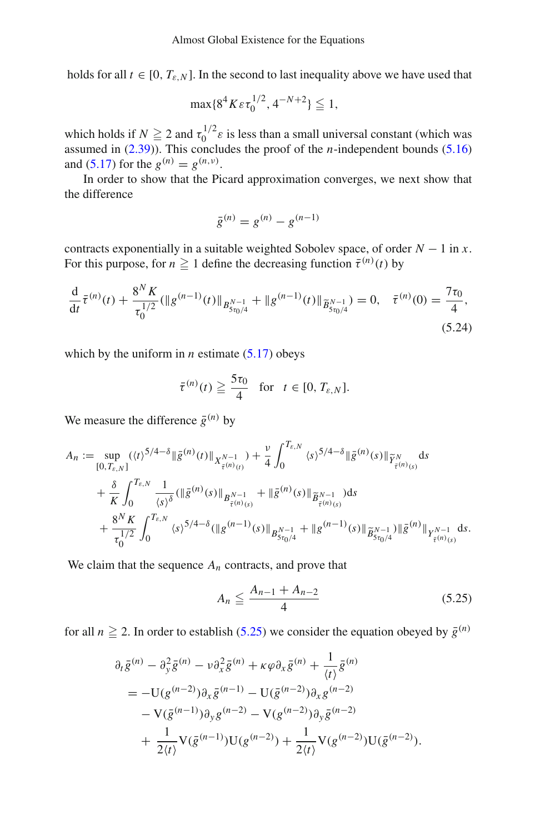holds for all  $t \in [0, T_{\varepsilon,N}]$ . In the second to last inequality above we have used that

$$
\max\{8^4K\varepsilon\tau_0^{1/2}, 4^{-N+2}\} \leqq 1,
$$

which holds if  $N \ge 2$  and  $\tau_0^{1/2} \varepsilon$  is less than a small universal constant (which was assumed in [\(2.39\)](#page-11-2)). This concludes the proof of the *n*-independent bounds [\(5.16\)](#page-27-3) and [\(5.17\)](#page-27-1) for the  $g^{(n)} = g^{(n,\nu)}$ .

In order to show that the Picard approximation converges, we next show that the difference

<span id="page-30-1"></span>
$$
\bar{g}^{(n)} = g^{(n)} - g^{(n-1)}
$$

contracts exponentially in a suitable weighted Sobolev space, of order  $N - 1$  in *x*. For this purpose, for  $n \ge 1$  define the decreasing function  $\bar{\tau}^{(n)}(t)$  by

$$
\frac{\mathrm{d}}{\mathrm{d}t}\bar{\tau}^{(n)}(t) + \frac{8^N K}{\tau_0^{1/2}} (\|g^{(n-1)}(t)\|_{B^{N-1}_{5\tau_0/4}} + \|g^{(n-1)}(t)\|_{\widetilde{B}^{N-1}_{5\tau_0/4}}) = 0, \quad \bar{\tau}^{(n)}(0) = \frac{7\tau_0}{4},\tag{5.24}
$$

which by the uniform in  $n$  estimate  $(5.17)$  obeys

$$
\bar{\tau}^{(n)}(t) \geqq \frac{5\tau_0}{4} \quad \text{for} \quad t \in [0, T_{\varepsilon,N}].
$$

We measure the difference  $\bar{g}^{(n)}$  by

$$
A_n := \sup_{[0,T_{\varepsilon,N}]} (\langle t \rangle^{5/4-\delta} \| \bar{g}^{(n)}(t) \|_{X^{N-1}_{\bar{\tau}^{(n)}(t)}}) + \frac{\nu}{4} \int_0^{T_{\varepsilon,N}} \langle s \rangle^{5/4-\delta} \| \bar{g}^{(n)}(s) \|_{\widetilde{Y}^N_{\bar{\tau}^{(n)}(s)}} ds + \frac{\delta}{K} \int_0^{T_{\varepsilon,N}} \frac{1}{\langle s \rangle^{\delta}} (\| \bar{g}^{(n)}(s) \|_{B^{N-1}_{\bar{\tau}^{(n)}(s)}} + \| \bar{g}^{(n)}(s) \|_{\widetilde{B}^{N-1}_{\bar{\tau}^{(n)}(s)}}) ds + \frac{8^N K}{\tau_0^{1/2}} \int_0^{T_{\varepsilon,N}} \langle s \rangle^{5/4-\delta} (\| g^{(n-1)}(s) \|_{B^{N-1}_{\bar{\tau}^{(n)}(s)}} + \| g^{(n-1)}(s) \|_{\widetilde{B}^{N-1}_{\bar{\tau}^{(n)}(s)}} \| \bar{g}^{(n)} \|_{Y^{N-1}_{\bar{\tau}^{(n)}(s)}} ds.
$$

We claim that the sequence  $A_n$  contracts, and prove that

<span id="page-30-0"></span>
$$
A_n \le \frac{A_{n-1} + A_{n-2}}{4} \tag{5.25}
$$

for all  $n \ge 2$ . In order to establish [\(5.25\)](#page-30-0) we consider the equation obeyed by  $\bar{g}^{(n)}$ 

$$
\partial_t \bar{g}^{(n)} - \partial_y^2 \bar{g}^{(n)} - \nu \partial_x^2 \bar{g}^{(n)} + \kappa \varphi \partial_x \bar{g}^{(n)} + \frac{1}{\langle t \rangle} \bar{g}^{(n)} \n= -U(g^{(n-2)}) \partial_x \bar{g}^{(n-1)} - U(\bar{g}^{(n-2)}) \partial_x g^{(n-2)} \n- V(\bar{g}^{(n-1)}) \partial_y g^{(n-2)} - V(g^{(n-2)}) \partial_y \bar{g}^{(n-2)} \n+ \frac{1}{2 \langle t \rangle} V(\bar{g}^{(n-1)}) U(g^{(n-2)}) + \frac{1}{2 \langle t \rangle} V(g^{(n-2)}) U(\bar{g}^{(n-2)}).
$$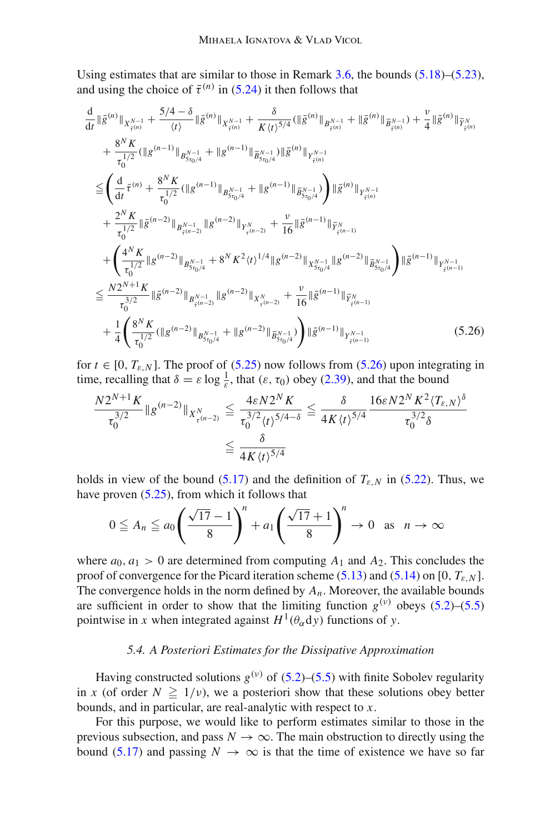Using estimates that are similar to those in Remark [3.6,](#page-20-1) the bounds [\(5.18\)](#page-28-0)–[\(5.23\)](#page-29-3), and using the choice of  $\bar{\tau}^{(n)}$  in [\(5.24\)](#page-30-1) it then follows that

$$
\frac{d}{dt} \|\bar{g}^{(n)}\|_{X^{N-1}_{\bar{\tau}^{(n)}}} + \frac{5/4 - \delta}{\langle t \rangle} \|\bar{g}^{(n)}\|_{X^{N-1}_{\bar{\tau}^{(n)}}} + \frac{\delta}{K \langle t \rangle^{5/4}} (\|\bar{g}^{(n)}\|_{B^{N-1}_{\bar{\tau}^{(n)}}} + \|\bar{g}^{(n)}\|_{\tilde{B}^{N-1}_{\bar{\tau}^{(n)}}}) + \frac{v}{4} \|\bar{g}^{(n)}\|_{\tilde{Y}^{N}_{\bar{\tau}^{(n)}}}
$$
\n
$$
+ \frac{8^{N} K}{\tau_{0}^{1/2}} (\|g^{(n-1)}\|_{B^{N-1}_{S\tau_{0}/4}} + \|g^{(n-1)}\|_{\tilde{B}^{N-1}_{S\tau_{0}/4}}) \|\bar{g}^{(n)}\|_{Y^{N-1}_{\bar{\tau}^{(n)}}}
$$
\n
$$
\leq \left(\frac{d}{dt} \bar{\tau}^{(n)} + \frac{8^{N} K}{\tau_{0}^{1/2}} (\|g^{(n-1)}\|_{B^{N-1}_{S\tau_{0}/4}} + \|g^{(n-1)}\|_{\tilde{B}^{N-1}_{S\tau_{0}/4}})\right) \|\bar{g}^{(n)}\|_{Y^{N-1}_{\bar{\tau}^{(n)}}}
$$
\n
$$
+ \frac{2^{N} K}{\tau_{0}^{1/2}} \|\bar{g}^{(n-2)}\|_{B^{N-1}_{\bar{\tau}^{(n-2)}}} \|g^{(n-2)}\|_{Y^{N}_{\tau^{(n-2)}}} + \frac{v}{16} \|\bar{g}^{(n-1)}\|_{\tilde{Y}^{N}_{\bar{\tau}^{(n-1)}}}
$$
\n
$$
+ \left(\frac{4^{N} K}{\tau_{0}^{1/2}} \|g^{(n-2)}\|_{B^{N-1}_{S\tau_{0}/4}} + 8^{N} K^{2} \langle t \rangle^{1/4} \|g^{(n-2)}\|_{X^{N-1}_{S\tau_{0}/4}} \|g^{(n-2)}\|_{\tilde{B}^{N-1}_{S\tau_{0}/4}}\right) \|\bar{g}^{(n-1)}\|_{Y^{N-1}_{\bar{\tau}^{(n-1)}}}
$$
\n

for  $t \in [0, T_{\varepsilon,N}]$ . The proof of [\(5.25\)](#page-30-0) now follows from [\(5.26\)](#page-31-0) upon integrating in time, recalling that  $\delta = \varepsilon \log \frac{1}{\varepsilon}$ , that  $(\varepsilon, \tau_0)$  obey [\(2.39\)](#page-11-2), and that the bound

<span id="page-31-0"></span>
$$
\frac{N2^{N+1} K}{\tau_0^{3/2}} \|g^{(n-2)}\|_{X_{\tau}^N(0,T^2)} \leq \frac{4\varepsilon N2^N K}{\tau_0^{3/2} \langle t \rangle^{5/4 - \delta}} \leq \frac{\delta}{4K \langle t \rangle^{5/4}} \frac{16\varepsilon N2^N K^2 \langle T_{\varepsilon,N} \rangle^{\delta}}{\tau_0^{3/2} \delta}
$$
  
 
$$
\leq \frac{\delta}{4K \langle t \rangle^{5/4}}
$$

holds in view of the bound [\(5.17\)](#page-27-1) and the definition of  $T_{\varepsilon,N}$  in [\(5.22\)](#page-29-2). Thus, we have proven [\(5.25\)](#page-30-0), from which it follows that

$$
0 \leqq A_n \leqq a_0 \left(\frac{\sqrt{17}-1}{8}\right)^n + a_1 \left(\frac{\sqrt{17}+1}{8}\right)^n \to 0 \text{ as } n \to \infty
$$

where  $a_0$ ,  $a_1 > 0$  are determined from computing  $A_1$  and  $A_2$ . This concludes the proof of convergence for the Picard iteration scheme  $(5.13)$  and  $(5.14)$  on  $[0, T_{\varepsilon,N}]$ . The convergence holds in the norm defined by  $A_n$ . Moreover, the available bounds are sufficient in order to show that the limiting function  $g^{(v)}$  obeys [\(5.2\)](#page-25-2)–[\(5.5\)](#page-25-3) pointwise in *x* when integrated against  $H^1(\theta_\alpha \, dy)$  functions of *y*.

## *5.4. A Posteriori Estimates for the Dissipative Approximation*

Having constructed solutions  $g^{(v)}$  of [\(5.2\)](#page-25-2)–[\(5.5\)](#page-25-3) with finite Sobolev regularity in *x* (of order  $N \ge 1/v$ ), we a posteriori show that these solutions obey better bounds, and in particular, are real-analytic with respect to *x*.

For this purpose, we would like to perform estimates similar to those in the previous subsection, and pass  $N \to \infty$ . The main obstruction to directly using the bound [\(5.17\)](#page-27-1) and passing  $N \to \infty$  is that the time of existence we have so far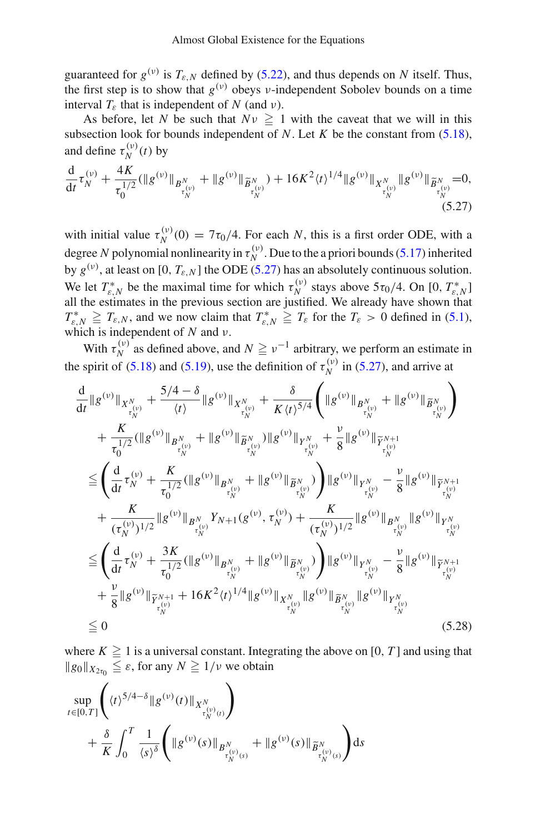guaranteed for  $g^{(v)}$  is  $T_{\varepsilon,N}$  defined by [\(5.22\)](#page-29-2), and thus depends on *N* itself. Thus, the first step is to show that  $g^{(v)}$  obeys *v*-independent Sobolev bounds on a time interval  $T_{\varepsilon}$  that is independent of *N* (and *v*).

As before, let *N* be such that  $Nv \geq 1$  with the caveat that we will in this subsection look for bounds independent of *N*. Let *K* be the constant from  $(5.18)$ , and define  $\tau_N^{(\nu)}(t)$  by

<span id="page-32-0"></span>
$$
\frac{\mathrm{d}}{\mathrm{d}t}\tau_N^{(\nu)} + \frac{4K}{\tau_0^{1/2}}(\|g^{(\nu)}\|_{B^N_{\tau_N^{(\nu)}}} + \|g^{(\nu)}\|_{\widetilde{B}^N_{\tau_N^{(\nu)}}}) + 16K^2 \langle t \rangle^{1/4} \|g^{(\nu)}\|_{X^N_{\tau_N^{(\nu)}}} \|g^{(\nu)}\|_{\widetilde{B}^N_{\tau_N^{(\nu)}}} = 0, \tag{5.27}
$$

with initial value  $\tau_N^{(\nu)}(0) = 7\tau_0/4$ . For each *N*, this is a first order ODE, with a degree *N* polynomial nonlinearity in  $\tau_N^{(\nu)}$ . Due to the a priori bounds [\(5.17\)](#page-27-1) inherited by  $g^{(v)}$ , at least on [0,  $T_{\varepsilon,N}$ ] the ODE [\(5.27\)](#page-32-0) has an absolutely continuous solution. We let  $T_{\varepsilon,N}^*$  be the maximal time for which  $\tau_N^{(\nu)}$  stays above  $5\tau_0/4$ . On [0,  $T_{\varepsilon,N}^*$ ] all the estimates in the previous section are justified. We already have shown that  $T_{\varepsilon,N}^* \geq T_{\varepsilon,N}$ , and we now claim that  $T_{\varepsilon,N}^* \geq T_{\varepsilon}$  for the  $T_{\varepsilon} > 0$  defined in [\(5.1\)](#page-25-4), which is independent of  $N$  and  $\nu$ .

With  $\tau_N^{(\nu)}$  as defined above, and  $N \ge \nu^{-1}$  arbitrary, we perform an estimate in the spirit of [\(5.18\)](#page-28-0) and [\(5.19\)](#page-28-1), use the definition of  $\tau_N^{(\nu)}$  in [\(5.27\)](#page-32-0), and arrive at

$$
\frac{d}{dt}||g^{(\nu)}||_{X^{N}_{\tau_{N}^{(\nu)}}} + \frac{5/4 - \delta}{\langle t \rangle}||g^{(\nu)}||_{X^{N}_{\tau_{N}^{(\nu)}}} + \frac{\delta}{K\langle t \rangle^{5/4}} \left(||g^{(\nu)}||_{B^{N}_{\tau_{N}^{(\nu)}}} + ||g^{(\nu)}||_{\widetilde{B}^{N}_{\tau_{N}^{(\nu)}}}\right) \n+ \frac{K}{\tau_{0}^{1/2}} (||g^{(\nu)}||_{B^{N}_{\tau_{N}^{(\nu)}}} + ||g^{(\nu)}||_{\widetilde{B}^{N}_{\tau_{N}^{(\nu)}}}) ||g^{(\nu)}||_{Y^{N}_{\tau_{N}^{(\nu)}}} + \frac{\nu}{8} ||g^{(\nu)}||_{\widetilde{Y}^{N+1}_{\tau_{N}^{(\nu)}}} \n\leq \left(\frac{d}{dt} \tau_{N}^{(\nu)} + \frac{K}{\tau_{0}^{1/2}} (||g^{(\nu)}||_{B^{N}_{\tau_{N}^{(\nu)}}} + ||g^{(\nu)}||_{\widetilde{B}^{N}_{\tau_{N}^{(\nu)}}})\right) ||g^{(\nu)}||_{Y^{N}_{\tau_{N}^{(\nu)}}} - \frac{\nu}{8} ||g^{(\nu)}||_{\widetilde{Y}^{N+1}_{\tau_{N}^{(\nu)}}} \n+ \frac{K}{(\tau_{N}^{(\nu)})^{1/2}} ||g^{(\nu)}||_{B^{N}_{\tau_{N}^{(\nu)}}} Y_{N+1}(g^{(\nu)}, \tau_{N}^{(\nu)}) + \frac{K}{(\tau_{N}^{(\nu)})^{1/2}} ||g^{(\nu)}||_{B^{N}_{\tau_{N}^{(\nu)}}} ||g^{(\nu)}||_{Y^{N}_{\tau_{N}^{(\nu)}}} \n\leq \left(\frac{d}{dt} \tau_{N}^{(\nu)} + \frac{3K}{\tau_{0}^{1/2}} (||g^{(\nu)}||_{B^{N}_{\tau_{N}^{(\nu)}}} + ||g^{(\nu)}||_{\widetilde{B}^{N}_{\tau_{N}^{(\nu)}}})\right) ||g^{(\nu)}||_{Y^{N}_{\tau_{N}^{(\nu)}}} - \frac{\nu}{8} ||g^{(\nu)}||_{\widetilde{Y}^{N+1}_{\tau_{N}^{(\nu)}}} \n+ \frac{\nu}{8} ||g^{(\nu)}||_{\widetilde{Y}^{N+1}_{\tau_{N}^{(\nu)}}} + 1
$$

<span id="page-32-1"></span>where  $K \ge 1$  is a universal constant. Integrating the above on [0, *T*] and using that  $\|g_0\|_{X_{2\tau_0}} \leq \varepsilon$ , for any  $N \geq 1/\nu$  we obtain

$$
\sup_{t\in[0,T]} \left( \langle t \rangle^{5/4-\delta} \| g^{(\nu)}(t) \|_{X^N_{\tau_N^{(\nu)}(t)}} \right) + \frac{\delta}{K} \int_0^T \frac{1}{\langle s \rangle^{\delta}} \left( \| g^{(\nu)}(s) \|_{B^N_{\tau_N^{(\nu)}(s)}} + \| g^{(\nu)}(s) \|_{\widetilde{B}^N_{\tau_N^{(\nu)}(s)}} \right) ds
$$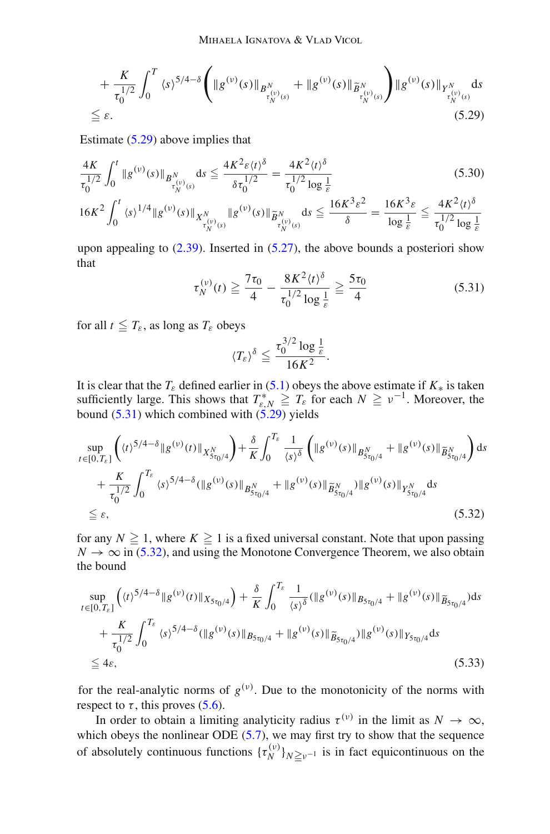$$
+\frac{K}{\tau_0^{1/2}} \int_0^T \langle s \rangle^{5/4-\delta} \Biggl( \|g^{(\nu)}(s)\|_{B^N_{\tau_N^{(\nu)}(s)}} + \|g^{(\nu)}(s)\|_{\widetilde{B}^N_{\tau_N^{(\nu)}(s)}} \Biggr) \|g^{(\nu)}(s)\|_{Y^N_{\tau_N^{(\nu)}(s)}} ds
$$
  
\n
$$
\leq \varepsilon.
$$
\n(5.29)

Estimate [\(5.29\)](#page-33-0) above implies that

$$
\frac{4K}{\tau_0^{1/2}} \int_0^t \|g^{(\nu)}(s)\|_{B_{\tau_{N}^{(\nu)}(s)}^N} ds \le \frac{4K^2 \varepsilon \langle t \rangle^{\delta}}{\delta \tau_0^{1/2}} = \frac{4K^2 \langle t \rangle^{\delta}}{\tau_0^{1/2} \log \frac{1}{\varepsilon}} \tag{5.30}
$$
\n
$$
16K^2 \int_0^t \langle s \rangle^{1/4} \|g^{(\nu)}(s)\|_{X_{\tau_{N}^{(\nu)}}^N} \|g^{(\nu)}(s)\|_{\widetilde{B}_{\tau_{N}^{(\nu)}(s)}^N} ds \le \frac{16K^3 \varepsilon^2}{\delta} = \frac{16K^3 \varepsilon}{\log \frac{1}{\varepsilon}} \le \frac{4K^2 \langle t \rangle^{\delta}}{\tau_0^{1/2} \log \frac{1}{\varepsilon}}
$$

upon appealing to  $(2.39)$ . Inserted in  $(5.27)$ , the above bounds a posteriori show that

<span id="page-33-4"></span><span id="page-33-0"></span>
$$
\tau_N^{(\nu)}(t) \ge \frac{7\tau_0}{4} - \frac{8K^2\langle t\rangle^{\delta}}{\tau_0^{1/2}\log\frac{1}{\varepsilon}} \ge \frac{5\tau_0}{4} \tag{5.31}
$$

for all  $t \leq T_{\varepsilon}$ , as long as  $T_{\varepsilon}$  obeys

<span id="page-33-2"></span><span id="page-33-1"></span>
$$
\langle T_{\varepsilon}\rangle^{\delta}\leq \frac{\tau_0^{3/2}\log\frac{1}{\varepsilon}}{16K^2}.
$$

It is clear that the *T*<sub>ε</sub> defined earlier in [\(5.1\)](#page-25-4) obeys the above estimate if  $K_*$  is taken sufficiently large. This shows that  $T_{\varepsilon,N}^* \geq T_{\varepsilon}$  for each  $N \geq \nu^{-1}$ . Moreover, the bound  $(5.31)$  which combined with  $(5.29)$  yields

$$
\sup_{t \in [0,T_{\varepsilon}]} \left( \langle t \rangle^{5/4-\delta} \| g^{(v)}(t) \|_{X_{5\tau_0/4}^N} \right) + \frac{\delta}{K} \int_0^{T_{\varepsilon}} \frac{1}{\langle s \rangle^{\delta}} \left( \| g^{(v)}(s) \|_{B_{5\tau_0/4}^N} + \| g^{(v)}(s) \|_{\widetilde{B}_{5\tau_0/4}^N} \right) ds
$$
  
+ 
$$
\frac{K}{\tau_0^{1/2}} \int_0^{T_{\varepsilon}} \langle s \rangle^{5/4-\delta} (||g^{(v)}(s) ||_{B_{5\tau_0/4}^N} + ||g^{(v)}(s) ||_{\widetilde{B}_{5\tau_0/4}^N}) ||g^{(v)}(s) ||_{Y_{5\tau_0/4}^N} ds
$$
  

$$
\leq \varepsilon, \tag{5.32}
$$

for any  $N \geq 1$ , where  $K \geq 1$  is a fixed universal constant. Note that upon passing  $N \to \infty$  in [\(5.32\)](#page-33-2), and using the Monotone Convergence Theorem, we also obtain the bound

$$
\sup_{t \in [0,T_{\varepsilon}]} \left( \langle t \rangle^{5/4-\delta} \| g^{(\nu)}(t) \|_{X_{5\tau_0/4}} \right) + \frac{\delta}{K} \int_0^{T_{\varepsilon}} \frac{1}{\langle s \rangle^{\delta}} ( \| g^{(\nu)}(s) \|_{B_{5\tau_0/4}} + \| g^{(\nu)}(s) \|_{\widetilde{B}_{5\tau_0/4}}) ds + \frac{K}{\tau_0^{1/2}} \int_0^{T_{\varepsilon}} \langle s \rangle^{5/4-\delta} ( \| g^{(\nu)}(s) \|_{B_{5\tau_0/4}} + \| g^{(\nu)}(s) \|_{\widetilde{B}_{5\tau_0/4}}) \| g^{(\nu)}(s) \|_{Y_{5\tau_0/4}} ds \leq 4\varepsilon,
$$
\n(5.33)

<span id="page-33-3"></span>for the real-analytic norms of  $g^{(v)}$ . Due to the monotonicity of the norms with respect to  $\tau$ , this proves [\(5.6\)](#page-25-1).

In order to obtain a limiting analyticity radius  $\tau^{(\nu)}$  in the limit as  $N \to \infty$ , which obeys the nonlinear ODE  $(5.7)$ , we may first try to show that the sequence of absolutely continuous functions  $\{\tau_N^{(\nu)}\}_{N \geq \nu^{-1}}$  is in fact equicontinuous on the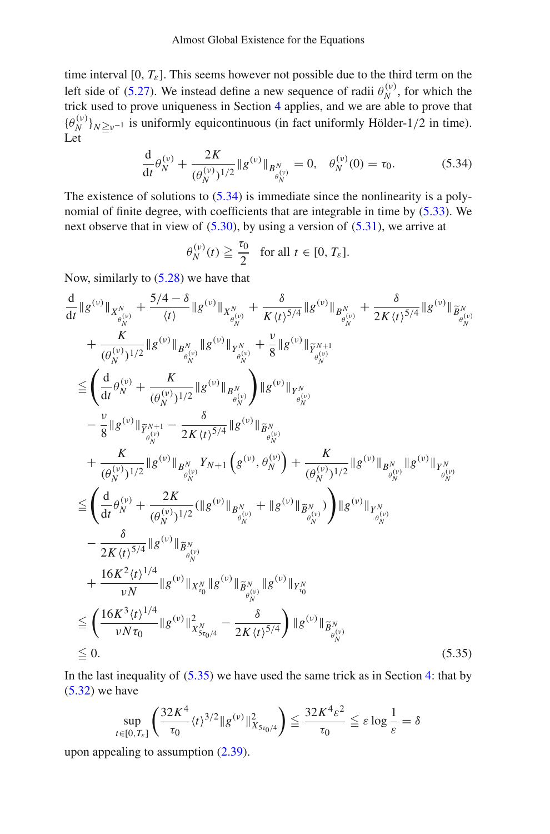time interval [0,  $T_{\varepsilon}$ ]. This seems however not possible due to the third term on the left side of [\(5.27\)](#page-32-0). We instead define a new sequence of radii  $\theta_N^{(v)}$ , for which the trick used to prove uniqueness in Section [4](#page-23-0) applies, and we are able to prove that  $\{\theta_N^{(\nu)}\}_{N\geq \nu^{-1}}$  is uniformly equicontinuous (in fact uniformly Hölder-1/2 in time). Let

$$
\frac{\mathrm{d}}{\mathrm{d}t}\theta_N^{(\nu)} + \frac{2K}{(\theta_N^{(\nu)})^{1/2}} \|g^{(\nu)}\|_{B_{\theta_N^{(\nu)}}^N} = 0, \quad \theta_N^{(\nu)}(0) = \tau_0. \tag{5.34}
$$

The existence of solutions to  $(5.34)$  is immediate since the nonlinearity is a polynomial of finite degree, with coefficients that are integrable in time by [\(5.33\)](#page-33-3). We next observe that in view of [\(5.30\)](#page-33-4), by using a version of [\(5.31\)](#page-33-1), we arrive at

<span id="page-34-0"></span>
$$
\theta_N^{(\nu)}(t) \geq \frac{\tau_0}{2} \quad \text{for all } t \in [0, T_{\varepsilon}].
$$

Now, similarly to [\(5.28\)](#page-32-1) we have that

$$
\frac{d}{dt}||g^{(v)}||_{X_{\theta_{N}^{(v)}}^{N}} + \frac{5/4 - \delta}{\langle t \rangle} ||g^{(v)}||_{X_{\theta_{N}^{(v)}}^{N}} + \frac{\delta}{K(t)^{5/4}} ||g^{(v)}||_{B_{\theta_{N}^{(v)}}^{N}} + \frac{\delta}{2K(t)^{5/4}} ||g^{(v)}||_{\widetilde{B}_{\theta_{N}^{(v)}}^{N}} \n+ \frac{K}{(\theta_{N}^{(v)})^{1/2}} ||g^{(v)}||_{B_{\theta_{N}^{(v)}}^{N}} ||g^{(v)}||_{Y_{\theta_{N}^{(v)}}^{N}} + \frac{v}{8} ||g^{(v)}||_{\widetilde{Y}_{\theta_{N}^{(v)}}^{N+1}} \n\leq \left(\frac{d}{dt}\theta_{N}^{(v)} + \frac{K}{(\theta_{N}^{(v)})^{1/2}} ||g^{(v)}||_{B_{\theta_{N}^{(v)}}^{N}}\right) ||g^{(v)}||_{Y_{\theta_{N}^{(v)}}^{N}} \n- \frac{v}{8} ||g^{(v)}||_{\widetilde{Y}_{\theta_{N}^{(v)}}^{N+1}} - \frac{\delta}{2K(t)^{5/4}} ||g^{(v)}||_{\widetilde{B}_{\theta_{N}^{(v)}}^{N}} \n+ \frac{K}{(\theta_{N}^{(v)})^{1/2}} ||g^{(v)}||_{B_{\theta_{N}^{(v)}}^{N}} Y_{N+1} \left(g^{(v)}, \theta_{N}^{(v)}\right) + \frac{K}{(\theta_{N}^{(v)})^{1/2}} ||g^{(v)}||_{B_{\theta_{N}^{(v)}}^{N}} ||g^{(v)}||_{Y_{\theta_{N}^{(v)}}^{N}} \n\leq \left(\frac{d}{dt}\theta_{N}^{(v)} + \frac{2K}{(\theta_{N}^{(v)})^{1/2}} (||g^{(v)}||_{B_{\theta_{N}^{(v)}}^{N}} + ||g^{(v)}||_{\widetilde{B}_{\theta_{N}^{(v)}}^{N}})\right) ||g^{(v)}||_{Y_{\theta_{N}^{(v)}}^{N}} \n- \frac{\delta}{2K(t)^{5/4}} ||g^{(v)}||_{\widetilde{X}_{\theta_{N}^{(v)}}^{N}} \n+ \frac{16K^{2}(t)^{1/4}}{vN} ||g^{(v)}||_{
$$

In the last inequality of  $(5.35)$  we have used the same trick as in Section [4:](#page-23-0) that by  $(5.32)$  we have

<span id="page-34-1"></span>
$$
\sup_{t\in[0,T_{\varepsilon}]} \left(\frac{32K^4}{\tau_0} \langle t \rangle^{3/2} \|g^{(\nu)}\|_{X_{5\tau_0/4}}^2\right) \leq \frac{32K^4\varepsilon^2}{\tau_0} \leq \varepsilon \log \frac{1}{\varepsilon} = \delta
$$

upon appealing to assumption [\(2.39\)](#page-11-2).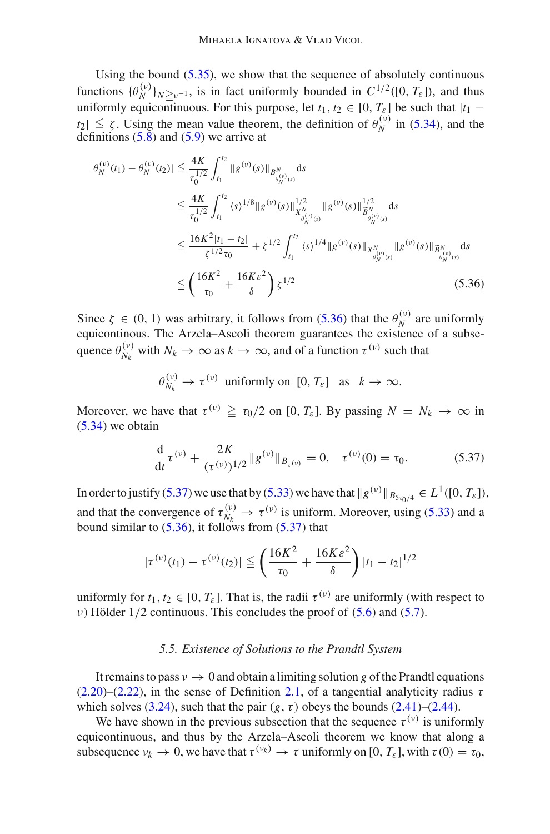Using the bound  $(5.35)$ , we show that the sequence of absolutely continuous functions  $\{\theta_N^{(\nu)}\}_{N\geq \nu^{-1}}$ , is in fact uniformly bounded in  $C^{1/2}([0, T_{\varepsilon}])$ , and thus uniformly equicontinuous. For this purpose, let  $t_1, t_2 \in [0, T_{\varepsilon}]$  be such that  $|t_1 - t_2|$  $t_2 \le \zeta$ . Using the mean value theorem, the definition of  $\theta_N^{(\nu)}$  in [\(5.34\)](#page-34-0), and the definitions [\(5.8\)](#page-26-4) and [\(5.9\)](#page-26-5) we arrive at

$$
|\theta_{N}^{(v)}(t_{1}) - \theta_{N}^{(v)}(t_{2})| \leq \frac{4K}{\tau_{0}^{1/2}} \int_{t_{1}}^{t_{2}} \|g^{(v)}(s)\|_{B_{\theta_{N}^{(v)}(s)}^N} ds
$$
  
\n
$$
\leq \frac{4K}{\tau_{0}^{1/2}} \int_{t_{1}}^{t_{2}} \langle s \rangle^{1/8} \|g^{(v)}(s)\|_{X_{\theta_{N}^{(v)}(s)}^{N}}^{1/2} \|g^{(v)}(s)\|_{\tilde{B}_{\theta_{N}^{(v)}(s)}^{N}}^{1/2} ds
$$
  
\n
$$
\leq \frac{16K^{2}|t_{1} - t_{2}|}{\zeta^{1/2}\tau_{0}} + \zeta^{1/2} \int_{t_{1}}^{t_{2}} \langle s \rangle^{1/4} \|g^{(v)}(s)\|_{X_{\theta_{N}^{(v)}(s)}^N} \|g^{(v)}(s)\|_{\tilde{B}_{\theta_{N}^{(v)}(s)}^N} ds
$$
  
\n
$$
\leq \left(\frac{16K^{2}}{\tau_{0}} + \frac{16K\epsilon^{2}}{\delta}\right) \zeta^{1/2}
$$
\n(5.36)

Since  $\zeta \in (0, 1)$  was arbitrary, it follows from [\(5.36\)](#page-35-0) that the  $\theta_N^{(v)}$  are uniformly equicontinous. The Arzela–Ascoli theorem guarantees the existence of a subsequence  $\theta_{N_k}^{(v)}$  with  $N_k \to \infty$  as  $k \to \infty$ , and of a function  $\tau^{(v)}$  such that

<span id="page-35-0"></span>
$$
\theta_{N_k}^{(\nu)} \to \tau^{(\nu)} \text{ uniformly on } [0, T_{\varepsilon}] \text{ as } k \to \infty.
$$

Moreover, we have that  $\tau^{(\nu)} \ge \tau_0/2$  on [0,  $T_{\varepsilon}$ ]. By passing  $N = N_k \to \infty$  in  $(5.34)$  we obtain

<span id="page-35-1"></span>
$$
\frac{d}{dt}\tau^{(\nu)} + \frac{2K}{(\tau^{(\nu)})^{1/2}} \|g^{(\nu)}\|_{B_{\tau^{(\nu)}}} = 0, \quad \tau^{(\nu)}(0) = \tau_0. \tag{5.37}
$$

In order to justify [\(5.37\)](#page-35-1) we use that by [\(5.33\)](#page-33-3) we have that  $||g^{(\nu)}||_{B_{5\tau_0/4}} \in L^1([0, T_{\varepsilon}]),$ and that the convergence of  $\tau_{N_k}^{(\nu)} \to \tau^{(\nu)}$  is uniform. Moreover, using [\(5.33\)](#page-33-3) and a bound similar to  $(5.36)$ , it follows from  $(5.37)$  that

$$
|\tau^{(\nu)}(t_1) - \tau^{(\nu)}(t_2)| \leq \left(\frac{16K^2}{\tau_0} + \frac{16K\varepsilon^2}{\delta}\right)|t_1 - t_2|^{1/2}
$$

uniformly for  $t_1, t_2 \in [0, T_{\varepsilon}]$ . That is, the radii  $\tau^{(\nu)}$  are uniformly (with respect to ν) Hölder 1/2 continuous. This concludes the proof of [\(5.6\)](#page-25-1) and [\(5.7\)](#page-26-0).

#### *5.5. Existence of Solutions to the Prandtl System*

It remains to pass  $v \to 0$  and obtain a limiting solution g of the Prandtl equations  $(2.20)$ – $(2.22)$ , in the sense of Definition [2.1,](#page-11-3) of a tangential analyticity radius  $\tau$ which solves [\(3.24\)](#page-22-0), such that the pair  $(g, \tau)$  obeys the bounds [\(2.41\)](#page-12-4)–[\(2.44\)](#page-12-2).

We have shown in the previous subsection that the sequence  $\tau^{(v)}$  is uniformly equicontinuous, and thus by the Arzela–Ascoli theorem we know that along a subsequence  $v_k \to 0$ , we have that  $\tau^{(v_k)} \to \tau$  uniformly on [0,  $T_{\varepsilon}$ ], with  $\tau(0) = \tau_0$ ,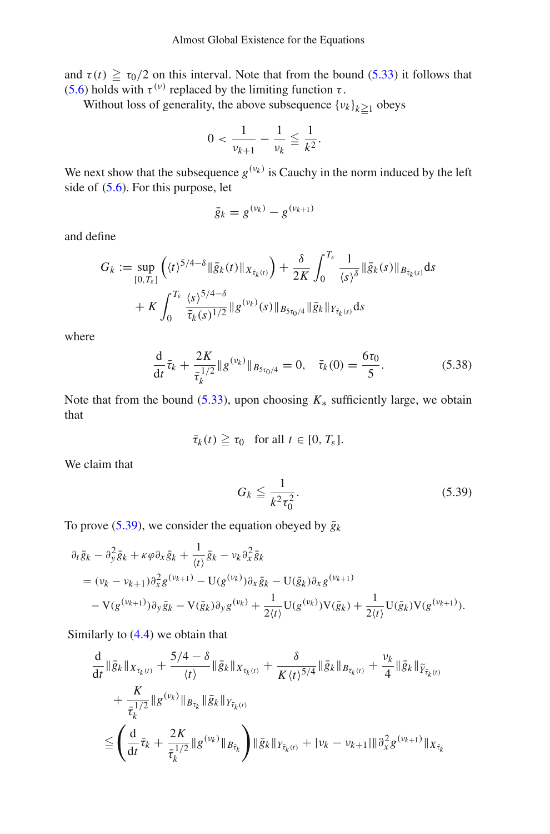and  $\tau(t) \ge \tau_0/2$  on this interval. Note that from the bound [\(5.33\)](#page-33-3) it follows that [\(5.6\)](#page-25-1) holds with  $\tau^{(\nu)}$  replaced by the limiting function  $\tau$ .

Without loss of generality, the above subsequence  $\{v_k\}_{k \geq 1}$  obeys

$$
0 < \frac{1}{\nu_{k+1}} - \frac{1}{\nu_k} \leqq \frac{1}{k^2}.
$$

We next show that the subsequence  $g^{(v_k)}$  is Cauchy in the norm induced by the left side of [\(5.6\)](#page-25-1). For this purpose, let

$$
\bar{g}_k = g^{(\nu_k)} - g^{(\nu_{k+1})}
$$

and define

$$
G_k := \sup_{[0,T_{\varepsilon}]} \left( \langle t \rangle^{5/4-\delta} \| \bar{g}_k(t) \|_{X_{\bar{\tau}_k}(t)} \right) + \frac{\delta}{2K} \int_0^{T_{\varepsilon}} \frac{1}{\langle s \rangle^{\delta}} \| \bar{g}_k(s) \|_{B_{\bar{\tau}_k}(s)} ds + K \int_0^{T_{\varepsilon}} \frac{\langle s \rangle^{5/4-\delta}}{\bar{\tau}_k(s)^{1/2}} \| g^{(v_k)}(s) \|_{B_{5\tau_0/4}} \| \bar{g}_k \|_{Y_{\bar{\tau}_k}(s)} ds
$$

where

$$
\frac{\mathrm{d}}{\mathrm{d}t}\bar{\tau}_k + \frac{2K}{\bar{\tau}_k^{1/2}} \|g^{(\nu_k)}\|_{B_{5\tau_0/4}} = 0, \quad \bar{\tau}_k(0) = \frac{6\tau_0}{5}.\tag{5.38}
$$

Note that from the bound [\(5.33\)](#page-33-3), upon choosing  $K_*$  sufficiently large, we obtain that

$$
\bar{\tau}_k(t) \geqq \tau_0 \quad \text{for all } t \in [0, T_{\varepsilon}].
$$

We claim that

<span id="page-36-1"></span><span id="page-36-0"></span>
$$
G_k \le \frac{1}{k^2 \tau_0^2}.\tag{5.39}
$$

To prove [\(5.39\)](#page-36-0), we consider the equation obeyed by  $\bar{g}_k$ 

$$
\partial_t \bar{g}_k - \partial_y^2 \bar{g}_k + \kappa \varphi \partial_x \bar{g}_k + \frac{1}{\langle t \rangle} \bar{g}_k - \nu_k \partial_x^2 \bar{g}_k
$$
  
=  $(\nu_k - \nu_{k+1}) \partial_x^2 g^{(\nu_{k+1})} - U(g^{(\nu_k)}) \partial_x \bar{g}_k - U(\bar{g}_k) \partial_x g^{(\nu_{k+1})}$   
-  $V(g^{(\nu_{k+1})}) \partial_y \bar{g}_k - V(\bar{g}_k) \partial_y g^{(\nu_k)} + \frac{1}{2 \langle t \rangle} U(g^{(\nu_k)}) V(\bar{g}_k) + \frac{1}{2 \langle t \rangle} U(\bar{g}_k) V(g^{(\nu_{k+1})}).$ 

Similarly to [\(4.4\)](#page-24-0) we obtain that

$$
\frac{d}{dt} \|\bar{g}_k\|_{X_{\bar{\tau}_k(t)}} + \frac{5/4 - \delta}{\langle t \rangle} \|\bar{g}_k\|_{X_{\bar{\tau}_k(t)}} + \frac{\delta}{K \langle t \rangle^{5/4}} \|\bar{g}_k\|_{B_{\bar{\tau}_k(t)}} + \frac{\nu_k}{4} \|\bar{g}_k\|_{\widetilde{Y}_{\bar{\tau}_k(t)}} \n+ \frac{K}{\bar{\tau}_k^{1/2}} \|g^{(\nu_k)}\|_{B_{\bar{\tau}_k}} \|\bar{g}_k\|_{Y_{\bar{\tau}_k(t)}} \n\leq \left(\frac{d}{dt} \bar{\tau}_k + \frac{2K}{\bar{\tau}_k^{1/2}} \|g^{(\nu_k)}\|_{B_{\bar{\tau}_k}}\right) \|\bar{g}_k\|_{Y_{\bar{\tau}_k(t)}} + |\nu_k - \nu_{k+1}| \|\partial_x^2 g^{(\nu_{k+1})}\|_{X_{\bar{\tau}_k}}
$$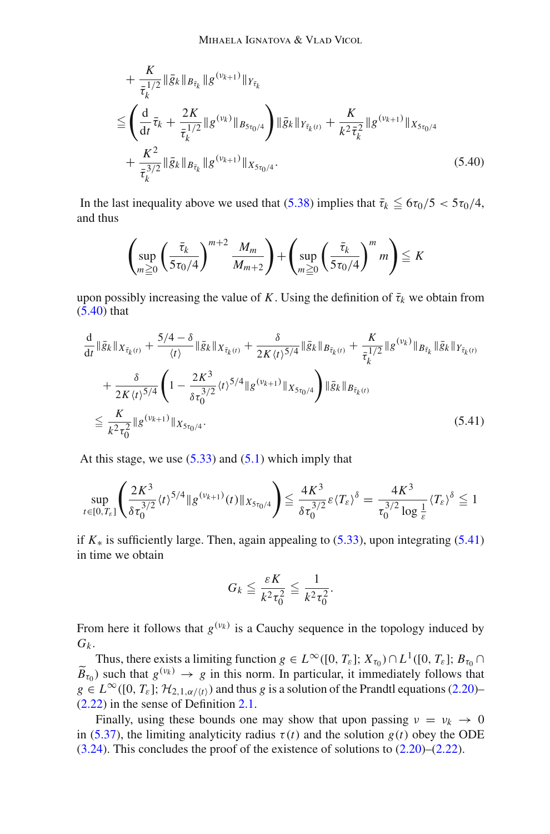$$
+ \frac{K}{\bar{\tau}_{k}^{1/2}} \|\bar{g}_{k}\|_{B_{\bar{\tau}_{k}}} \|g^{(\nu_{k+1})}\|_{Y_{\bar{\tau}_{k}}} \n\leq \left(\frac{d}{dt}\bar{\tau}_{k} + \frac{2K}{\bar{\tau}_{k}^{1/2}} \|g^{(\nu_{k})}\|_{B_{5\tau_{0}/4}}\right) \|\bar{g}_{k}\|_{Y_{\bar{\tau}_{k}(t)}} + \frac{K}{k^{2}\bar{\tau}_{k}^{2}} \|g^{(\nu_{k+1})}\|_{X_{5\tau_{0}/4}} \n+ \frac{K^{2}}{\bar{\tau}_{k}^{3/2}} \|\bar{g}_{k}\|_{B_{\bar{\tau}_{k}}} \|g^{(\nu_{k+1})}\|_{X_{5\tau_{0}/4}}.
$$
\n(5.40)

In the last inequality above we used that  $(5.38)$  implies that  $\bar{\tau}_k \le 6\tau_0/5 < 5\tau_0/4$ , and thus

<span id="page-37-0"></span>
$$
\left(\sup_{m\geq 0}\left(\frac{\bar{\tau}_k}{5\tau_0/4}\right)^{m+2}\frac{M_m}{M_{m+2}}\right)+\left(\sup_{m\geq 0}\left(\frac{\bar{\tau}_k}{5\tau_0/4}\right)^m m\right)\leq K
$$

upon possibly increasing the value of *K*. Using the definition of  $\bar{\tau}_k$  we obtain from [\(5.40\)](#page-37-0) that

$$
\frac{d}{dt} \|\bar{g}_k\|_{X_{\bar{\tau}_k(t)}} + \frac{5/4 - \delta}{\langle t \rangle} \|\bar{g}_k\|_{X_{\bar{\tau}_k(t)}} + \frac{\delta}{2K \langle t \rangle^{5/4}} \|\bar{g}_k\|_{B_{\bar{\tau}_k(t)}} + \frac{K}{\bar{\tau}_k^{1/2}} \|g^{(\nu_k)}\|_{B_{\bar{\tau}_k}} \|\bar{g}_k\|_{Y_{\bar{\tau}_k(t)}} \n+ \frac{\delta}{2K \langle t \rangle^{5/4}} \left(1 - \frac{2K^3}{\delta \tau_0^{3/2}} \langle t \rangle^{5/4} \|g^{(\nu_{k+1})}\|_{X_{5\tau_0/4}}\right) \|\bar{g}_k\|_{B_{\bar{\tau}_k(t)}} \n\leq \frac{K}{k^2 \tau_0^2} \|g^{(\nu_{k+1})}\|_{X_{5\tau_0/4}}.
$$
\n(5.41)

At this stage, we use  $(5.33)$  and  $(5.1)$  which imply that

$$
\sup_{t\in[0,T_{\varepsilon}]} \left( \frac{2K^3}{\delta \tau_0^{3/2}} \langle t \rangle^{5/4} \| g^{(\nu_{k+1})}(t) \|_{X_{5\tau_0/4}} \right) \leq \frac{4K^3}{\delta \tau_0^{3/2}} \varepsilon \langle T_{\varepsilon} \rangle^{\delta} = \frac{4K^3}{\tau_0^{3/2} \log \frac{1}{\varepsilon}} \langle T_{\varepsilon} \rangle^{\delta} \leq 1
$$

if  $K_*$  is sufficiently large. Then, again appealing to  $(5.33)$ , upon integrating  $(5.41)$ in time we obtain

<span id="page-37-1"></span>
$$
G_k \leqq \frac{\varepsilon K}{k^2 \tau_0^2} \leqq \frac{1}{k^2 \tau_0^2}.
$$

From here it follows that  $g^{(v_k)}$  is a Cauchy sequence in the topology induced by  $G_k$ .

Thus, there exists a limiting function  $g \in L^{\infty}([0, T_{\varepsilon}]; X_{\tau_0}) \cap L^1([0, T_{\varepsilon}]; B_{\tau_0} \cap$  $\widetilde{B}_{\tau_0}$ ) such that  $g^{(\nu_k)} \to g$  in this norm. In particular, it immediately follows that  $g \in L^{\infty}([0, T_{\varepsilon}]; \mathcal{H}_{2,1,\alpha/(t)})$  and thus *g* is a solution of the Prandtl equations [\(2.20\)](#page-9-0)– [\(2.22\)](#page-9-3) in the sense of Definition [2.1.](#page-11-3)

Finally, using these bounds one may show that upon passing  $v = v_k \rightarrow 0$ in [\(5.37\)](#page-35-1), the limiting analyticity radius  $\tau(t)$  and the solution  $g(t)$  obey the ODE  $(3.24)$ . This concludes the proof of the existence of solutions to  $(2.20)$ – $(2.22)$ .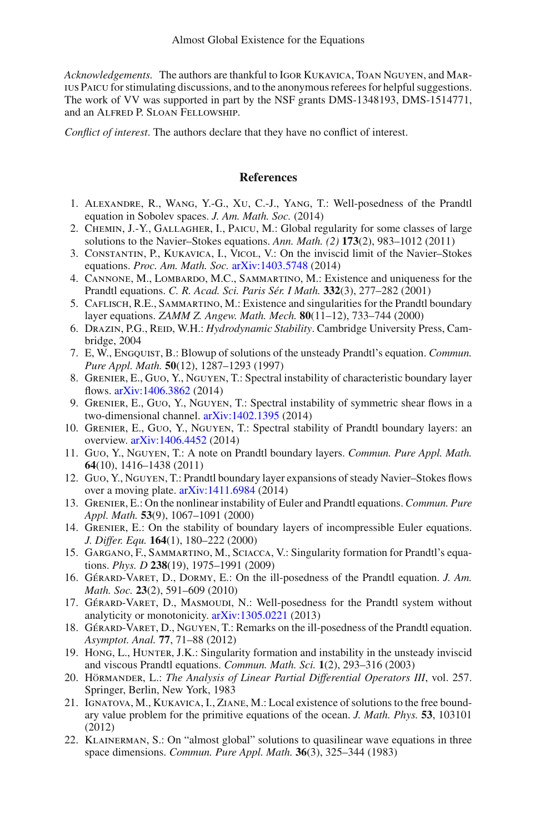*Acknowledgements.* The authors are thankful to Igor Kukavica, Toan Nguyen, and Marius Paicu for stimulating discussions, and to the anonymous referees for helpful suggestions. The work of VV was supported in part by the NSF grants DMS-1348193, DMS-1514771, and an Alfred P. Sloan Fellowship.

*Conflict of interest*. The authors declare that they have no conflict of interest.

# **References**

- <span id="page-38-6"></span>1. Alexandre, R., Wang, Y.-G., Xu, C.-J., Yang, T.: Well-posedness of the Prandtl equation in Sobolev spaces. *J. Am. Math. Soc.* (2014)
- <span id="page-38-17"></span>2. CHEMIN, J.-Y., GALLAGHER, I., PAICU, M.: Global regularity for some classes of large solutions to the Navier–Stokes equations. *Ann. Math. (2)* **173**(2), 983–1012 (2011)
- <span id="page-38-14"></span>3. Constantin, P., Kukavica, I., Vicol, V.: On the inviscid limit of the Navier–Stokes equations. *Proc. Am. Math. Soc.* [arXiv:1403.5748](http://arxiv.org/abs/1403.5748) (2014)
- <span id="page-38-7"></span>4. Cannone, M., Lombardo, M.C., Sammartino, M.: Existence and uniqueness for the Prandtl equations. *C. R. Acad. Sci. Paris Sér. I Math.* **332**(3), 277–282 (2001)
- <span id="page-38-8"></span>5. Caflisch, R.E., Sammartino, M.: Existence and singularities for the Prandtl boundary layer equations. *ZAMM Z. Angew. Math. Mech.* **80**(11–12), 733–744 (2000)
- <span id="page-38-16"></span>6. Drazin, P.G., Reid, W.H.: *Hydrodynamic Stability*. Cambridge University Press, Cambridge, 2004
- <span id="page-38-9"></span>7. E, W., Engquist, B.: Blowup of solutions of the unsteady Prandtl's equation. *Commun. Pure Appl. Math.* **50**(12), 1287–1293 (1997)
- <span id="page-38-1"></span>8. Grenier, E., Guo, Y., Nguyen, T.: Spectral instability of characteristic boundary layer flows. [arXiv:1406.3862](http://arxiv.org/abs/1406.3862) (2014)
- 9. Grenier, E., Guo, Y., Nguyen, T.: Spectral instability of symmetric shear flows in a two-dimensional channel. [arXiv:1402.1395](http://arxiv.org/abs/1402.1395) (2014)
- <span id="page-38-15"></span>10. Grenier, E., Guo, Y., Nguyen, T.: Spectral stability of Prandtl boundary layers: an overview. [arXiv:1406.4452](http://arxiv.org/abs/1406.4452) (2014)
- <span id="page-38-2"></span>11. Guo, Y., Nguyen, T.: A note on Prandtl boundary layers. *Commun. Pure Appl. Math.* **64**(10), 1416–1438 (2011)
- <span id="page-38-0"></span>12. Guo, Y., Nguyen, T.: Prandtl boundary layer expansions of steady Navier–Stokes flows over a moving plate. [arXiv:1411.6984](http://arxiv.org/abs/1411.6984) (2014)
- <span id="page-38-3"></span>13. Grenier, E.: On the nonlinear instability of Euler and Prandtl equations. *Commun. Pure Appl. Math.* **53**(9), 1067–1091 (2000)
- <span id="page-38-10"></span>14. Grenier, E.: On the stability of boundary layers of incompressible Euler equations. *J. Differ. Equ.* **164**(1), 180–222 (2000)
- <span id="page-38-11"></span>15. Gargano, F., Sammartino, M., Sciacca, V.: Singularity formation for Prandtl's equations. *Phys. D* **238**(19), 1975–1991 (2009)
- <span id="page-38-4"></span>16. Gérard-Varet, D., Dormy, E.: On the ill-posedness of the Prandtl equation. *J. Am. Math. Soc.* **23**(2), 591–609 (2010)
- <span id="page-38-12"></span>17. Gérard-Varet, D., Masmoudi, N.: Well-posedness for the Prandtl system without analyticity or monotonicity. [arXiv:1305.0221](http://arxiv.org/abs/1305.0221) (2013)
- <span id="page-38-5"></span>18. Gérard-Varet, D., Nguyen, T.: Remarks on the ill-posedness of the Prandtl equation. *Asymptot. Anal.* **77**, 71–88 (2012)
- <span id="page-38-13"></span>19. Hong, L., Hunter, J.K.: Singularity formation and instability in the unsteady inviscid and viscous Prandtl equations. *Commun. Math. Sci.* **1**(2), 293–316 (2003)
- <span id="page-38-19"></span>20. Hörmander, L.: *The Analysis of Linear Partial Differential Operators III*, vol. 257. Springer, Berlin, New York, 1983
- <span id="page-38-20"></span>21. Ignatova, M., Kukavica, I., Ziane, M.: Local existence of solutions to the free boundary value problem for the primitive equations of the ocean. *J. Math. Phys.* **53**, 103101 (2012)
- <span id="page-38-18"></span>22. Klainerman, S.: On "almost global" solutions to quasilinear wave equations in three space dimensions. *Commun. Pure Appl. Math.* **36**(3), 325–344 (1983)